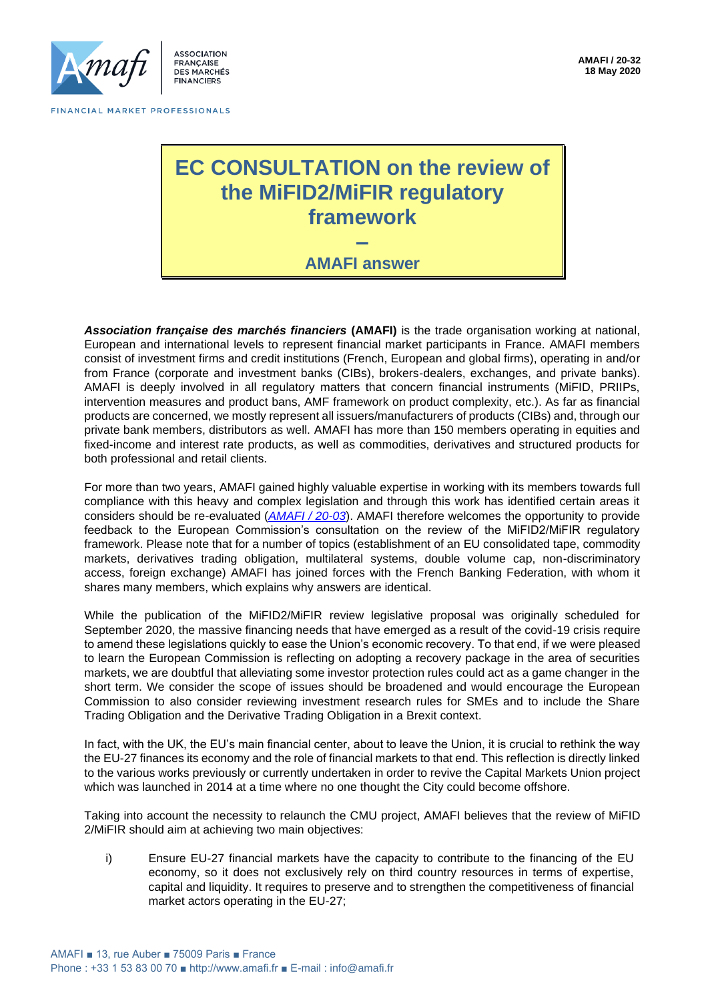

**FRANCAISE** DES MARCHÉS **FINANCIERS** 

FINANCIAL MARKET PROFESSIONALS

# **EC CONSULTATION on the review of the MiFID2/MiFIR regulatory framework –**



*Association française des marchés financiers* **(AMAFI)** is the trade organisation working at national, European and international levels to represent financial market participants in France. AMAFI members consist of investment firms and credit institutions (French, European and global firms), operating in and/or from France (corporate and investment banks (CIBs), brokers-dealers, exchanges, and private banks). AMAFI is deeply involved in all regulatory matters that concern financial instruments (MiFID, PRIIPs, intervention measures and product bans, AMF framework on product complexity, etc.). As far as financial products are concerned, we mostly represent all issuers/manufacturers of products (CIBs) and, through our private bank members, distributors as well. AMAFI has more than 150 members operating in equities and fixed-income and interest rate products, as well as commodities, derivatives and structured products for both professional and retail clients.

For more than two years, AMAFI gained highly valuable expertise in working with its members towards full compliance with this heavy and complex legislation and through this work has identified certain areas it considers should be re-evaluated (*[AMAFI / 20-03](http://amafi.fr/download/pages/qkFr0jfAWFQNavOCormKqTnz1sUKzelyI1VsQHeC.pdf)*). AMAFI therefore welcomes the opportunity to provide feedback to the European Commission's consultation on the review of the MiFID2/MiFIR regulatory framework. Please note that for a number of topics (establishment of an EU consolidated tape, commodity markets, derivatives trading obligation, multilateral systems, double volume cap, non-discriminatory access, foreign exchange) AMAFI has joined forces with the French Banking Federation, with whom it shares many members, which explains why answers are identical.

While the publication of the MiFID2/MiFIR review legislative proposal was originally scheduled for September 2020, the massive financing needs that have emerged as a result of the covid-19 crisis require to amend these legislations quickly to ease the Union's economic recovery. To that end, if we were pleased to learn the European Commission is reflecting on adopting a recovery package in the area of securities markets, we are doubtful that alleviating some investor protection rules could act as a game changer in the short term. We consider the scope of issues should be broadened and would encourage the European Commission to also consider reviewing investment research rules for SMEs and to include the Share Trading Obligation and the Derivative Trading Obligation in a Brexit context.

In fact, with the UK, the EU's main financial center, about to leave the Union, it is crucial to rethink the way the EU-27 finances its economy and the role of financial markets to that end. This reflection is directly linked to the various works previously or currently undertaken in order to revive the Capital Markets Union project which was launched in 2014 at a time where no one thought the City could become offshore.

Taking into account the necessity to relaunch the CMU project, AMAFI believes that the review of MiFID 2/MiFIR should aim at achieving two main objectives:

i) Ensure EU-27 financial markets have the capacity to contribute to the financing of the EU economy, so it does not exclusively rely on third country resources in terms of expertise, capital and liquidity. It requires to preserve and to strengthen the competitiveness of financial market actors operating in the EU-27;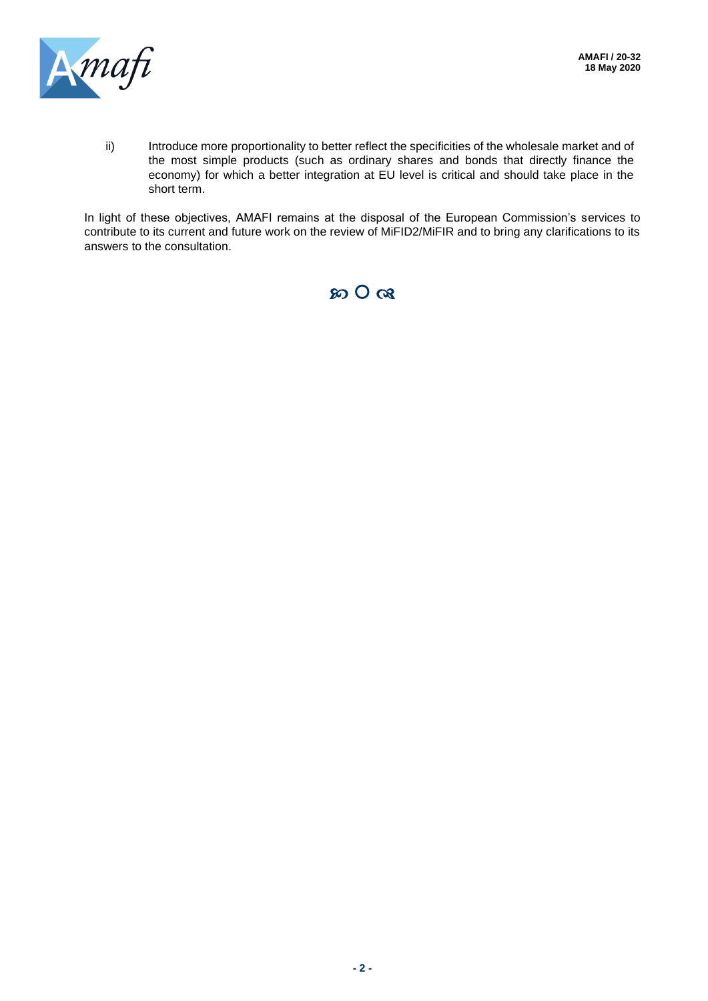

ii) Introduce more proportionality to better reflect the specificities of the wholesale market and of the most simple products (such as ordinary shares and bonds that directly finance the economy) for which a better integration at EU level is critical and should take place in the short term.

In light of these objectives, AMAFI remains at the disposal of the European Commission's services to contribute to its current and future work on the review of MiFID2/MiFIR and to bring any clarifications to its answers to the consultation.

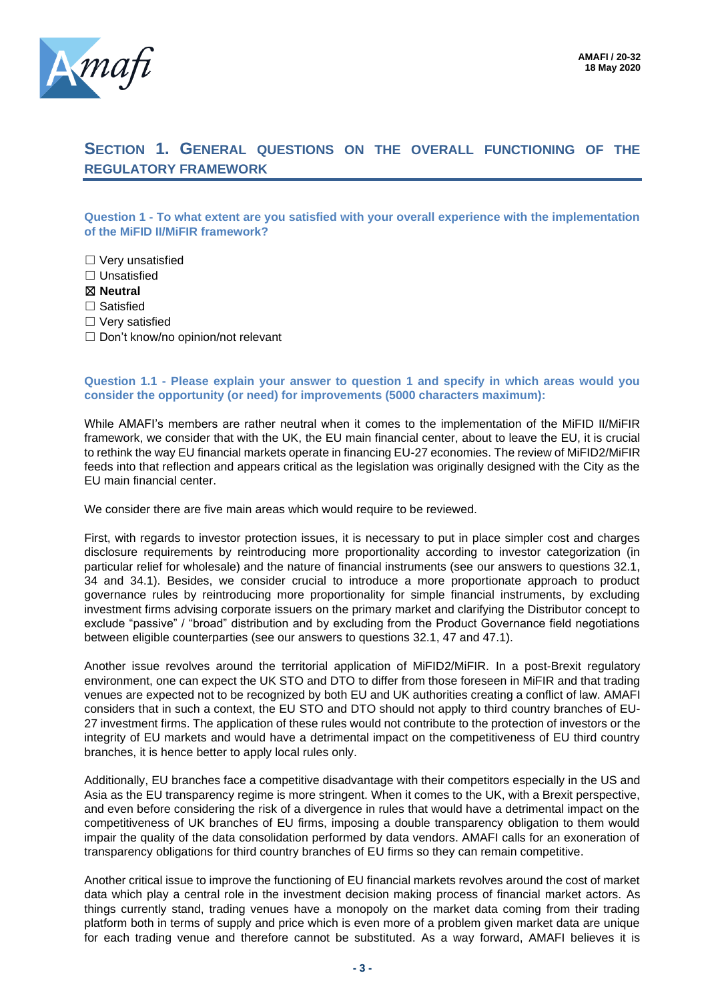

### **SECTION 1. GENERAL QUESTIONS ON THE OVERALL FUNCTIONING OF THE REGULATORY FRAMEWORK**

**Question 1 - To what extent are you satisfied with your overall experience with the implementation of the MiFID II/MiFIR framework?**

☐ Very unsatisfied ☐ Unsatisfied ☒ **Neutral** □ Satisfied ☐ Very satisfied □ Don't know/no opinion/not relevant

#### **Question 1.1 - Please explain your answer to question 1 and specify in which areas would you consider the opportunity (or need) for improvements (5000 characters maximum):**

While AMAFI's members are rather neutral when it comes to the implementation of the MiFID II/MiFIR framework, we consider that with the UK, the EU main financial center, about to leave the EU, it is crucial to rethink the way EU financial markets operate in financing EU-27 economies. The review of MiFID2/MiFIR feeds into that reflection and appears critical as the legislation was originally designed with the City as the EU main financial center.

We consider there are five main areas which would require to be reviewed.

First, with regards to investor protection issues, it is necessary to put in place simpler cost and charges disclosure requirements by reintroducing more proportionality according to investor categorization (in particular relief for wholesale) and the nature of financial instruments (see our answers to questions 32.1, 34 and 34.1). Besides, we consider crucial to introduce a more proportionate approach to product governance rules by reintroducing more proportionality for simple financial instruments, by excluding investment firms advising corporate issuers on the primary market and clarifying the Distributor concept to exclude "passive" / "broad" distribution and by excluding from the Product Governance field negotiations between eligible counterparties (see our answers to questions 32.1, 47 and 47.1).

Another issue revolves around the territorial application of MiFID2/MiFIR. In a post-Brexit regulatory environment, one can expect the UK STO and DTO to differ from those foreseen in MiFIR and that trading venues are expected not to be recognized by both EU and UK authorities creating a conflict of law. AMAFI considers that in such a context, the EU STO and DTO should not apply to third country branches of EU-27 investment firms. The application of these rules would not contribute to the protection of investors or the integrity of EU markets and would have a detrimental impact on the competitiveness of EU third country branches, it is hence better to apply local rules only.

Additionally, EU branches face a competitive disadvantage with their competitors especially in the US and Asia as the EU transparency regime is more stringent. When it comes to the UK, with a Brexit perspective, and even before considering the risk of a divergence in rules that would have a detrimental impact on the competitiveness of UK branches of EU firms, imposing a double transparency obligation to them would impair the quality of the data consolidation performed by data vendors. AMAFI calls for an exoneration of transparency obligations for third country branches of EU firms so they can remain competitive.

Another critical issue to improve the functioning of EU financial markets revolves around the cost of market data which play a central role in the investment decision making process of financial market actors. As things currently stand, trading venues have a monopoly on the market data coming from their trading platform both in terms of supply and price which is even more of a problem given market data are unique for each trading venue and therefore cannot be substituted. As a way forward, AMAFI believes it is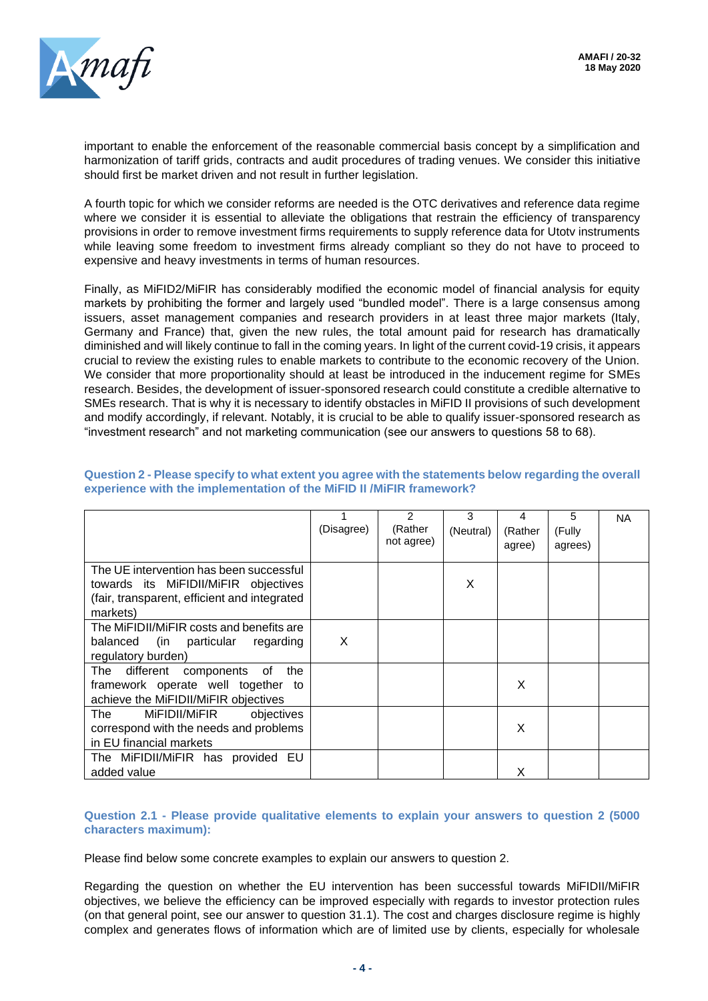

important to enable the enforcement of the reasonable commercial basis concept by a simplification and harmonization of tariff grids, contracts and audit procedures of trading venues. We consider this initiative should first be market driven and not result in further legislation.

A fourth topic for which we consider reforms are needed is the OTC derivatives and reference data regime where we consider it is essential to alleviate the obligations that restrain the efficiency of transparency provisions in order to remove investment firms requirements to supply reference data for Utotv instruments while leaving some freedom to investment firms already compliant so they do not have to proceed to expensive and heavy investments in terms of human resources.

Finally, as MiFID2/MiFIR has considerably modified the economic model of financial analysis for equity markets by prohibiting the former and largely used "bundled model". There is a large consensus among issuers, asset management companies and research providers in at least three major markets (Italy, Germany and France) that, given the new rules, the total amount paid for research has dramatically diminished and will likely continue to fall in the coming years. In light of the current covid-19 crisis, it appears crucial to review the existing rules to enable markets to contribute to the economic recovery of the Union. We consider that more proportionality should at least be introduced in the inducement regime for SMEs research. Besides, the development of issuer-sponsored research could constitute a credible alternative to SMEs research. That is why it is necessary to identify obstacles in MiFID II provisions of such development and modify accordingly, if relevant. Notably, it is crucial to be able to qualify issuer-sponsored research as "investment research" and not marketing communication (see our answers to questions 58 to 68).

|                                              |            | 2                     | 3         | 4       | 5       | <b>NA</b> |
|----------------------------------------------|------------|-----------------------|-----------|---------|---------|-----------|
|                                              | (Disagree) | (Rather<br>not agree) | (Neutral) | (Rather | (Fully  |           |
|                                              |            |                       |           | agree)  | agrees) |           |
| The UE intervention has been successful      |            |                       |           |         |         |           |
| towards its MiFIDII/MiFIR objectives         |            |                       | X         |         |         |           |
| (fair, transparent, efficient and integrated |            |                       |           |         |         |           |
| markets)                                     |            |                       |           |         |         |           |
| The MiFIDII/MiFIR costs and benefits are     |            |                       |           |         |         |           |
| balanced (in particular<br>regarding         | X          |                       |           |         |         |           |
| regulatory burden)                           |            |                       |           |         |         |           |
| different components<br>the<br>The<br>of     |            |                       |           |         |         |           |
| framework operate well together<br>to        |            |                       |           | X       |         |           |
| achieve the MiFIDII/MiFIR objectives         |            |                       |           |         |         |           |
| MiFIDII/MiFIR<br>The<br>objectives           |            |                       |           |         |         |           |
| correspond with the needs and problems       |            |                       |           | X       |         |           |
| in EU financial markets                      |            |                       |           |         |         |           |
| The MiFIDII/MiFIR has provided EU            |            |                       |           |         |         |           |
| added value                                  |            |                       |           | x       |         |           |

#### **Question 2 - Please specify to what extent you agree with the statements below regarding the overall experience with the implementation of the MiFID II /MiFIR framework?**

#### **Question 2.1 - Please provide qualitative elements to explain your answers to question 2 (5000 characters maximum):**

Please find below some concrete examples to explain our answers to question 2.

Regarding the question on whether the EU intervention has been successful towards MiFIDII/MiFIR objectives, we believe the efficiency can be improved especially with regards to investor protection rules (on that general point, see our answer to question 31.1). The cost and charges disclosure regime is highly complex and generates flows of information which are of limited use by clients, especially for wholesale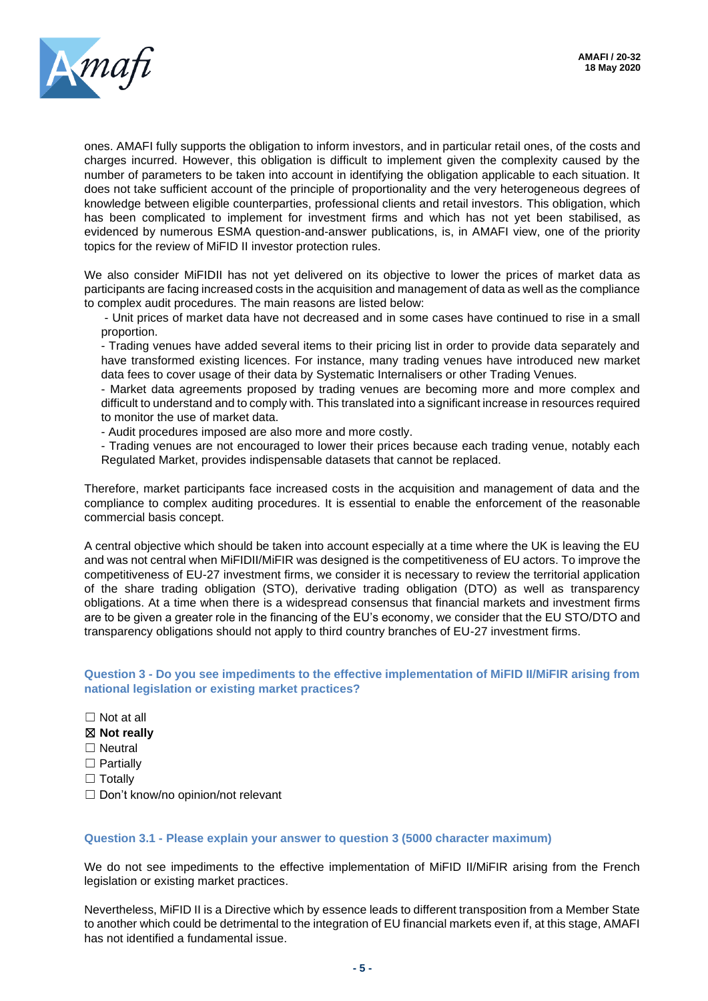

ones. AMAFI fully supports the obligation to inform investors, and in particular retail ones, of the costs and charges incurred. However, this obligation is difficult to implement given the complexity caused by the number of parameters to be taken into account in identifying the obligation applicable to each situation. It does not take sufficient account of the principle of proportionality and the very heterogeneous degrees of knowledge between eligible counterparties, professional clients and retail investors. This obligation, which has been complicated to implement for investment firms and which has not yet been stabilised, as evidenced by numerous ESMA question-and-answer publications, is, in AMAFI view, one of the priority topics for the review of MiFID II investor protection rules.

We also consider MiFIDII has not yet delivered on its objective to lower the prices of market data as participants are facing increased costs in the acquisition and management of data as well as the compliance to complex audit procedures. The main reasons are listed below:

- Unit prices of market data have not decreased and in some cases have continued to rise in a small proportion.

- Trading venues have added several items to their pricing list in order to provide data separately and have transformed existing licences. For instance, many trading venues have introduced new market data fees to cover usage of their data by Systematic Internalisers or other Trading Venues.

- Market data agreements proposed by trading venues are becoming more and more complex and difficult to understand and to comply with. This translated into a significant increase in resources required to monitor the use of market data.

- Audit procedures imposed are also more and more costly.

- Trading venues are not encouraged to lower their prices because each trading venue, notably each Regulated Market, provides indispensable datasets that cannot be replaced.

Therefore, market participants face increased costs in the acquisition and management of data and the compliance to complex auditing procedures. It is essential to enable the enforcement of the reasonable commercial basis concept.

A central objective which should be taken into account especially at a time where the UK is leaving the EU and was not central when MiFIDII/MiFIR was designed is the competitiveness of EU actors. To improve the competitiveness of EU-27 investment firms, we consider it is necessary to review the territorial application of the share trading obligation (STO), derivative trading obligation (DTO) as well as transparency obligations. At a time when there is a widespread consensus that financial markets and investment firms are to be given a greater role in the financing of the EU's economy, we consider that the EU STO/DTO and transparency obligations should not apply to third country branches of EU-27 investment firms.

**Question 3 - Do you see impediments to the effective implementation of MiFID II/MiFIR arising from national legislation or existing market practices?** 

- $\Box$  Not at all
- ☒ **Not really**
- □ Neutral
- □ Partially
- □ Totally
- □ Don't know/no opinion/not relevant

#### **Question 3.1 - Please explain your answer to question 3 (5000 character maximum)**

We do not see impediments to the effective implementation of MiFID II/MiFIR arising from the French legislation or existing market practices.

Nevertheless, MiFID II is a Directive which by essence leads to different transposition from a Member State to another which could be detrimental to the integration of EU financial markets even if, at this stage, AMAFI has not identified a fundamental issue.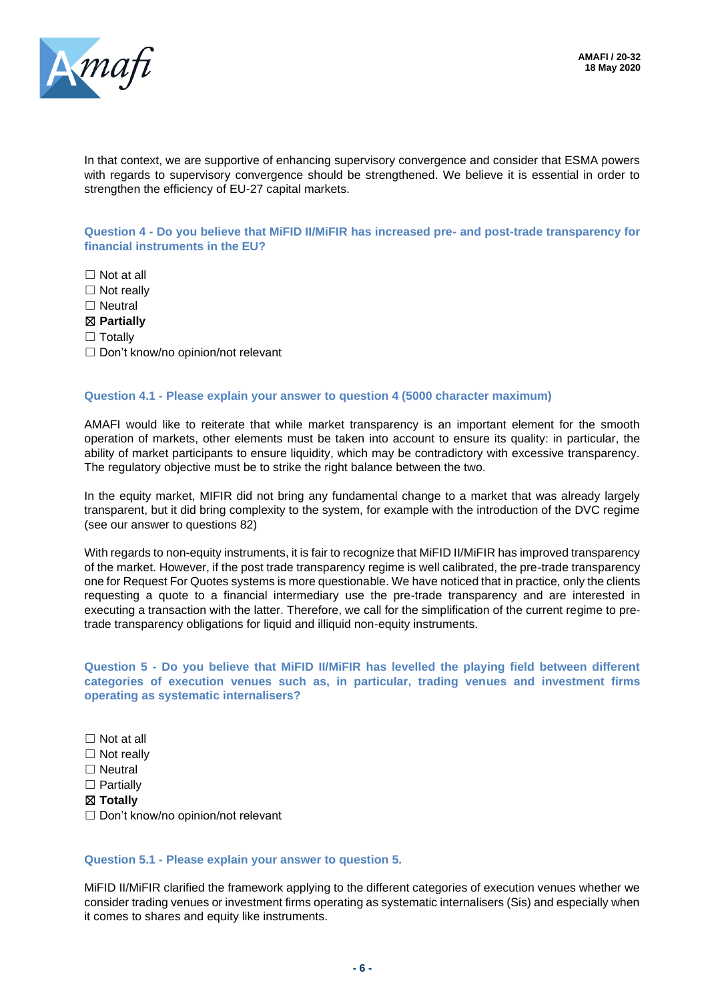

In that context, we are supportive of enhancing supervisory convergence and consider that ESMA powers with regards to supervisory convergence should be strengthened. We believe it is essential in order to strengthen the efficiency of EU-27 capital markets.

**Question 4 - Do you believe that MiFID II/MiFIR has increased pre- and post-trade transparency for financial instruments in the EU?** 

☐ Not at all

□ Not really

□ Neutral

☒ **Partially**

□ Totallv

□ Don't know/no opinion/not relevant

#### **Question 4.1 - Please explain your answer to question 4 (5000 character maximum)**

AMAFI would like to reiterate that while market transparency is an important element for the smooth operation of markets, other elements must be taken into account to ensure its quality: in particular, the ability of market participants to ensure liquidity, which may be contradictory with excessive transparency. The regulatory objective must be to strike the right balance between the two.

In the equity market, MIFIR did not bring any fundamental change to a market that was already largely transparent, but it did bring complexity to the system, for example with the introduction of the DVC regime (see our answer to questions 82)

With regards to non-equity instruments, it is fair to recognize that MiFID II/MiFIR has improved transparency of the market. However, if the post trade transparency regime is well calibrated, the pre-trade transparency one for Request For Quotes systems is more questionable. We have noticed that in practice, only the clients requesting a quote to a financial intermediary use the pre-trade transparency and are interested in executing a transaction with the latter. Therefore, we call for the simplification of the current regime to pretrade transparency obligations for liquid and illiquid non-equity instruments.

**Question 5 - Do you believe that MiFID II/MiFIR has levelled the playing field between different categories of execution venues such as, in particular, trading venues and investment firms operating as systematic internalisers?**

☐ Not at all

□ Not really

□ Neutral

□ Partially

☒ **Totally**

□ Don't know/no opinion/not relevant

#### **Question 5.1 - Please explain your answer to question 5.**

MiFID II/MiFIR clarified the framework applying to the different categories of execution venues whether we consider trading venues or investment firms operating as systematic internalisers (Sis) and especially when it comes to shares and equity like instruments.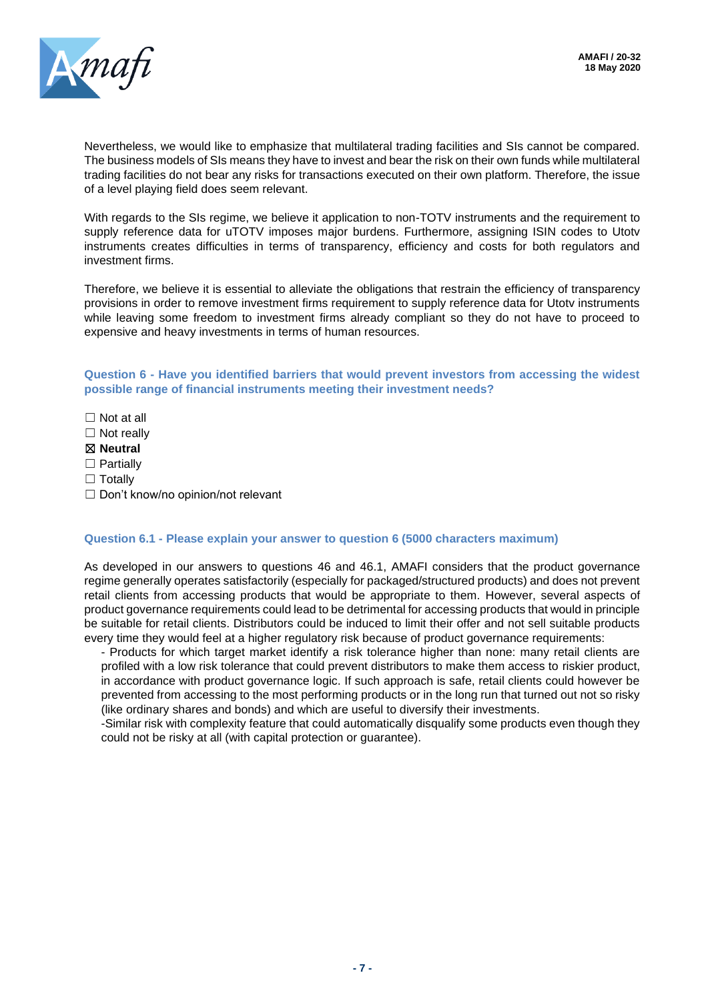

Nevertheless, we would like to emphasize that multilateral trading facilities and SIs cannot be compared. The business models of SIs means they have to invest and bear the risk on their own funds while multilateral trading facilities do not bear any risks for transactions executed on their own platform. Therefore, the issue of a level playing field does seem relevant.

With regards to the SIs regime, we believe it application to non-TOTV instruments and the requirement to supply reference data for uTOTV imposes major burdens. Furthermore, assigning ISIN codes to Utotv instruments creates difficulties in terms of transparency, efficiency and costs for both regulators and investment firms.

Therefore, we believe it is essential to alleviate the obligations that restrain the efficiency of transparency provisions in order to remove investment firms requirement to supply reference data for Utotv instruments while leaving some freedom to investment firms already compliant so they do not have to proceed to expensive and heavy investments in terms of human resources.

**Question 6 - Have you identified barriers that would prevent investors from accessing the widest possible range of financial instruments meeting their investment needs?**

- $\Box$  Not at all
- $\Box$  Not really
- ☒ **Neutral**
- □ Partially
- □ Totally
- □ Don't know/no opinion/not relevant

#### **Question 6.1 - Please explain your answer to question 6 (5000 characters maximum)**

As developed in our answers to questions 46 and 46.1, AMAFI considers that the product governance regime generally operates satisfactorily (especially for packaged/structured products) and does not prevent retail clients from accessing products that would be appropriate to them. However, several aspects of product governance requirements could lead to be detrimental for accessing products that would in principle be suitable for retail clients. Distributors could be induced to limit their offer and not sell suitable products every time they would feel at a higher regulatory risk because of product governance requirements:

- Products for which target market identify a risk tolerance higher than none: many retail clients are profiled with a low risk tolerance that could prevent distributors to make them access to riskier product, in accordance with product governance logic. If such approach is safe, retail clients could however be prevented from accessing to the most performing products or in the long run that turned out not so risky (like ordinary shares and bonds) and which are useful to diversify their investments.

-Similar risk with complexity feature that could automatically disqualify some products even though they could not be risky at all (with capital protection or guarantee).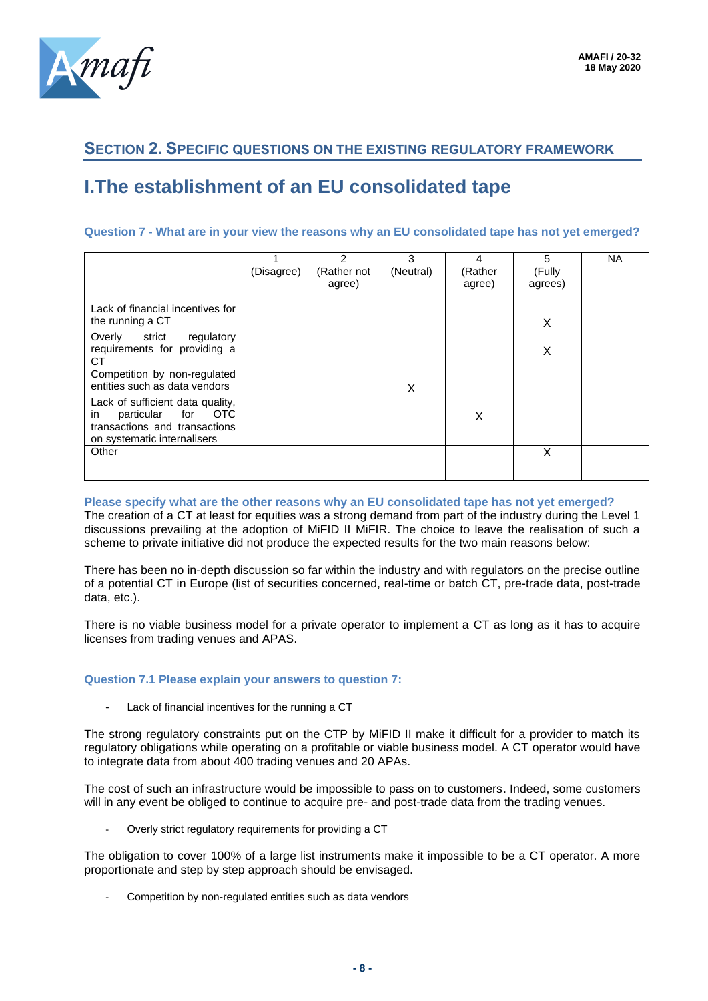

### **SECTION 2. SPECIFIC QUESTIONS ON THE EXISTING REGULATORY FRAMEWORK**

# **I.The establishment of an EU consolidated tape**

#### **Question 7 - What are in your view the reasons why an EU consolidated tape has not yet emerged?**

|                                                                                                                                            | (Disagree) | 2<br>(Rather not<br>agree) | 3<br>(Neutral) | 4<br>(Rather<br>agree) | 5<br>(Fully<br>agrees) | NA |
|--------------------------------------------------------------------------------------------------------------------------------------------|------------|----------------------------|----------------|------------------------|------------------------|----|
| Lack of financial incentives for<br>the running a CT                                                                                       |            |                            |                |                        | X                      |    |
| strict<br>Overly<br>regulatory<br>requirements for providing a<br>СT                                                                       |            |                            |                |                        | X                      |    |
| Competition by non-regulated<br>entities such as data vendors                                                                              |            |                            | X              |                        |                        |    |
| Lack of sufficient data quality,<br><b>OTC</b><br>for<br>particular<br>in.<br>transactions and transactions<br>on systematic internalisers |            |                            |                | X                      |                        |    |
| Other                                                                                                                                      |            |                            |                |                        | X                      |    |

#### **Please specify what are the other reasons why an EU consolidated tape has not yet emerged?**

The creation of a CT at least for equities was a strong demand from part of the industry during the Level 1 discussions prevailing at the adoption of MiFID II MiFIR. The choice to leave the realisation of such a scheme to private initiative did not produce the expected results for the two main reasons below:

There has been no in-depth discussion so far within the industry and with regulators on the precise outline of a potential CT in Europe (list of securities concerned, real-time or batch CT, pre-trade data, post-trade data, etc.).

There is no viable business model for a private operator to implement a CT as long as it has to acquire licenses from trading venues and APAS.

#### **Question 7.1 Please explain your answers to question 7:**

Lack of financial incentives for the running a CT

The strong regulatory constraints put on the CTP by MiFID II make it difficult for a provider to match its regulatory obligations while operating on a profitable or viable business model. A CT operator would have to integrate data from about 400 trading venues and 20 APAs.

The cost of such an infrastructure would be impossible to pass on to customers. Indeed, some customers will in any event be obliged to continue to acquire pre- and post-trade data from the trading venues.

Overly strict regulatory requirements for providing a CT

The obligation to cover 100% of a large list instruments make it impossible to be a CT operator. A more proportionate and step by step approach should be envisaged.

Competition by non-regulated entities such as data vendors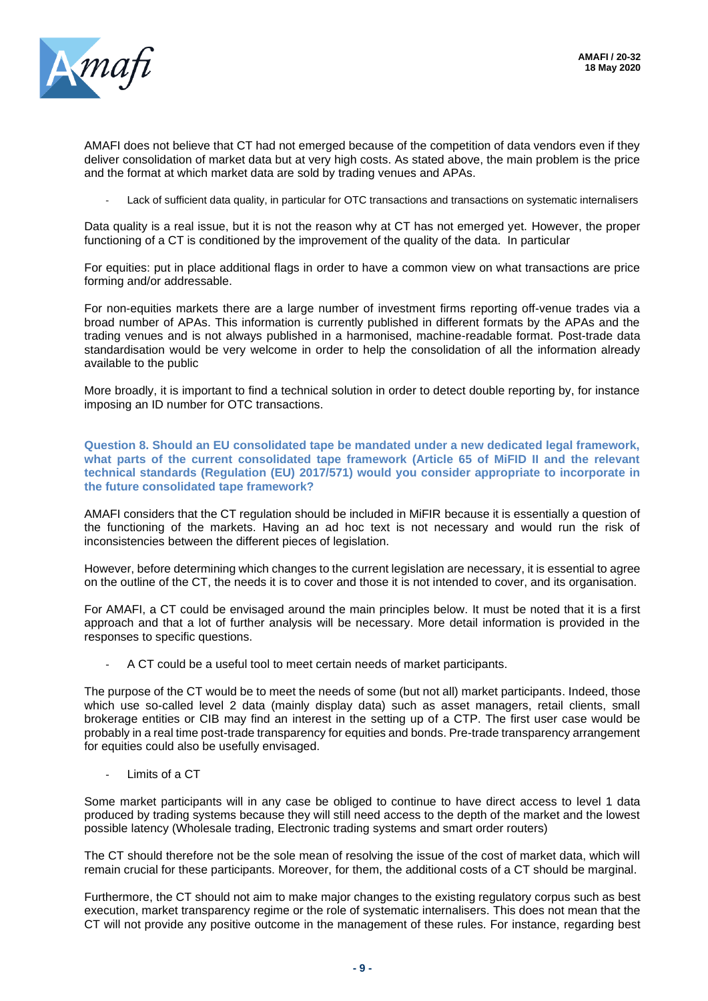

AMAFI does not believe that CT had not emerged because of the competition of data vendors even if they deliver consolidation of market data but at very high costs. As stated above, the main problem is the price and the format at which market data are sold by trading venues and APAs.

Lack of sufficient data quality, in particular for OTC transactions and transactions on systematic internalisers

Data quality is a real issue, but it is not the reason why at CT has not emerged yet. However, the proper functioning of a CT is conditioned by the improvement of the quality of the data. In particular

For equities: put in place additional flags in order to have a common view on what transactions are price forming and/or addressable.

For non-equities markets there are a large number of investment firms reporting off-venue trades via a broad number of APAs. This information is currently published in different formats by the APAs and the trading venues and is not always published in a harmonised, machine-readable format. Post-trade data standardisation would be very welcome in order to help the consolidation of all the information already available to the public

More broadly, it is important to find a technical solution in order to detect double reporting by, for instance imposing an ID number for OTC transactions.

**Question 8. Should an EU consolidated tape be mandated under a new dedicated legal framework, what parts of the current consolidated tape framework (Article 65 of MiFID II and the relevant technical standards (Regulation (EU) 2017/571) would you consider appropriate to incorporate in the future consolidated tape framework?**

AMAFI considers that the CT regulation should be included in MiFIR because it is essentially a question of the functioning of the markets. Having an ad hoc text is not necessary and would run the risk of inconsistencies between the different pieces of legislation.

However, before determining which changes to the current legislation are necessary, it is essential to agree on the outline of the CT, the needs it is to cover and those it is not intended to cover, and its organisation.

For AMAFI, a CT could be envisaged around the main principles below. It must be noted that it is a first approach and that a lot of further analysis will be necessary. More detail information is provided in the responses to specific questions.

A CT could be a useful tool to meet certain needs of market participants.

The purpose of the CT would be to meet the needs of some (but not all) market participants. Indeed, those which use so-called level 2 data (mainly display data) such as asset managers, retail clients, small brokerage entities or CIB may find an interest in the setting up of a CTP. The first user case would be probably in a real time post-trade transparency for equities and bonds. Pre-trade transparency arrangement for equities could also be usefully envisaged.

Limits of a CT

Some market participants will in any case be obliged to continue to have direct access to level 1 data produced by trading systems because they will still need access to the depth of the market and the lowest possible latency (Wholesale trading, Electronic trading systems and smart order routers)

The CT should therefore not be the sole mean of resolving the issue of the cost of market data, which will remain crucial for these participants. Moreover, for them, the additional costs of a CT should be marginal.

Furthermore, the CT should not aim to make major changes to the existing regulatory corpus such as best execution, market transparency regime or the role of systematic internalisers. This does not mean that the CT will not provide any positive outcome in the management of these rules. For instance, regarding best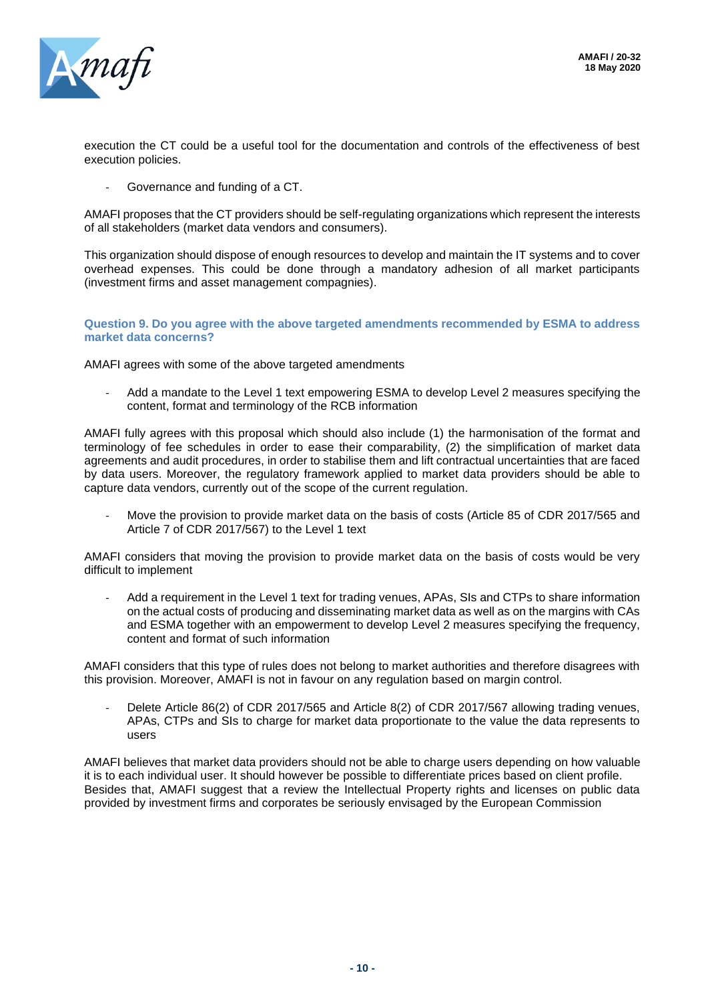

execution the CT could be a useful tool for the documentation and controls of the effectiveness of best execution policies.

Governance and funding of a CT.

AMAFI proposes that the CT providers should be self-regulating organizations which represent the interests of all stakeholders (market data vendors and consumers).

This organization should dispose of enough resources to develop and maintain the IT systems and to cover overhead expenses. This could be done through a mandatory adhesion of all market participants (investment firms and asset management compagnies).

#### **Question 9. Do you agree with the above targeted amendments recommended by ESMA to address market data concerns?**

AMAFI agrees with some of the above targeted amendments

Add a mandate to the Level 1 text empowering ESMA to develop Level 2 measures specifying the content, format and terminology of the RCB information

AMAFI fully agrees with this proposal which should also include (1) the harmonisation of the format and terminology of fee schedules in order to ease their comparability, (2) the simplification of market data agreements and audit procedures, in order to stabilise them and lift contractual uncertainties that are faced by data users. Moreover, the regulatory framework applied to market data providers should be able to capture data vendors, currently out of the scope of the current regulation.

- Move the provision to provide market data on the basis of costs (Article 85 of CDR 2017/565 and Article 7 of CDR 2017/567) to the Level 1 text

AMAFI considers that moving the provision to provide market data on the basis of costs would be very difficult to implement

- Add a requirement in the Level 1 text for trading venues, APAs, SIs and CTPs to share information on the actual costs of producing and disseminating market data as well as on the margins with CAs and ESMA together with an empowerment to develop Level 2 measures specifying the frequency, content and format of such information

AMAFI considers that this type of rules does not belong to market authorities and therefore disagrees with this provision. Moreover, AMAFI is not in favour on any regulation based on margin control.

Delete Article 86(2) of CDR 2017/565 and Article 8(2) of CDR 2017/567 allowing trading venues, APAs, CTPs and SIs to charge for market data proportionate to the value the data represents to users

AMAFI believes that market data providers should not be able to charge users depending on how valuable it is to each individual user. It should however be possible to differentiate prices based on client profile. Besides that, AMAFI suggest that a review the Intellectual Property rights and licenses on public data provided by investment firms and corporates be seriously envisaged by the European Commission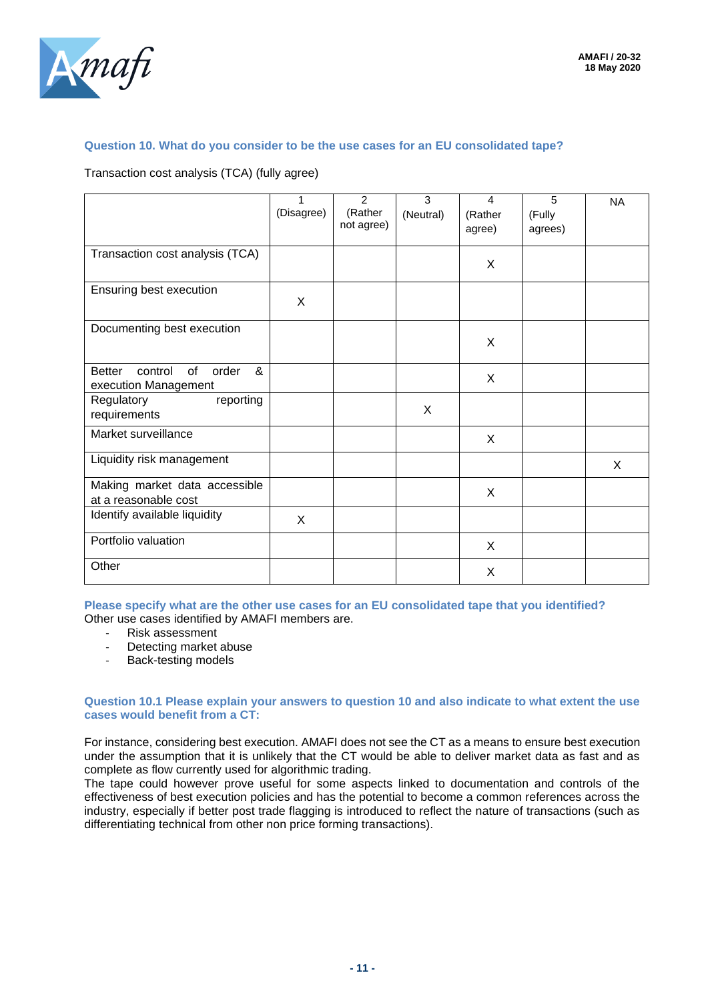

#### **Question 10. What do you consider to be the use cases for an EU consolidated tape?**

Transaction cost analysis (TCA) (fully agree)

|                                                                      | $\mathbf 1$<br>(Disagree) | $\mathcal{P}$<br>(Rather<br>not agree) | 3<br>(Neutral) | $\overline{4}$<br>(Rather<br>agree) | 5<br>(Fully<br>agrees) | <b>NA</b> |
|----------------------------------------------------------------------|---------------------------|----------------------------------------|----------------|-------------------------------------|------------------------|-----------|
| Transaction cost analysis (TCA)                                      |                           |                                        |                | X                                   |                        |           |
| Ensuring best execution                                              | X                         |                                        |                |                                     |                        |           |
| Documenting best execution                                           |                           |                                        |                | X                                   |                        |           |
| &<br>control<br>of<br>order<br><b>Better</b><br>execution Management |                           |                                        |                | X                                   |                        |           |
| Regulatory<br>reporting<br>requirements                              |                           |                                        | X              |                                     |                        |           |
| Market surveillance                                                  |                           |                                        |                | X                                   |                        |           |
| Liquidity risk management                                            |                           |                                        |                |                                     |                        | X         |
| Making market data accessible<br>at a reasonable cost                |                           |                                        |                | X                                   |                        |           |
| Identify available liquidity                                         | $\times$                  |                                        |                |                                     |                        |           |
| Portfolio valuation                                                  |                           |                                        |                | X                                   |                        |           |
| Other                                                                |                           |                                        |                | X                                   |                        |           |

**Please specify what are the other use cases for an EU consolidated tape that you identified?** Other use cases identified by AMAFI members are.

- Risk assessment
- Detecting market abuse<br>- Back-testing models
- Back-testing models

#### **Question 10.1 Please explain your answers to question 10 and also indicate to what extent the use cases would benefit from a CT:**

For instance, considering best execution. AMAFI does not see the CT as a means to ensure best execution under the assumption that it is unlikely that the CT would be able to deliver market data as fast and as complete as flow currently used for algorithmic trading.

The tape could however prove useful for some aspects linked to documentation and controls of the effectiveness of best execution policies and has the potential to become a common references across the industry, especially if better post trade flagging is introduced to reflect the nature of transactions (such as differentiating technical from other non price forming transactions).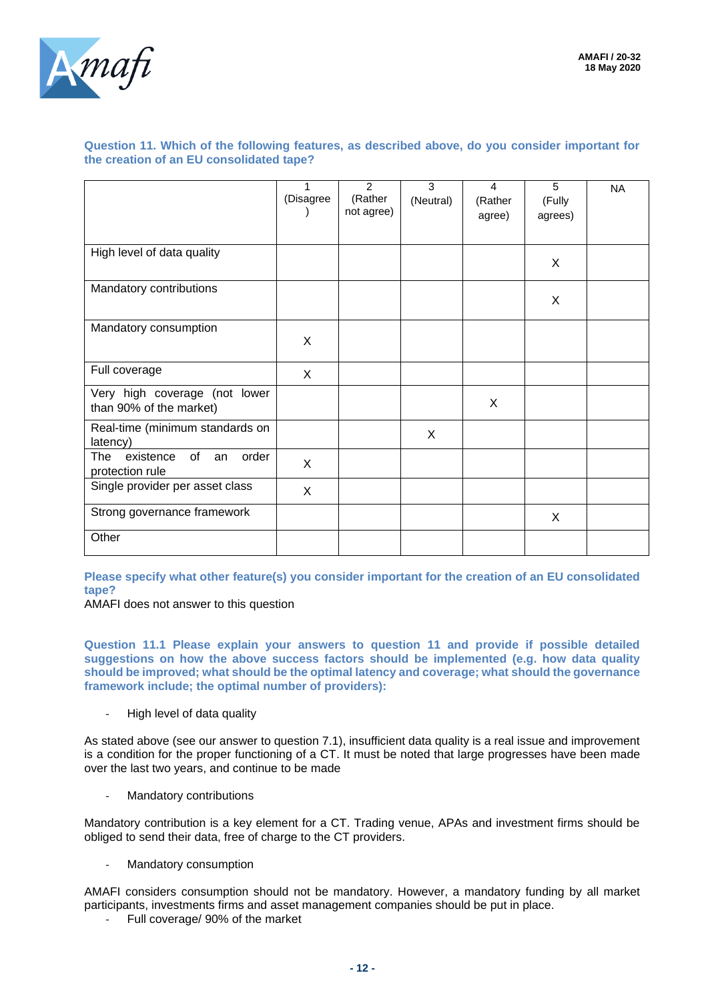

#### **Question 11. Which of the following features, as described above, do you consider important for the creation of an EU consolidated tape?**

|                                                          | 1<br>(Disagree | 2<br>(Rather<br>not agree) | 3<br>(Neutral) | 4<br>(Rather<br>agree) | 5<br>(Fully<br>agrees) | <b>NA</b> |
|----------------------------------------------------------|----------------|----------------------------|----------------|------------------------|------------------------|-----------|
| High level of data quality                               |                |                            |                |                        | X                      |           |
| Mandatory contributions                                  |                |                            |                |                        | X                      |           |
| Mandatory consumption                                    | X              |                            |                |                        |                        |           |
| Full coverage                                            | X              |                            |                |                        |                        |           |
| Very high coverage (not lower<br>than 90% of the market) |                |                            |                | X                      |                        |           |
| Real-time (minimum standards on<br>latency)              |                |                            | X              |                        |                        |           |
| of<br>order<br>The<br>existence<br>an<br>protection rule | X              |                            |                |                        |                        |           |
| Single provider per asset class                          | X              |                            |                |                        |                        |           |
| Strong governance framework                              |                |                            |                |                        | X                      |           |
| Other                                                    |                |                            |                |                        |                        |           |

**Please specify what other feature(s) you consider important for the creation of an EU consolidated tape?**

AMAFI does not answer to this question

**Question 11.1 Please explain your answers to question 11 and provide if possible detailed suggestions on how the above success factors should be implemented (e.g. how data quality should be improved; what should be the optimal latency and coverage; what should the governance framework include; the optimal number of providers):**

High level of data quality

As stated above (see our answer to question 7.1), insufficient data quality is a real issue and improvement is a condition for the proper functioning of a CT. It must be noted that large progresses have been made over the last two years, and continue to be made

- Mandatory contributions

Mandatory contribution is a key element for a CT. Trading venue, APAs and investment firms should be obliged to send their data, free of charge to the CT providers.

- Mandatory consumption

AMAFI considers consumption should not be mandatory. However, a mandatory funding by all market participants, investments firms and asset management companies should be put in place.

Full coverage/ 90% of the market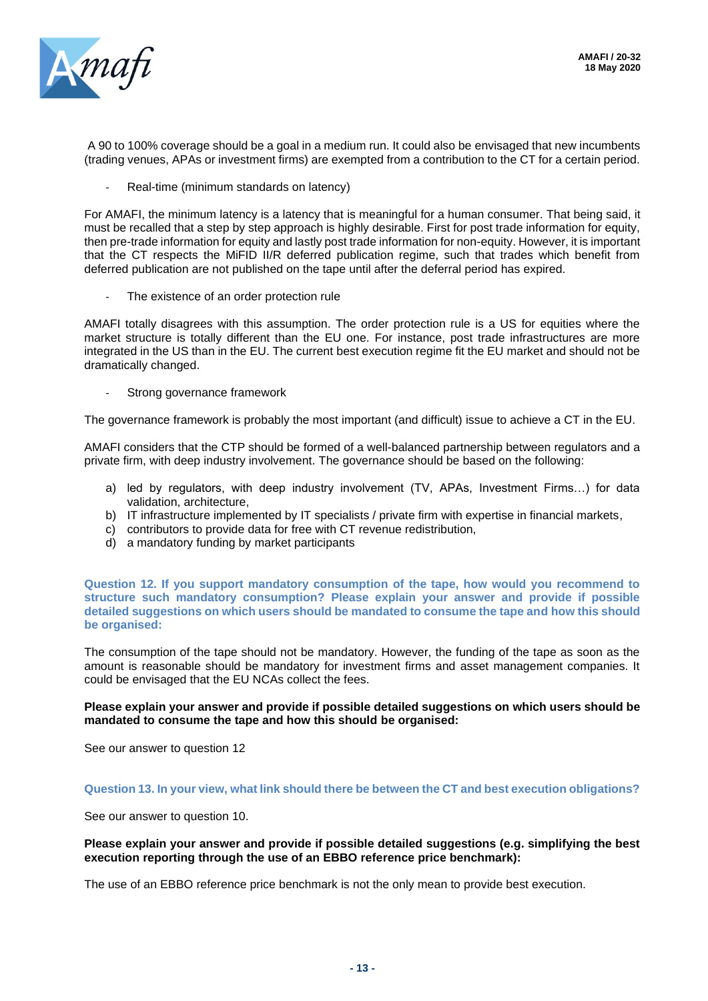

A 90 to 100% coverage should be a goal in a medium run. It could also be envisaged that new incumbents (trading venues, APAs or investment firms) are exempted from a contribution to the CT for a certain period.

Real-time (minimum standards on latency)

For AMAFI, the minimum latency is a latency that is meaningful for a human consumer. That being said, it must be recalled that a step by step approach is highly desirable. First for post trade information for equity, then pre-trade information for equity and lastly post trade information for non-equity. However, it is important that the CT respects the MiFID II/R deferred publication regime, such that trades which benefit from deferred publication are not published on the tape until after the deferral period has expired.

The existence of an order protection rule

AMAFI totally disagrees with this assumption. The order protection rule is a US for equities where the market structure is totally different than the EU one. For instance, post trade infrastructures are more integrated in the US than in the EU. The current best execution regime fit the EU market and should not be dramatically changed.

Strong governance framework

The governance framework is probably the most important (and difficult) issue to achieve a CT in the EU.

AMAFI considers that the CTP should be formed of a well-balanced partnership between regulators and a private firm, with deep industry involvement. The governance should be based on the following:

- a) led by regulators, with deep industry involvement (TV, APAs, Investment Firms…) for data validation, architecture,
- b) IT infrastructure implemented by IT specialists / private firm with expertise in financial markets,
- c) contributors to provide data for free with CT revenue redistribution,
- d) a mandatory funding by market participants

**Question 12. If you support mandatory consumption of the tape, how would you recommend to structure such mandatory consumption? Please explain your answer and provide if possible detailed suggestions on which users should be mandated to consume the tape and how this should be organised:**

The consumption of the tape should not be mandatory. However, the funding of the tape as soon as the amount is reasonable should be mandatory for investment firms and asset management companies. It could be envisaged that the EU NCAs collect the fees.

#### **Please explain your answer and provide if possible detailed suggestions on which users should be mandated to consume the tape and how this should be organised:**

See our answer to question 12

#### **Question 13. In your view, what link should there be between the CT and best execution obligations?**

See our answer to question 10.

#### **Please explain your answer and provide if possible detailed suggestions (e.g. simplifying the best execution reporting through the use of an EBBO reference price benchmark):**

The use of an EBBO reference price benchmark is not the only mean to provide best execution.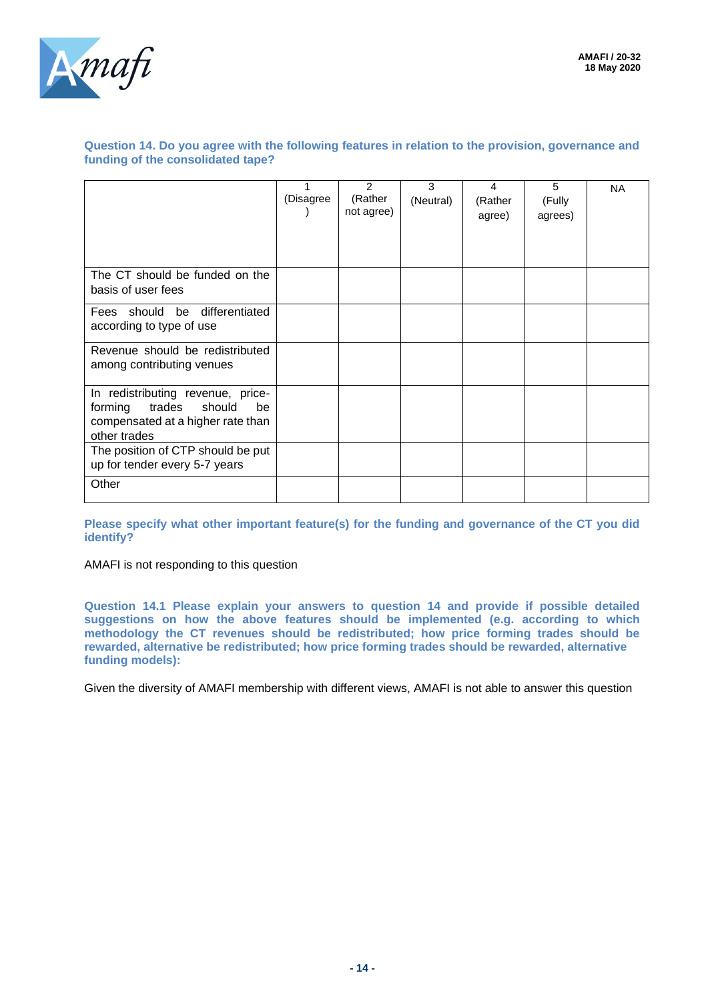

#### **Question 14. Do you agree with the following features in relation to the provision, governance and funding of the consolidated tape?**

|                                                                                                                             | (Disagree | $\mathcal{P}$<br>(Rather<br>not agree) | 3<br>(Neutral) | 4<br>(Rather<br>agree) | 5<br>(Fully<br>agrees) | <b>NA</b> |
|-----------------------------------------------------------------------------------------------------------------------------|-----------|----------------------------------------|----------------|------------------------|------------------------|-----------|
| The CT should be funded on the<br>basis of user fees                                                                        |           |                                        |                |                        |                        |           |
| Fees should be differentiated<br>according to type of use                                                                   |           |                                        |                |                        |                        |           |
| Revenue should be redistributed<br>among contributing venues                                                                |           |                                        |                |                        |                        |           |
| In redistributing revenue, price-<br>trades<br>should<br>forming<br>be<br>compensated at a higher rate than<br>other trades |           |                                        |                |                        |                        |           |
| The position of CTP should be put<br>up for tender every 5-7 years                                                          |           |                                        |                |                        |                        |           |
| Other                                                                                                                       |           |                                        |                |                        |                        |           |

**Please specify what other important feature(s) for the funding and governance of the CT you did identify?**

AMAFI is not responding to this question

**Question 14.1 Please explain your answers to question 14 and provide if possible detailed suggestions on how the above features should be implemented (e.g. according to which methodology the CT revenues should be redistributed; how price forming trades should be rewarded, alternative be redistributed; how price forming trades should be rewarded, alternative funding models):**

Given the diversity of AMAFI membership with different views, AMAFI is not able to answer this question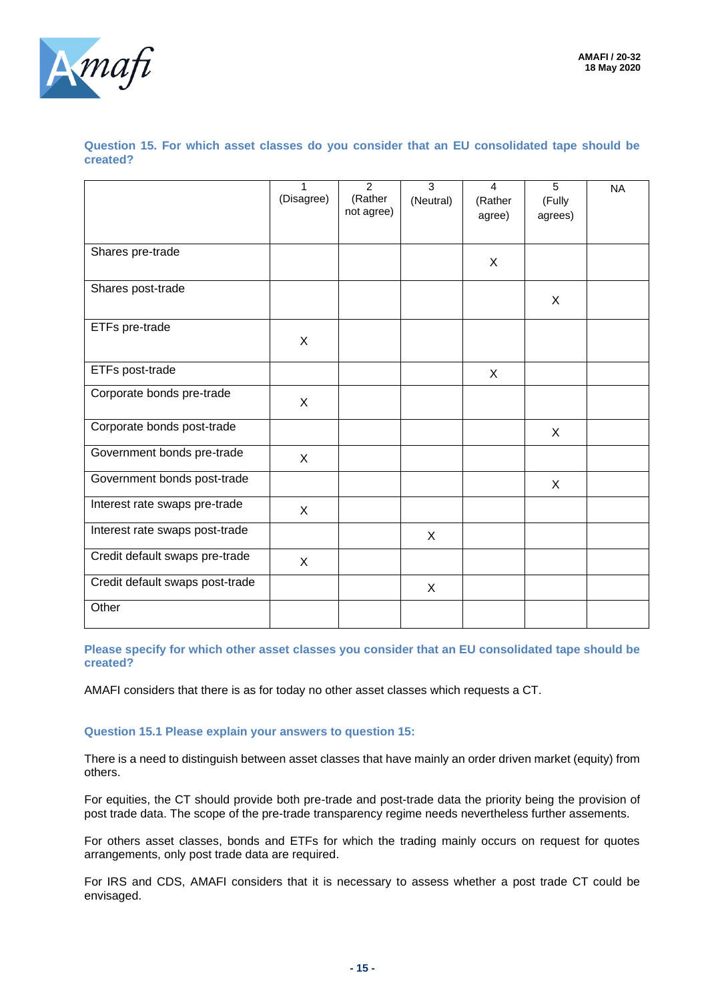

**Question 15. For which asset classes do you consider that an EU consolidated tape should be created?**

|                                 | 1          | $\overline{2}$ | $\overline{3}$ | 4       | $\overline{5}$ | <b>NA</b> |
|---------------------------------|------------|----------------|----------------|---------|----------------|-----------|
|                                 | (Disagree) | (Rather        | (Neutral)      | (Rather | (Fully         |           |
|                                 |            | not agree)     |                | agree)  | agrees)        |           |
|                                 |            |                |                |         |                |           |
| Shares pre-trade                |            |                |                |         |                |           |
|                                 |            |                |                | X       |                |           |
|                                 |            |                |                |         |                |           |
| Shares post-trade               |            |                |                |         | X              |           |
|                                 |            |                |                |         |                |           |
| ETFs pre-trade                  |            |                |                |         |                |           |
|                                 | X          |                |                |         |                |           |
|                                 |            |                |                |         |                |           |
| ETFs post-trade                 |            |                |                | X       |                |           |
| Corporate bonds pre-trade       |            |                |                |         |                |           |
|                                 | X          |                |                |         |                |           |
| Corporate bonds post-trade      |            |                |                |         |                |           |
|                                 |            |                |                |         | X              |           |
| Government bonds pre-trade      | X          |                |                |         |                |           |
|                                 |            |                |                |         |                |           |
| Government bonds post-trade     |            |                |                |         | X              |           |
| Interest rate swaps pre-trade   | X          |                |                |         |                |           |
|                                 |            |                |                |         |                |           |
| Interest rate swaps post-trade  |            |                | X              |         |                |           |
| Credit default swaps pre-trade  |            |                |                |         |                |           |
|                                 | X          |                |                |         |                |           |
| Credit default swaps post-trade |            |                | X              |         |                |           |
|                                 |            |                |                |         |                |           |
| Other                           |            |                |                |         |                |           |
|                                 |            |                |                |         |                |           |

**Please specify for which other asset classes you consider that an EU consolidated tape should be created?**

AMAFI considers that there is as for today no other asset classes which requests a CT.

#### **Question 15.1 Please explain your answers to question 15:**

There is a need to distinguish between asset classes that have mainly an order driven market (equity) from others.

For equities, the CT should provide both pre-trade and post-trade data the priority being the provision of post trade data. The scope of the pre-trade transparency regime needs nevertheless further assements.

For others asset classes, bonds and ETFs for which the trading mainly occurs on request for quotes arrangements, only post trade data are required.

For IRS and CDS, AMAFI considers that it is necessary to assess whether a post trade CT could be envisaged.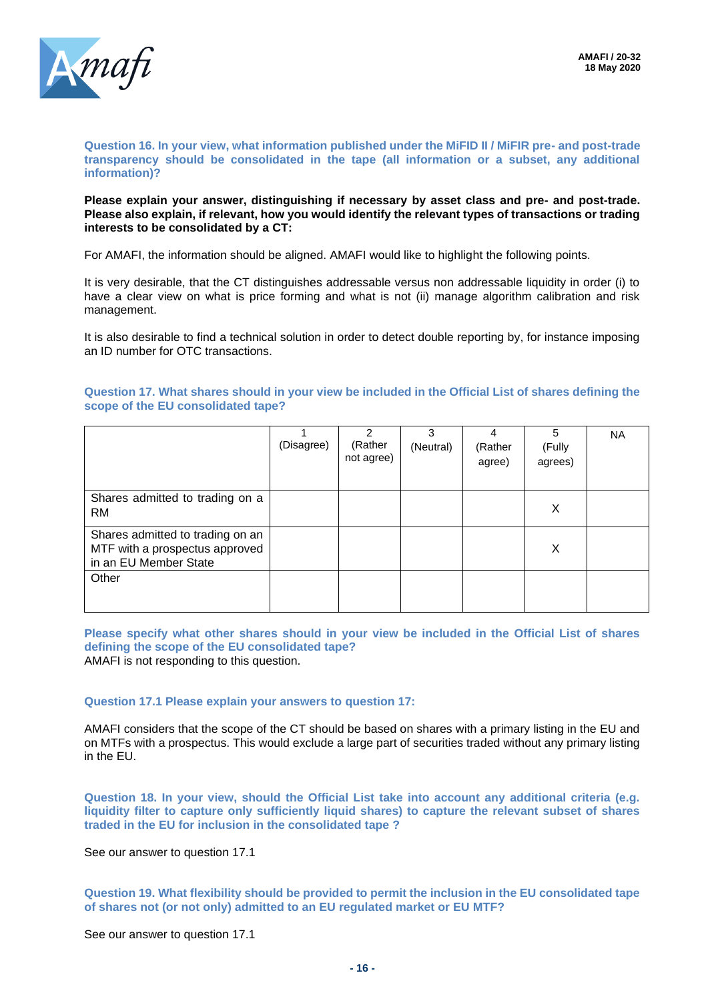

#### **Question 16. In your view, what information published under the MiFID II / MiFIR pre- and post-trade transparency should be consolidated in the tape (all information or a subset, any additional information)?**

#### **Please explain your answer, distinguishing if necessary by asset class and pre- and post-trade. Please also explain, if relevant, how you would identify the relevant types of transactions or trading interests to be consolidated by a CT:**

For AMAFI, the information should be aligned. AMAFI would like to highlight the following points.

It is very desirable, that the CT distinguishes addressable versus non addressable liquidity in order (i) to have a clear view on what is price forming and what is not (ii) manage algorithm calibration and risk management.

It is also desirable to find a technical solution in order to detect double reporting by, for instance imposing an ID number for OTC transactions.

**Question 17. What shares should in your view be included in the Official List of shares defining the scope of the EU consolidated tape?**

|                                                                                             | (Disagree) | 2<br>(Rather<br>not agree) | 3<br>(Neutral) | 4<br>(Rather<br>agree) | 5<br>(Fully<br>agrees) | <b>NA</b> |
|---------------------------------------------------------------------------------------------|------------|----------------------------|----------------|------------------------|------------------------|-----------|
| Shares admitted to trading on a<br><b>RM</b>                                                |            |                            |                |                        | X                      |           |
| Shares admitted to trading on an<br>MTF with a prospectus approved<br>in an EU Member State |            |                            |                |                        | Χ                      |           |
| Other                                                                                       |            |                            |                |                        |                        |           |

**Please specify what other shares should in your view be included in the Official List of shares defining the scope of the EU consolidated tape?** AMAFI is not responding to this question.

#### **Question 17.1 Please explain your answers to question 17:**

AMAFI considers that the scope of the CT should be based on shares with a primary listing in the EU and on MTFs with a prospectus. This would exclude a large part of securities traded without any primary listing in the EU.

**Question 18. In your view, should the Official List take into account any additional criteria (e.g. liquidity filter to capture only sufficiently liquid shares) to capture the relevant subset of shares traded in the EU for inclusion in the consolidated tape ?**

See our answer to question 17.1

**Question 19. What flexibility should be provided to permit the inclusion in the EU consolidated tape of shares not (or not only) admitted to an EU regulated market or EU MTF?**

See our answer to question 17.1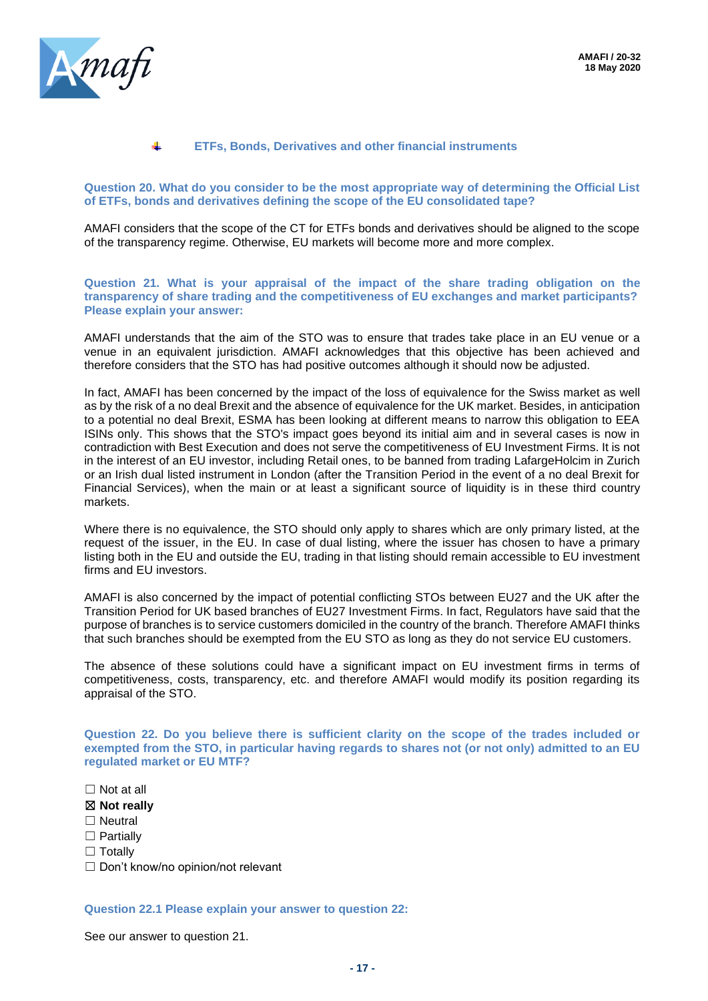

#### ÷ **ETFs, Bonds, Derivatives and other financial instruments**

**Question 20. What do you consider to be the most appropriate way of determining the Official List of ETFs, bonds and derivatives defining the scope of the EU consolidated tape?**

AMAFI considers that the scope of the CT for ETFs bonds and derivatives should be aligned to the scope of the transparency regime. Otherwise, EU markets will become more and more complex.

**Question 21. What is your appraisal of the impact of the share trading obligation on the transparency of share trading and the competitiveness of EU exchanges and market participants? Please explain your answer:**

AMAFI understands that the aim of the STO was to ensure that trades take place in an EU venue or a venue in an equivalent jurisdiction. AMAFI acknowledges that this objective has been achieved and therefore considers that the STO has had positive outcomes although it should now be adjusted.

In fact, AMAFI has been concerned by the impact of the loss of equivalence for the Swiss market as well as by the risk of a no deal Brexit and the absence of equivalence for the UK market. Besides, in anticipation to a potential no deal Brexit, ESMA has been looking at different means to narrow this obligation to EEA ISINs only. This shows that the STO's impact goes beyond its initial aim and in several cases is now in contradiction with Best Execution and does not serve the competitiveness of EU Investment Firms. It is not in the interest of an EU investor, including Retail ones, to be banned from trading LafargeHolcim in Zurich or an Irish dual listed instrument in London (after the Transition Period in the event of a no deal Brexit for Financial Services), when the main or at least a significant source of liquidity is in these third country markets.

Where there is no equivalence, the STO should only apply to shares which are only primary listed, at the request of the issuer, in the EU. In case of dual listing, where the issuer has chosen to have a primary listing both in the EU and outside the EU, trading in that listing should remain accessible to EU investment firms and EU investors.

AMAFI is also concerned by the impact of potential conflicting STOs between EU27 and the UK after the Transition Period for UK based branches of EU27 Investment Firms. In fact, Regulators have said that the purpose of branches is to service customers domiciled in the country of the branch. Therefore AMAFI thinks that such branches should be exempted from the EU STO as long as they do not service EU customers.

The absence of these solutions could have a significant impact on EU investment firms in terms of competitiveness, costs, transparency, etc. and therefore AMAFI would modify its position regarding its appraisal of the STO.

**Question 22. Do you believe there is sufficient clarity on the scope of the trades included or exempted from the STO, in particular having regards to shares not (or not only) admitted to an EU regulated market or EU MTF?**

☐ Not at all

☒ **Not really**

- □ Neutral
- □ Partially
- □ Totally

☐ Don't know/no opinion/not relevant

**Question 22.1 Please explain your answer to question 22:**

See our answer to question 21.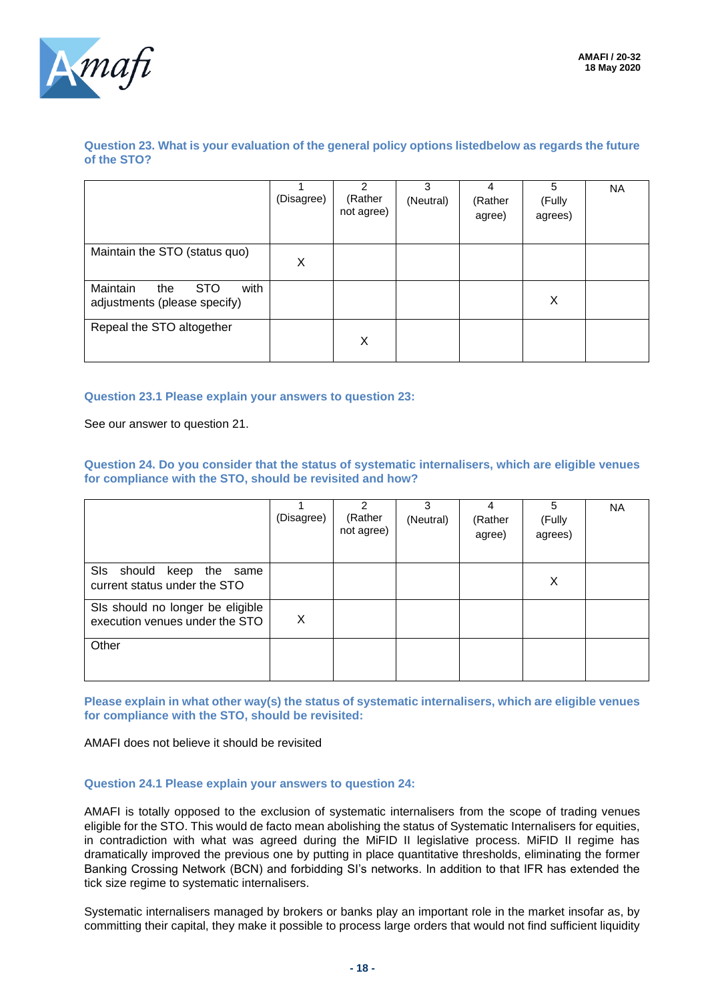

#### **Question 23. What is your evaluation of the general policy options listedbelow as regards the future of the STO?**

|                                                                       | (Disagree) | າ<br>(Rather<br>not agree) | 3<br>(Neutral) | 4<br>(Rather<br>agree) | 5<br>(Fully<br>agrees) | <b>NA</b> |
|-----------------------------------------------------------------------|------------|----------------------------|----------------|------------------------|------------------------|-----------|
| Maintain the STO (status quo)                                         | X          |                            |                |                        |                        |           |
| Maintain<br>with<br><b>STO</b><br>the<br>adjustments (please specify) |            |                            |                |                        | X                      |           |
| Repeal the STO altogether                                             |            | Χ                          |                |                        |                        |           |

#### **Question 23.1 Please explain your answers to question 23:**

See our answer to question 21.

**Question 24. Do you consider that the status of systematic internalisers, which are eligible venues for compliance with the STO, should be revisited and how?**

|                                                                    | (Disagree) | $\mathcal{P}$<br>(Rather<br>not agree) | 3<br>(Neutral) | 4<br>(Rather<br>agree) | 5<br>(Fully<br>agrees) | <b>NA</b> |
|--------------------------------------------------------------------|------------|----------------------------------------|----------------|------------------------|------------------------|-----------|
| SIs should keep the same<br>current status under the STO           |            |                                        |                |                        | X                      |           |
| SIs should no longer be eligible<br>execution venues under the STO | X          |                                        |                |                        |                        |           |
| Other                                                              |            |                                        |                |                        |                        |           |

**Please explain in what other way(s) the status of systematic internalisers, which are eligible venues for compliance with the STO, should be revisited:**

AMAFI does not believe it should be revisited

#### **Question 24.1 Please explain your answers to question 24:**

AMAFI is totally opposed to the exclusion of systematic internalisers from the scope of trading venues eligible for the STO. This would de facto mean abolishing the status of Systematic Internalisers for equities, in contradiction with what was agreed during the MiFID II legislative process. MiFID II regime has dramatically improved the previous one by putting in place quantitative thresholds, eliminating the former Banking Crossing Network (BCN) and forbidding SI's networks. In addition to that IFR has extended the tick size regime to systematic internalisers.

Systematic internalisers managed by brokers or banks play an important role in the market insofar as, by committing their capital, they make it possible to process large orders that would not find sufficient liquidity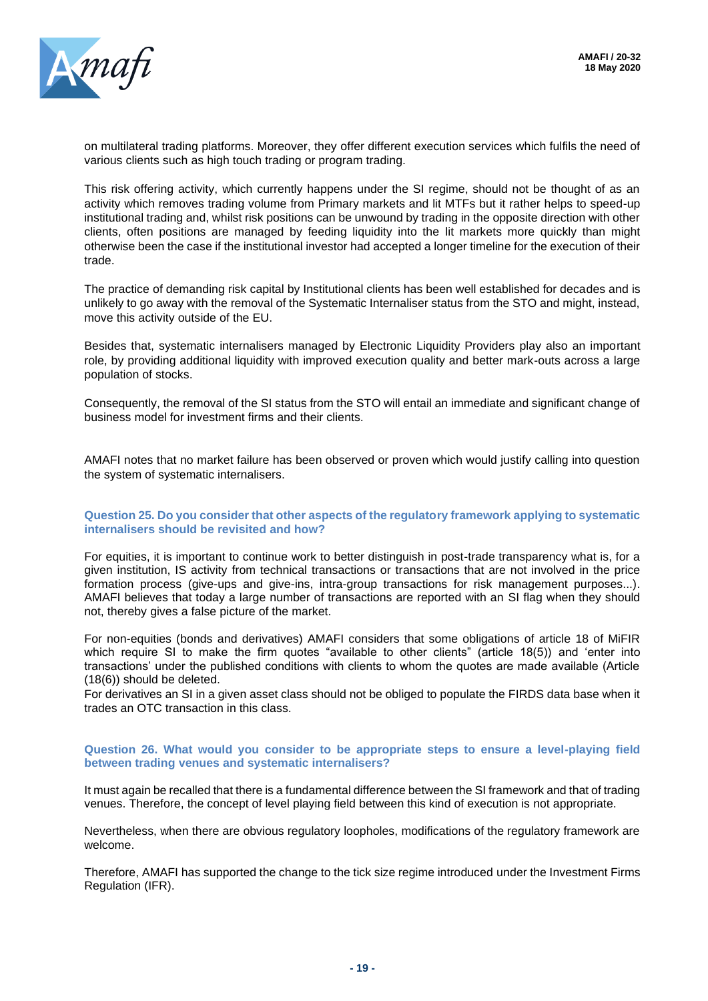

on multilateral trading platforms. Moreover, they offer different execution services which fulfils the need of various clients such as high touch trading or program trading.

This risk offering activity, which currently happens under the SI regime, should not be thought of as an activity which removes trading volume from Primary markets and lit MTFs but it rather helps to speed-up institutional trading and, whilst risk positions can be unwound by trading in the opposite direction with other clients, often positions are managed by feeding liquidity into the lit markets more quickly than might otherwise been the case if the institutional investor had accepted a longer timeline for the execution of their trade.

The practice of demanding risk capital by Institutional clients has been well established for decades and is unlikely to go away with the removal of the Systematic Internaliser status from the STO and might, instead, move this activity outside of the EU.

Besides that, systematic internalisers managed by Electronic Liquidity Providers play also an important role, by providing additional liquidity with improved execution quality and better mark-outs across a large population of stocks.

Consequently, the removal of the SI status from the STO will entail an immediate and significant change of business model for investment firms and their clients.

AMAFI notes that no market failure has been observed or proven which would justify calling into question the system of systematic internalisers.

#### **Question 25. Do you consider that other aspects of the regulatory framework applying to systematic internalisers should be revisited and how?**

For equities, it is important to continue work to better distinguish in post-trade transparency what is, for a given institution, IS activity from technical transactions or transactions that are not involved in the price formation process (give-ups and give-ins, intra-group transactions for risk management purposes...). AMAFI believes that today a large number of transactions are reported with an SI flag when they should not, thereby gives a false picture of the market.

For non-equities (bonds and derivatives) AMAFI considers that some obligations of article 18 of MiFIR which require SI to make the firm quotes "available to other clients" (article 18(5)) and 'enter into transactions' under the published conditions with clients to whom the quotes are made available (Article (18(6)) should be deleted.

For derivatives an SI in a given asset class should not be obliged to populate the FIRDS data base when it trades an OTC transaction in this class.

#### **Question 26. What would you consider to be appropriate steps to ensure a level-playing field between trading venues and systematic internalisers?**

It must again be recalled that there is a fundamental difference between the SI framework and that of trading venues. Therefore, the concept of level playing field between this kind of execution is not appropriate.

Nevertheless, when there are obvious regulatory loopholes, modifications of the regulatory framework are welcome.

Therefore, AMAFI has supported the change to the tick size regime introduced under the Investment Firms Regulation (IFR).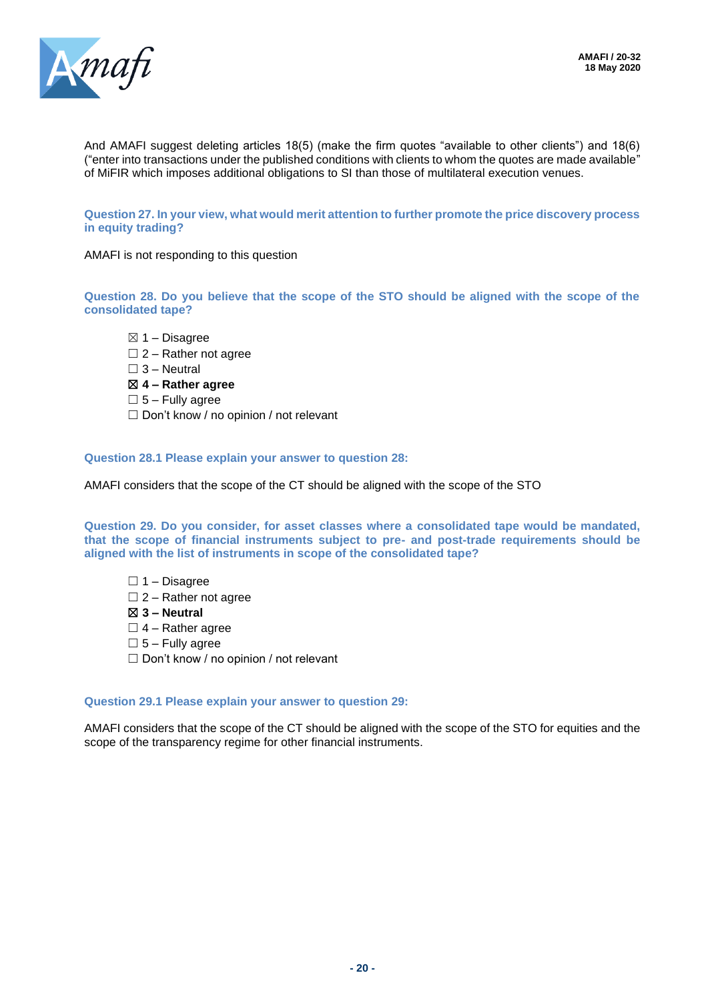

And AMAFI suggest deleting articles 18(5) (make the firm quotes "available to other clients") and 18(6) ("enter into transactions under the published conditions with clients to whom the quotes are made available" of MiFIR which imposes additional obligations to SI than those of multilateral execution venues.

**Question 27. In your view, what would merit attention to further promote the price discovery process in equity trading?**

AMAFI is not responding to this question

**Question 28. Do you believe that the scope of the STO should be aligned with the scope of the consolidated tape?**

- $\boxtimes$  1 Disagree
- $\Box$  2 Rather not agree
- $\square$  3 Neutral
- ☒ **4 – Rather agree**
- $\square$  5 Fully agree
- ☐ Don't know / no opinion / not relevant

**Question 28.1 Please explain your answer to question 28:**

AMAFI considers that the scope of the CT should be aligned with the scope of the STO

**Question 29. Do you consider, for asset classes where a consolidated tape would be mandated, that the scope of financial instruments subject to pre- and post-trade requirements should be aligned with the list of instruments in scope of the consolidated tape?**

- $\Box$  1 Disagree
- $\Box$  2 Rather not agree
- ☒ **3 – Neutral**
- $\Box$  4 Rather agree
- $\square$  5 Fully agree
- ☐ Don't know / no opinion / not relevant

#### **Question 29.1 Please explain your answer to question 29:**

AMAFI considers that the scope of the CT should be aligned with the scope of the STO for equities and the scope of the transparency regime for other financial instruments.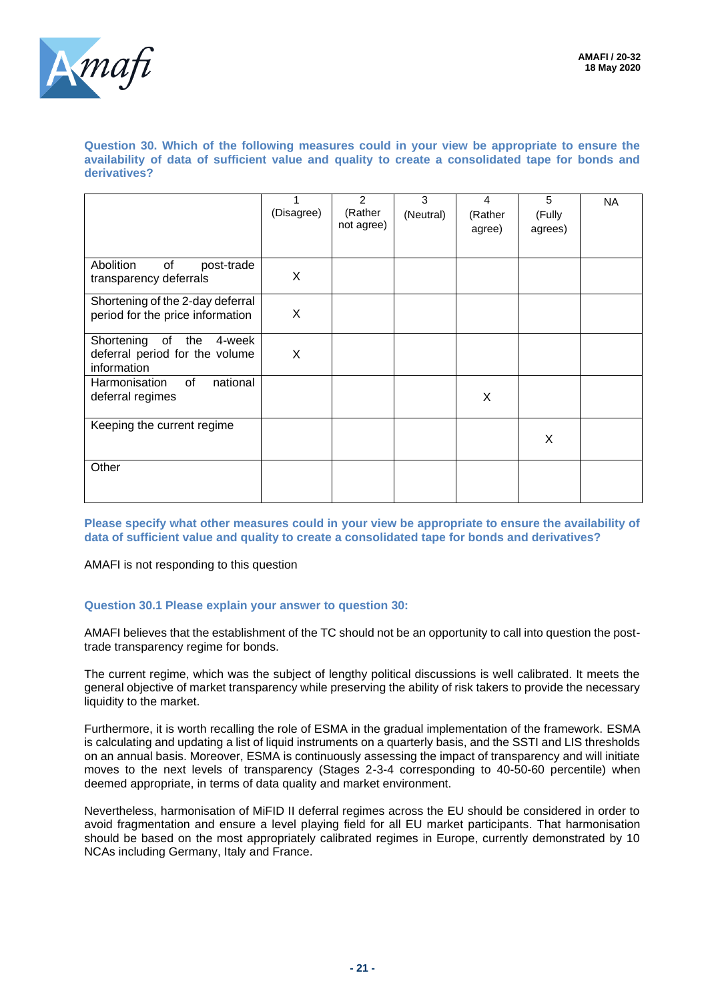

**Question 30. Which of the following measures could in your view be appropriate to ensure the availability of data of sufficient value and quality to create a consolidated tape for bonds and derivatives?**

|                                                                                    | (Disagree) | $\overline{2}$<br>(Rather<br>not agree) | 3<br>(Neutral) | 4<br>(Rather<br>agree) | 5<br>(Fully<br>agrees) | <b>NA</b> |
|------------------------------------------------------------------------------------|------------|-----------------------------------------|----------------|------------------------|------------------------|-----------|
| Abolition<br>of<br>post-trade<br>transparency deferrals                            | X          |                                         |                |                        |                        |           |
| Shortening of the 2-day deferral<br>period for the price information               | X          |                                         |                |                        |                        |           |
| Shortening<br>of<br>the<br>4-week<br>deferral period for the volume<br>information | X          |                                         |                |                        |                        |           |
| Harmonisation<br>of<br>national<br>deferral regimes                                |            |                                         |                | X                      |                        |           |
| Keeping the current regime                                                         |            |                                         |                |                        | X                      |           |
| Other                                                                              |            |                                         |                |                        |                        |           |

**Please specify what other measures could in your view be appropriate to ensure the availability of data of sufficient value and quality to create a consolidated tape for bonds and derivatives?**

AMAFI is not responding to this question

#### **Question 30.1 Please explain your answer to question 30:**

AMAFI believes that the establishment of the TC should not be an opportunity to call into question the posttrade transparency regime for bonds.

The current regime, which was the subject of lengthy political discussions is well calibrated. It meets the general objective of market transparency while preserving the ability of risk takers to provide the necessary liquidity to the market.

Furthermore, it is worth recalling the role of ESMA in the gradual implementation of the framework. ESMA is calculating and updating a list of liquid instruments on a quarterly basis, and the SSTI and LIS thresholds on an annual basis. Moreover, ESMA is continuously assessing the impact of transparency and will initiate moves to the next levels of transparency (Stages 2-3-4 corresponding to 40-50-60 percentile) when deemed appropriate, in terms of data quality and market environment.

Nevertheless, harmonisation of MiFID II deferral regimes across the EU should be considered in order to avoid fragmentation and ensure a level playing field for all EU market participants. That harmonisation should be based on the most appropriately calibrated regimes in Europe, currently demonstrated by 10 NCAs including Germany, Italy and France.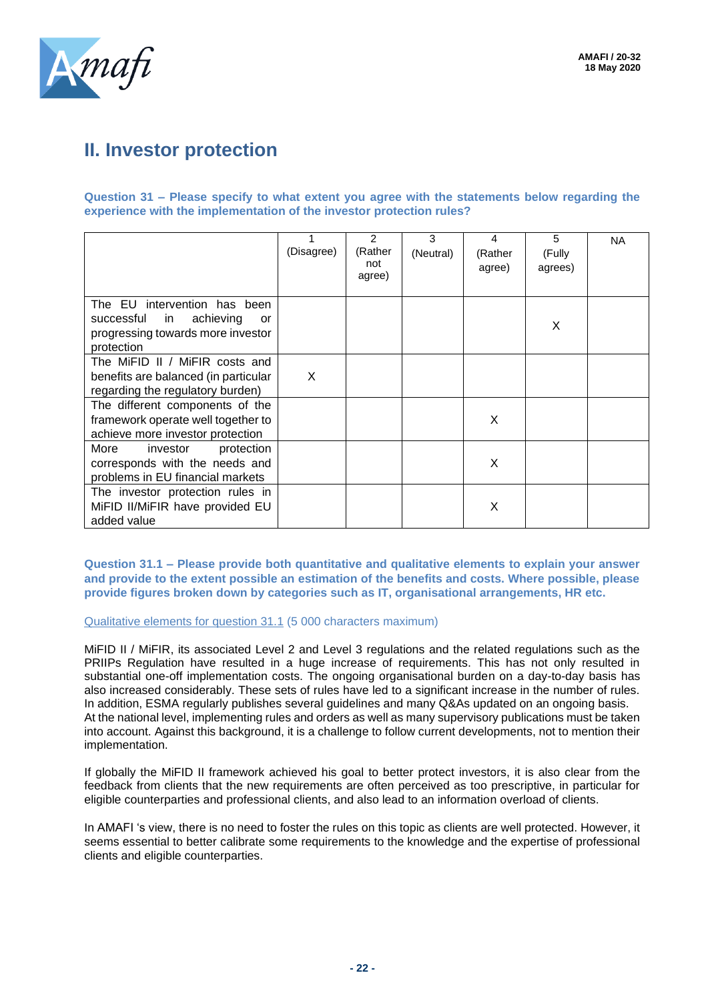

# **II. Investor protection**

**Question 31 – Please specify to what extent you agree with the statements below regarding the experience with the implementation of the investor protection rules?**

|                                                                                                                     | (Disagree) | 2<br>(Rather<br>not<br>agree) | 3<br>(Neutral) | 4<br>(Rather<br>agree) | 5<br>(Fully<br>agrees) | <b>NA</b> |
|---------------------------------------------------------------------------------------------------------------------|------------|-------------------------------|----------------|------------------------|------------------------|-----------|
| The EU intervention has been<br>achieving<br>successful in<br>or<br>progressing towards more investor<br>protection |            |                               |                |                        | X                      |           |
| The MiFID II / MiFIR costs and<br>benefits are balanced (in particular<br>regarding the regulatory burden)          | X          |                               |                |                        |                        |           |
| The different components of the<br>framework operate well together to<br>achieve more investor protection           |            |                               |                | X                      |                        |           |
| More<br>investor<br>protection<br>corresponds with the needs and<br>problems in EU financial markets                |            |                               |                | X                      |                        |           |
| The investor protection rules in<br>MiFID II/MiFIR have provided EU<br>added value                                  |            |                               |                | X                      |                        |           |

**Question 31.1 – Please provide both quantitative and qualitative elements to explain your answer and provide to the extent possible an estimation of the benefits and costs. Where possible, please provide figures broken down by categories such as IT, organisational arrangements, HR etc.**

#### Qualitative elements for question 31.1 (5 000 characters maximum)

MiFID II / MiFIR, its associated Level 2 and Level 3 regulations and the related regulations such as the PRIIPs Regulation have resulted in a huge increase of requirements. This has not only resulted in substantial one-off implementation costs. The ongoing organisational burden on a day-to-day basis has also increased considerably. These sets of rules have led to a significant increase in the number of rules. In addition, ESMA regularly publishes several guidelines and many Q&As updated on an ongoing basis. At the national level, implementing rules and orders as well as many supervisory publications must be taken into account. Against this background, it is a challenge to follow current developments, not to mention their implementation.

If globally the MiFID II framework achieved his goal to better protect investors, it is also clear from the feedback from clients that the new requirements are often perceived as too prescriptive, in particular for eligible counterparties and professional clients, and also lead to an information overload of clients.

In AMAFI 's view, there is no need to foster the rules on this topic as clients are well protected. However, it seems essential to better calibrate some requirements to the knowledge and the expertise of professional clients and eligible counterparties.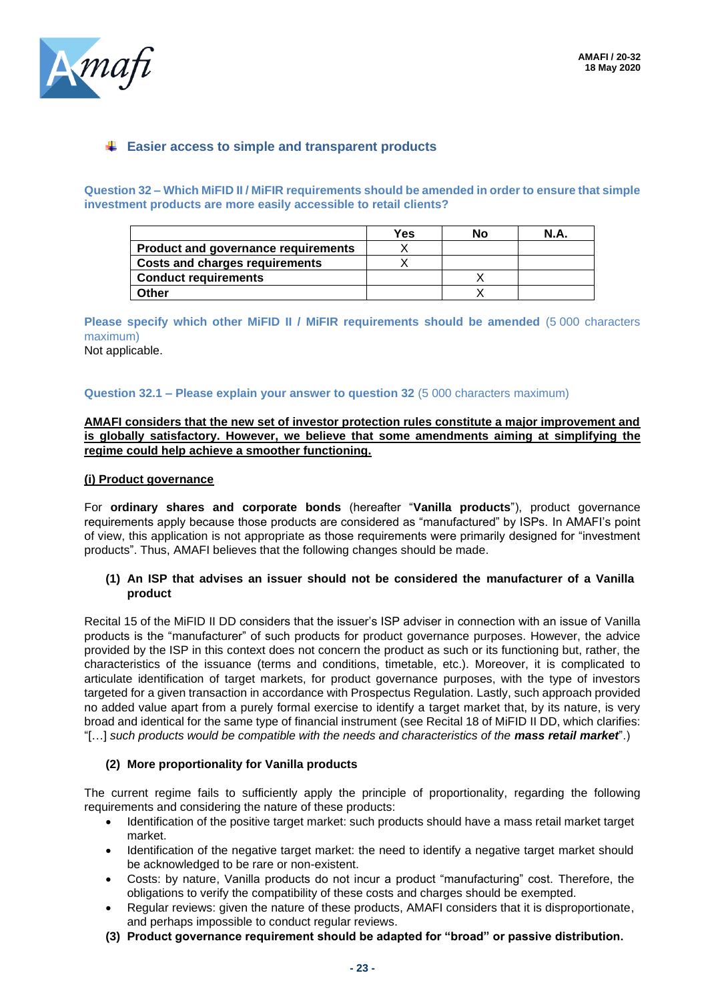

### **Easier access to simple and transparent products**

**Question 32 – Which MiFID II / MiFIR requirements should be amended in order to ensure that simple investment products are more easily accessible to retail clients?**

|                                       | Yes | No | N.A |
|---------------------------------------|-----|----|-----|
| Product and governance requirements   |     |    |     |
| <b>Costs and charges requirements</b> |     |    |     |
| <b>Conduct requirements</b>           |     |    |     |
| つther                                 |     |    |     |

**Please specify which other MiFID II / MiFIR requirements should be amended** (5 000 characters maximum)

Not applicable.

#### **Question 32.1 – Please explain your answer to question 32** (5 000 characters maximum)

#### **AMAFI considers that the new set of investor protection rules constitute a major improvement and is globally satisfactory. However, we believe that some amendments aiming at simplifying the regime could help achieve a smoother functioning.**

#### **(i) Product governance**

For **ordinary shares and corporate bonds** (hereafter "**Vanilla products**"), product governance requirements apply because those products are considered as "manufactured" by ISPs. In AMAFI's point of view, this application is not appropriate as those requirements were primarily designed for "investment products". Thus, AMAFI believes that the following changes should be made.

#### **(1) An ISP that advises an issuer should not be considered the manufacturer of a Vanilla product**

Recital 15 of the MiFID II DD considers that the issuer's ISP adviser in connection with an issue of Vanilla products is the "manufacturer" of such products for product governance purposes. However, the advice provided by the ISP in this context does not concern the product as such or its functioning but, rather, the characteristics of the issuance (terms and conditions, timetable, etc.). Moreover, it is complicated to articulate identification of target markets, for product governance purposes, with the type of investors targeted for a given transaction in accordance with Prospectus Regulation. Lastly, such approach provided no added value apart from a purely formal exercise to identify a target market that, by its nature, is very broad and identical for the same type of financial instrument (see Recital 18 of MiFID II DD, which clarifies: "[...] such products would be compatible with the needs and characteristics of the **mass retail market**".)

#### **(2) More proportionality for Vanilla products**

The current regime fails to sufficiently apply the principle of proportionality, regarding the following requirements and considering the nature of these products:

- Identification of the positive target market: such products should have a mass retail market target market.
- Identification of the negative target market: the need to identify a negative target market should be acknowledged to be rare or non-existent.
- Costs: by nature, Vanilla products do not incur a product "manufacturing" cost. Therefore, the obligations to verify the compatibility of these costs and charges should be exempted.
- Regular reviews: given the nature of these products, AMAFI considers that it is disproportionate, and perhaps impossible to conduct regular reviews.
- **(3) Product governance requirement should be adapted for "broad" or passive distribution.**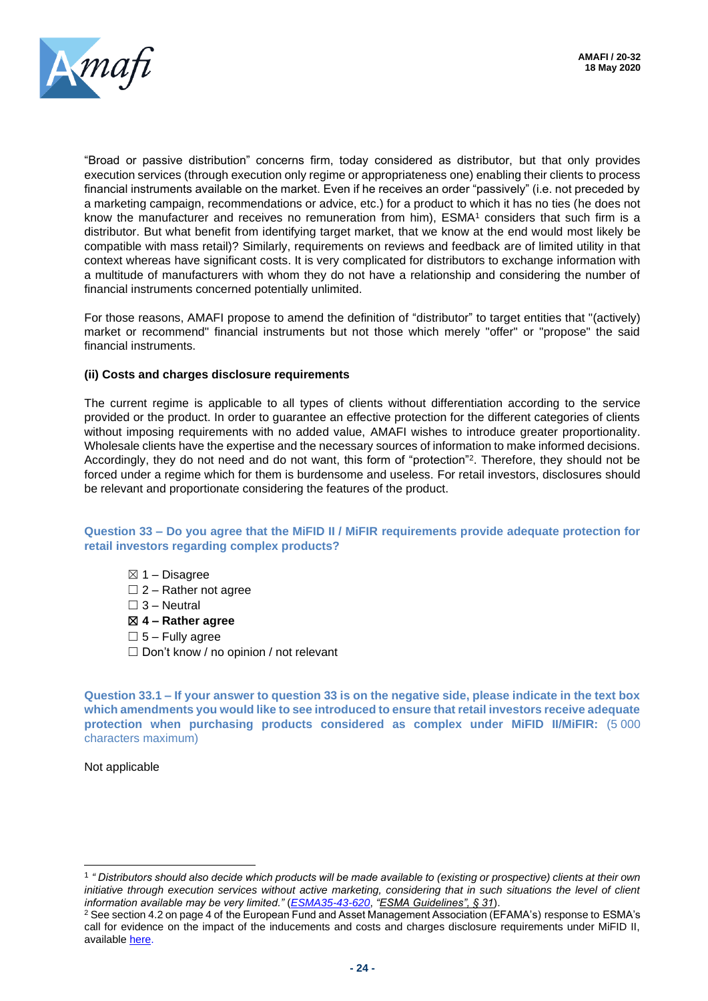

"Broad or passive distribution" concerns firm, today considered as distributor, but that only provides execution services (through execution only regime or appropriateness one) enabling their clients to process financial instruments available on the market. Even if he receives an order "passively" (i.e. not preceded by a marketing campaign, recommendations or advice, etc.) for a product to which it has no ties (he does not know the manufacturer and receives no remuneration from him), ESMA<sup>1</sup> considers that such firm is a distributor. But what benefit from identifying target market, that we know at the end would most likely be compatible with mass retail)? Similarly, requirements on reviews and feedback are of limited utility in that context whereas have significant costs. It is very complicated for distributors to exchange information with a multitude of manufacturers with whom they do not have a relationship and considering the number of financial instruments concerned potentially unlimited.

For those reasons, AMAFI propose to amend the definition of "distributor" to target entities that "(actively) market or recommend" financial instruments but not those which merely "offer" or "propose" the said financial instruments.

#### **(ii) Costs and charges disclosure requirements**

The current regime is applicable to all types of clients without differentiation according to the service provided or the product. In order to guarantee an effective protection for the different categories of clients without imposing requirements with no added value, AMAFI wishes to introduce greater proportionality. Wholesale clients have the expertise and the necessary sources of information to make informed decisions. Accordingly, they do not need and do not want, this form of "protection"<sup>2</sup>. Therefore, they should not be forced under a regime which for them is burdensome and useless. For retail investors, disclosures should be relevant and proportionate considering the features of the product.

#### **Question 33 – Do you agree that the MiFID II / MiFIR requirements provide adequate protection for retail investors regarding complex products?**

 $\boxtimes$  1 – Disagree  $\Box$  2 – Rather not agree  $\Box$  3 – Neutral ☒ **4 – Rather agree**  $\square$  5 – Fully agree □ Don't know / no opinion / not relevant

**Question 33.1 – If your answer to question 33 is on the negative side, please indicate in the text box which amendments you would like to see introduced to ensure that retail investors receive adequate protection when purchasing products considered as complex under MiFID II/MiFIR:** (5 000 characters maximum)

Not applicable

<sup>1</sup> *" Distributors should also decide which products will be made available to (existing or prospective) clients at their own initiative through execution services without active marketing, considering that in such situations the level of client information available may be very limited."* (*[ESMA35-43-620](https://www.esma.europa.eu/sites/default/files/library/esma35-43-620_guidelines_on_mifid_ii_product_governance_fr.pdf)*, *"ESMA Guidelines", § 31*).

<sup>2</sup> See section 4.2 on page 4 of the European Fund and Asset Management Association (EFAMA's) response to ESMA's call for evidence on the impact of the inducements and costs and charges disclosure requirements under MiFID II, available [here.](https://www.efama.org/Publications/Public/MiFID-MiFIR/19-4071.pdf)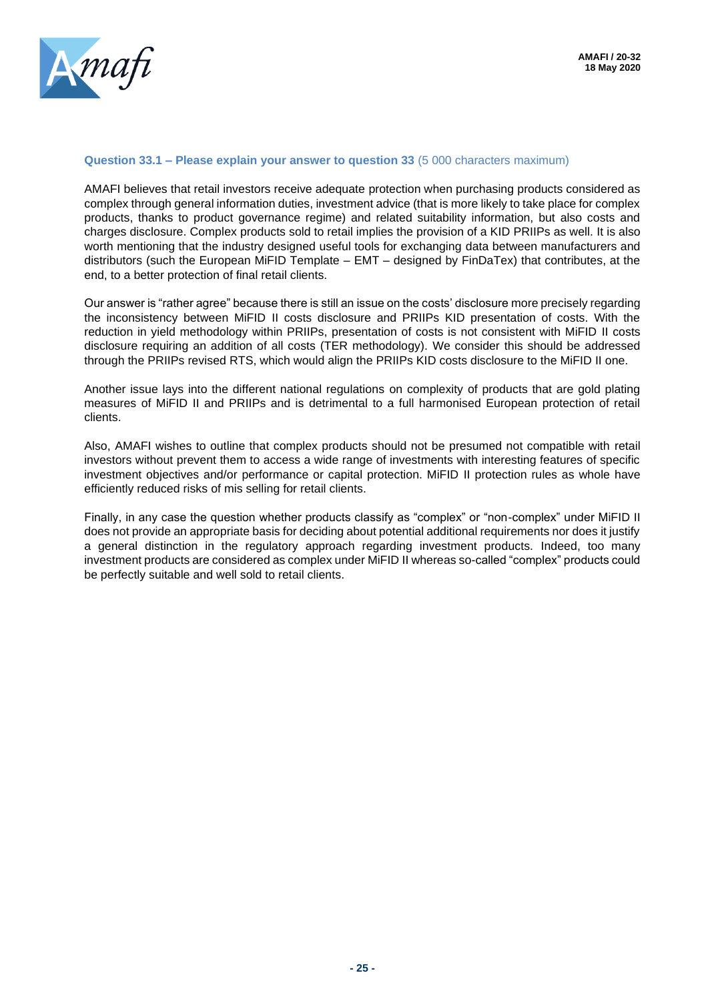

#### **Question 33.1 – Please explain your answer to question 33** (5 000 characters maximum)

AMAFI believes that retail investors receive adequate protection when purchasing products considered as complex through general information duties, investment advice (that is more likely to take place for complex products, thanks to product governance regime) and related suitability information, but also costs and charges disclosure. Complex products sold to retail implies the provision of a KID PRIIPs as well. It is also worth mentioning that the industry designed useful tools for exchanging data between manufacturers and distributors (such the European MiFID Template – EMT – designed by FinDaTex) that contributes, at the end, to a better protection of final retail clients.

Our answer is "rather agree" because there is still an issue on the costs' disclosure more precisely regarding the inconsistency between MiFID II costs disclosure and PRIIPs KID presentation of costs. With the reduction in yield methodology within PRIIPs, presentation of costs is not consistent with MiFID II costs disclosure requiring an addition of all costs (TER methodology). We consider this should be addressed through the PRIIPs revised RTS, which would align the PRIIPs KID costs disclosure to the MiFID II one.

Another issue lays into the different national regulations on complexity of products that are gold plating measures of MiFID II and PRIIPs and is detrimental to a full harmonised European protection of retail clients.

Also, AMAFI wishes to outline that complex products should not be presumed not compatible with retail investors without prevent them to access a wide range of investments with interesting features of specific investment objectives and/or performance or capital protection. MiFID II protection rules as whole have efficiently reduced risks of mis selling for retail clients.

Finally, in any case the question whether products classify as "complex" or "non-complex" under MiFID II does not provide an appropriate basis for deciding about potential additional requirements nor does it justify a general distinction in the regulatory approach regarding investment products. Indeed, too many investment products are considered as complex under MiFID II whereas so-called "complex" products could be perfectly suitable and well sold to retail clients.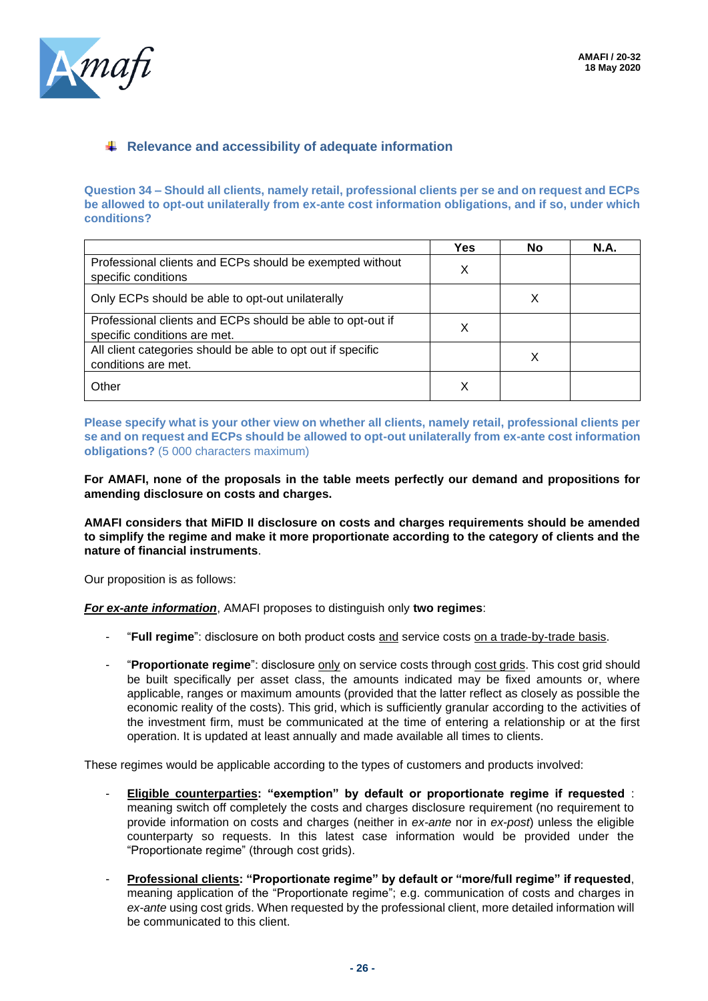

### **EXECUTE:** Relevance and accessibility of adequate information

**Question 34 – Should all clients, namely retail, professional clients per se and on request and ECPs be allowed to opt-out unilaterally from ex-ante cost information obligations, and if so, under which conditions?**

|                                                                                            | <b>Yes</b> | No | N.A. |
|--------------------------------------------------------------------------------------------|------------|----|------|
| Professional clients and ECPs should be exempted without<br>specific conditions            | X          |    |      |
| Only ECPs should be able to opt-out unilaterally                                           |            | Х  |      |
| Professional clients and ECPs should be able to opt-out if<br>specific conditions are met. |            |    |      |
| All client categories should be able to opt out if specific<br>conditions are met.         |            | Х  |      |
| Other                                                                                      |            |    |      |

**Please specify what is your other view on whether all clients, namely retail, professional clients per se and on request and ECPs should be allowed to opt-out unilaterally from ex-ante cost information obligations?** (5 000 characters maximum)

**For AMAFI, none of the proposals in the table meets perfectly our demand and propositions for amending disclosure on costs and charges.** 

**AMAFI considers that MiFID II disclosure on costs and charges requirements should be amended to simplify the regime and make it more proportionate according to the category of clients and the nature of financial instruments**.

Our proposition is as follows:

*For ex-ante information*, AMAFI proposes to distinguish only **two regimes**:

- "**Full regime**": disclosure on both product costs and service costs on a trade-by-trade basis.
- "**Proportionate regime**": disclosure only on service costs through cost grids. This cost grid should be built specifically per asset class, the amounts indicated may be fixed amounts or, where applicable, ranges or maximum amounts (provided that the latter reflect as closely as possible the economic reality of the costs). This grid, which is sufficiently granular according to the activities of the investment firm, must be communicated at the time of entering a relationship or at the first operation. It is updated at least annually and made available all times to clients.

These regimes would be applicable according to the types of customers and products involved:

- **Eligible counterparties: "exemption" by default or proportionate regime if requested** : meaning switch off completely the costs and charges disclosure requirement (no requirement to provide information on costs and charges (neither in *ex-ante* nor in *ex-post*) unless the eligible counterparty so requests. In this latest case information would be provided under the "Proportionate regime" (through cost grids).
- **Professional clients: "Proportionate regime" by default or "more/full regime" if requested**, meaning application of the "Proportionate regime"; e.g. communication of costs and charges in *ex-ante* using cost grids. When requested by the professional client, more detailed information will be communicated to this client.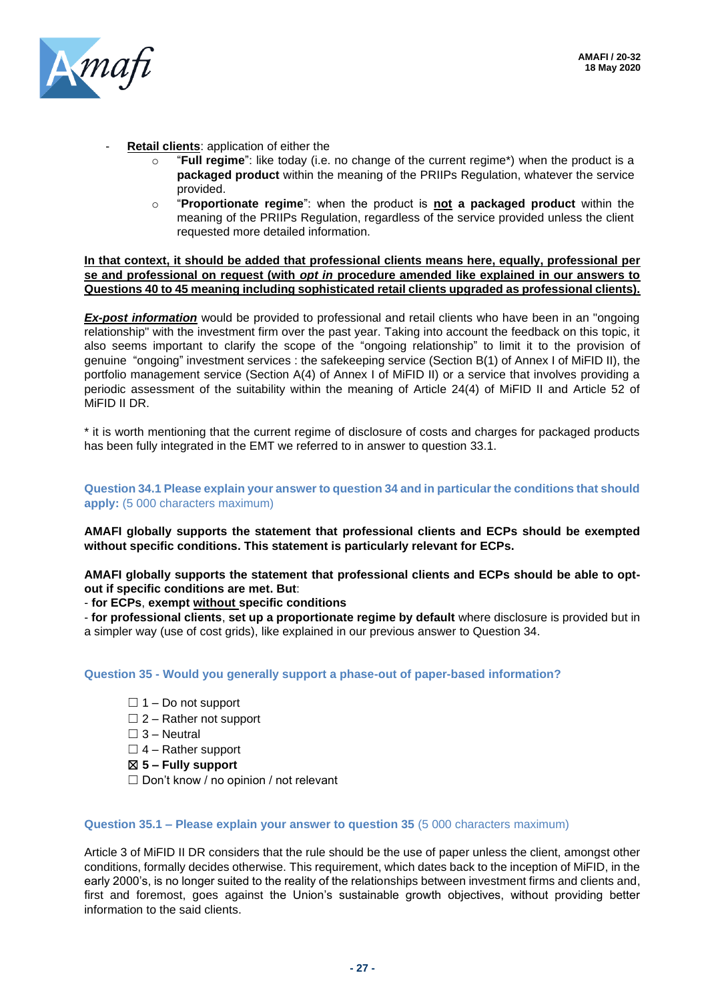

- **Retail clients**: application of either the
	- o "**Full regime**": like today (i.e. no change of the current regime\*) when the product is a **packaged product** within the meaning of the PRIIPs Regulation, whatever the service provided.
	- o "**Proportionate regime**": when the product is **not a packaged product** within the meaning of the PRIIPs Regulation, regardless of the service provided unless the client requested more detailed information.

**In that context, it should be added that professional clients means here, equally, professional per se and professional on request (with** *opt in* **procedure amended like explained in our answers to Questions 40 to 45 meaning including sophisticated retail clients upgraded as professional clients).** 

**Ex-post information** would be provided to professional and retail clients who have been in an "ongoing relationship" with the investment firm over the past year. Taking into account the feedback on this topic, it also seems important to clarify the scope of the "ongoing relationship" to limit it to the provision of genuine "ongoing" investment services : the safekeeping service (Section B(1) of Annex I of MiFID II), the portfolio management service (Section A(4) of Annex I of MiFID II) or a service that involves providing a periodic assessment of the suitability within the meaning of Article 24(4) of MiFID II and Article 52 of MiFID II DR.

\* it is worth mentioning that the current regime of disclosure of costs and charges for packaged products has been fully integrated in the EMT we referred to in answer to question 33.1.

**Question 34.1 Please explain your answer to question 34 and in particular the conditions that should apply:** (5 000 characters maximum)

**AMAFI globally supports the statement that professional clients and ECPs should be exempted without specific conditions. This statement is particularly relevant for ECPs.** 

**AMAFI globally supports the statement that professional clients and ECPs should be able to optout if specific conditions are met. But**:

- **for ECPs**, **exempt without specific conditions** 

- **for professional clients**, **set up a proportionate regime by default** where disclosure is provided but in a simpler way (use of cost grids), like explained in our previous answer to Question 34.

**Question 35 - Would you generally support a phase-out of paper-based information?**

- $\Box$  1 Do not support
- $\Box$  2 Rather not support
- $\Box$  3 Neutral

 $\Box$  4 – Rather support

☒ **5 – Fully support**

 $\Box$  Don't know / no opinion / not relevant

#### **Question 35.1 – Please explain your answer to question 35** (5 000 characters maximum)

Article 3 of MiFID II DR considers that the rule should be the use of paper unless the client, amongst other conditions, formally decides otherwise. This requirement, which dates back to the inception of MiFID, in the early 2000's, is no longer suited to the reality of the relationships between investment firms and clients and, first and foremost, goes against the Union's sustainable growth objectives, without providing better information to the said clients.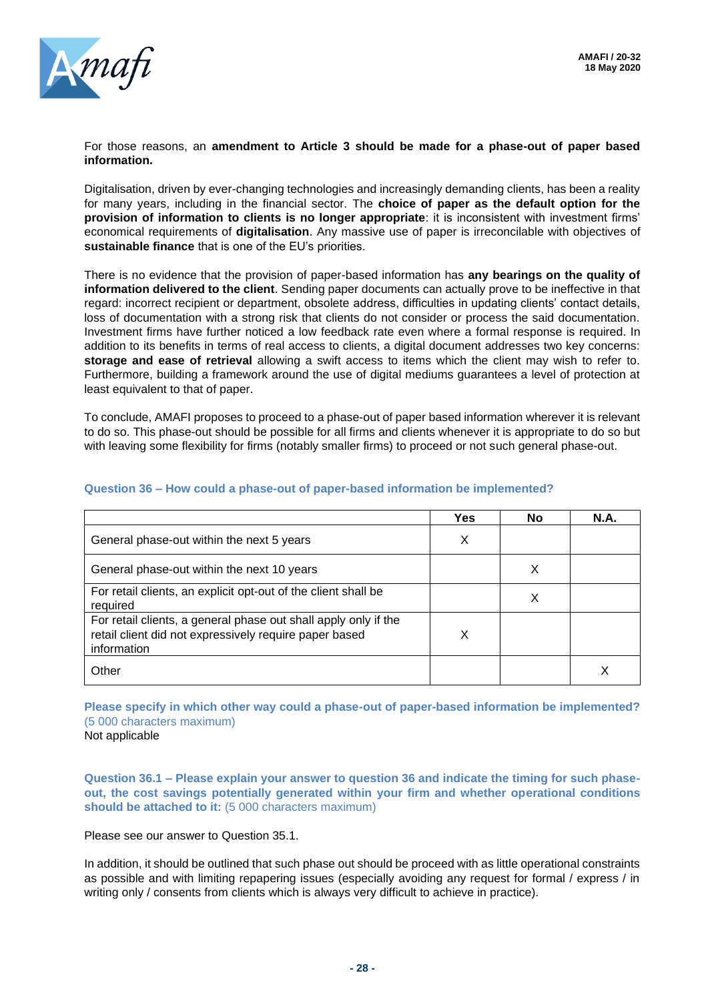

For those reasons, an **amendment to Article 3 should be made for a phase-out of paper based information.**

Digitalisation, driven by ever-changing technologies and increasingly demanding clients, has been a reality for many years, including in the financial sector. The **choice of paper as the default option for the provision of information to clients is no longer appropriate**: it is inconsistent with investment firms' economical requirements of **digitalisation**. Any massive use of paper is irreconcilable with objectives of **sustainable finance** that is one of the EU's priorities.

There is no evidence that the provision of paper-based information has **any bearings on the quality of information delivered to the client**. Sending paper documents can actually prove to be ineffective in that regard: incorrect recipient or department, obsolete address, difficulties in updating clients' contact details, loss of documentation with a strong risk that clients do not consider or process the said documentation. Investment firms have further noticed a low feedback rate even where a formal response is required. In addition to its benefits in terms of real access to clients, a digital document addresses two key concerns: **storage and ease of retrieval** allowing a swift access to items which the client may wish to refer to. Furthermore, building a framework around the use of digital mediums guarantees a level of protection at least equivalent to that of paper.

To conclude, AMAFI proposes to proceed to a phase-out of paper based information wherever it is relevant to do so. This phase-out should be possible for all firms and clients whenever it is appropriate to do so but with leaving some flexibility for firms (notably smaller firms) to proceed or not such general phase-out.

|                                                                                                                                          | <b>Yes</b> | <b>No</b> | <b>N.A.</b> |
|------------------------------------------------------------------------------------------------------------------------------------------|------------|-----------|-------------|
| General phase-out within the next 5 years                                                                                                | X          |           |             |
| General phase-out within the next 10 years                                                                                               |            | х         |             |
| For retail clients, an explicit opt-out of the client shall be<br>required                                                               |            | X         |             |
| For retail clients, a general phase out shall apply only if the<br>retail client did not expressively require paper based<br>information | x          |           |             |
| Other                                                                                                                                    |            |           |             |

#### **Question 36 – How could a phase-out of paper-based information be implemented?**

**Please specify in which other way could a phase-out of paper-based information be implemented?** (5 000 characters maximum)

Not applicable

**Question 36.1 – Please explain your answer to question 36 and indicate the timing for such phaseout, the cost savings potentially generated within your firm and whether operational conditions should be attached to it:** (5 000 characters maximum)

Please see our answer to Question 35.1.

In addition, it should be outlined that such phase out should be proceed with as little operational constraints as possible and with limiting repapering issues (especially avoiding any request for formal / express / in writing only / consents from clients which is always very difficult to achieve in practice).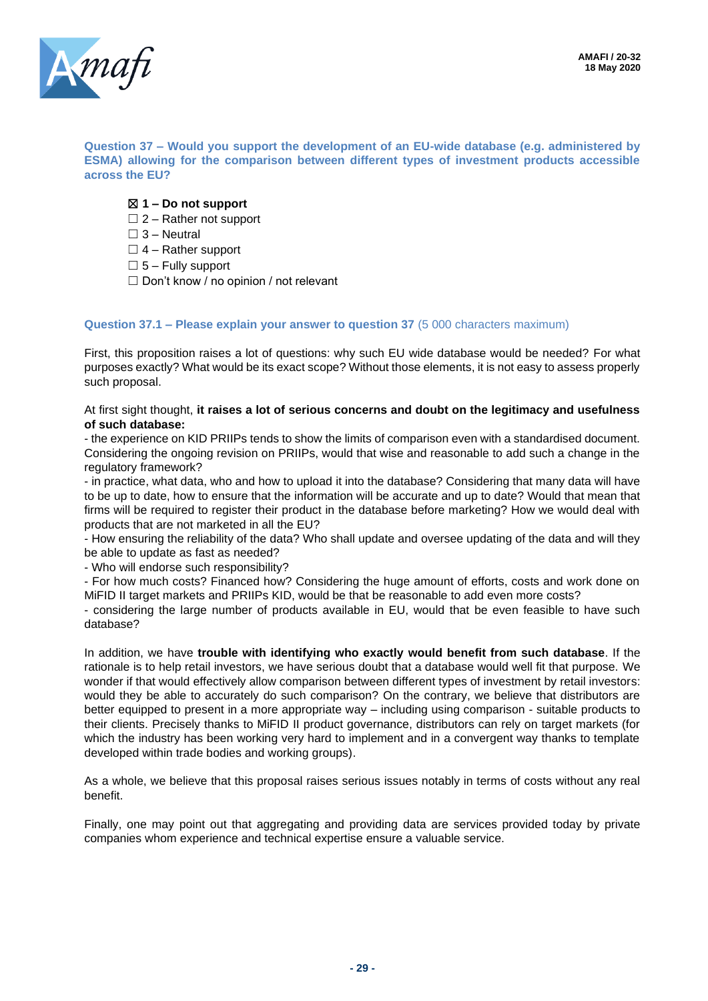

**Question 37 – Would you support the development of an EU-wide database (e.g. administered by ESMA) allowing for the comparison between different types of investment products accessible across the EU?**

- ☒ **1 – Do not support**
- $\Box$  2 Rather not support
- $\Box$  3 Neutral
- $\Box$  4 Rather support
- $\square$  5 Fully support
- □ Don't know / no opinion / not relevant

#### **Question 37.1 – Please explain your answer to question 37** (5 000 characters maximum)

First, this proposition raises a lot of questions: why such EU wide database would be needed? For what purposes exactly? What would be its exact scope? Without those elements, it is not easy to assess properly such proposal.

#### At first sight thought, **it raises a lot of serious concerns and doubt on the legitimacy and usefulness of such database:**

- the experience on KID PRIIPs tends to show the limits of comparison even with a standardised document. Considering the ongoing revision on PRIIPs, would that wise and reasonable to add such a change in the regulatory framework?

- in practice, what data, who and how to upload it into the database? Considering that many data will have to be up to date, how to ensure that the information will be accurate and up to date? Would that mean that firms will be required to register their product in the database before marketing? How we would deal with products that are not marketed in all the EU?

- How ensuring the reliability of the data? Who shall update and oversee updating of the data and will they be able to update as fast as needed?

- Who will endorse such responsibility?

- For how much costs? Financed how? Considering the huge amount of efforts, costs and work done on MiFID II target markets and PRIIPs KID, would be that be reasonable to add even more costs?

- considering the large number of products available in EU, would that be even feasible to have such database?

In addition, we have **trouble with identifying who exactly would benefit from such database**. If the rationale is to help retail investors, we have serious doubt that a database would well fit that purpose. We wonder if that would effectively allow comparison between different types of investment by retail investors: would they be able to accurately do such comparison? On the contrary, we believe that distributors are better equipped to present in a more appropriate way – including using comparison - suitable products to their clients. Precisely thanks to MiFID II product governance, distributors can rely on target markets (for which the industry has been working very hard to implement and in a convergent way thanks to template developed within trade bodies and working groups).

As a whole, we believe that this proposal raises serious issues notably in terms of costs without any real benefit.

Finally, one may point out that aggregating and providing data are services provided today by private companies whom experience and technical expertise ensure a valuable service.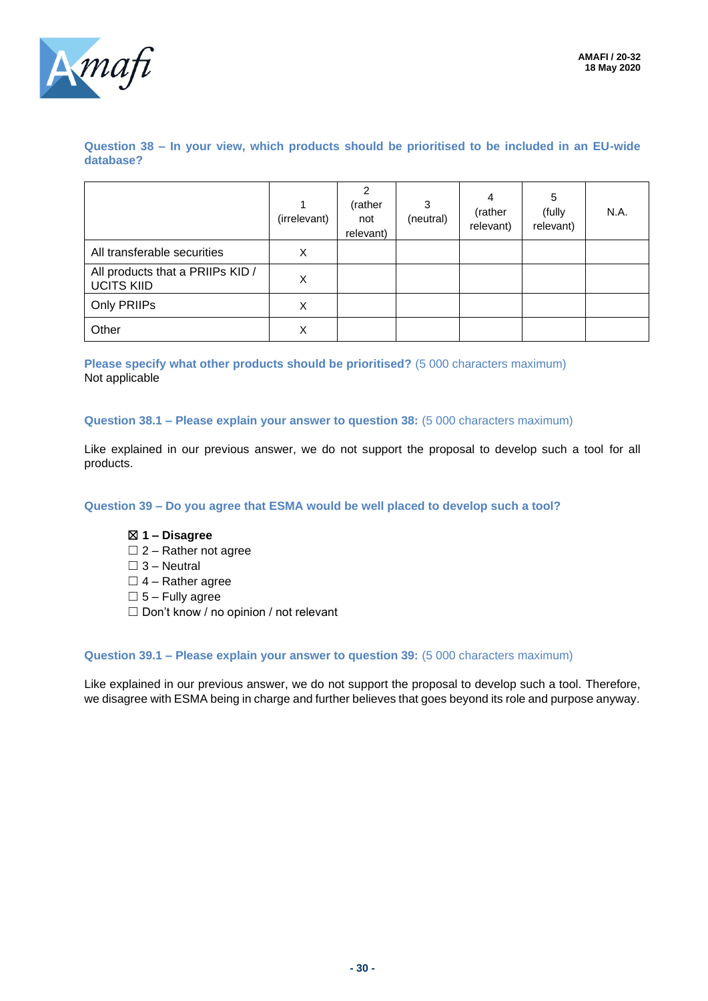

**Question 38 – In your view, which products should be prioritised to be included in an EU-wide database?**

|                                                       | (irrelevant) | 2<br>(rather<br>not<br>relevant) | 3<br>(neutral) | 4<br>(rather<br>relevant) | 5<br>(fully<br>relevant) | N.A. |
|-------------------------------------------------------|--------------|----------------------------------|----------------|---------------------------|--------------------------|------|
| All transferable securities                           | X            |                                  |                |                           |                          |      |
| All products that a PRIIPs KID /<br><b>UCITS KIID</b> | X            |                                  |                |                           |                          |      |
| Only PRIIPs                                           | X            |                                  |                |                           |                          |      |
| Other                                                 | X            |                                  |                |                           |                          |      |

**Please specify what other products should be prioritised?** (5 000 characters maximum) Not applicable

#### **Question 38.1 – Please explain your answer to question 38:** (5 000 characters maximum)

Like explained in our previous answer, we do not support the proposal to develop such a tool for all products.

**Question 39 – Do you agree that ESMA would be well placed to develop such a tool?**

#### ☒ **1 – Disagree**

- $\Box$  2 Rather not agree
- $\square$  3 Neutral
- $\Box$  4 Rather agree
- $\square$  5 Fully agree
- ☐ Don't know / no opinion / not relevant

#### **Question 39.1 – Please explain your answer to question 39:** (5 000 characters maximum)

Like explained in our previous answer, we do not support the proposal to develop such a tool. Therefore, we disagree with ESMA being in charge and further believes that goes beyond its role and purpose anyway.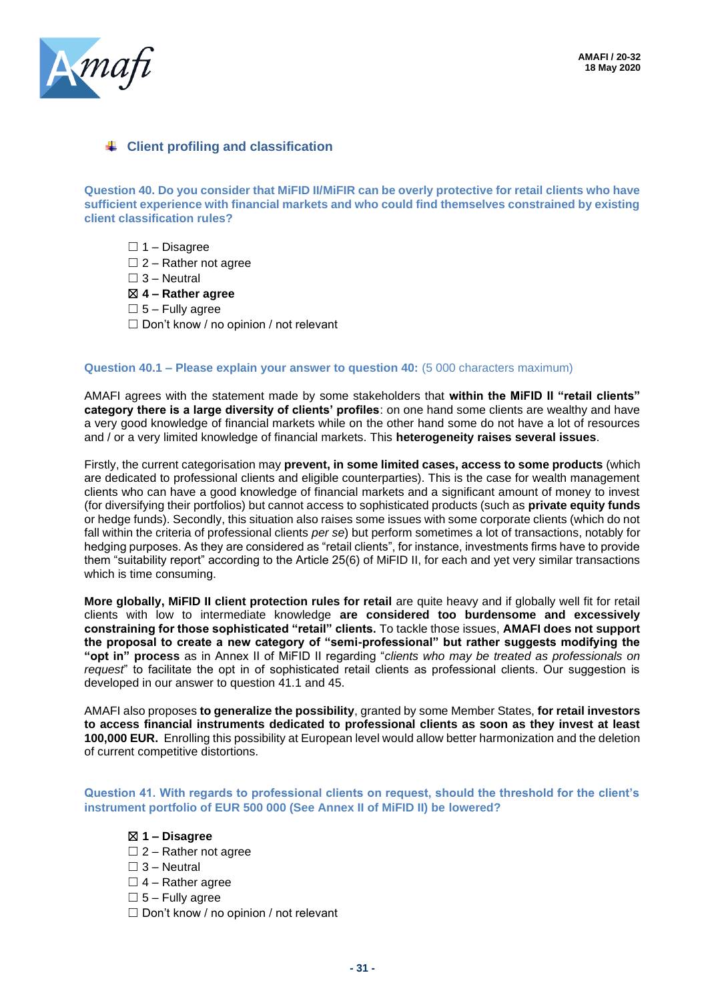

### **Client profiling and classification**

**Question 40. Do you consider that MiFID II/MiFIR can be overly protective for retail clients who have sufficient experience with financial markets and who could find themselves constrained by existing client classification rules?**

- $\Box$  1 Disagree
- $\Box$  2 Rather not agree
- $\Box$  3 Neutral
- ☒ **4 – Rather agree**
- $\square$  5 Fully agree
- $\Box$  Don't know / no opinion / not relevant

#### **Question 40.1 – Please explain your answer to question 40:** (5 000 characters maximum)

AMAFI agrees with the statement made by some stakeholders that **within the MiFID II "retail clients" category there is a large diversity of clients' profiles**: on one hand some clients are wealthy and have a very good knowledge of financial markets while on the other hand some do not have a lot of resources and / or a very limited knowledge of financial markets. This **heterogeneity raises several issues**.

Firstly, the current categorisation may **prevent, in some limited cases, access to some products** (which are dedicated to professional clients and eligible counterparties). This is the case for wealth management clients who can have a good knowledge of financial markets and a significant amount of money to invest (for diversifying their portfolios) but cannot access to sophisticated products (such as **private equity funds** or hedge funds). Secondly, this situation also raises some issues with some corporate clients (which do not fall within the criteria of professional clients *per se*) but perform sometimes a lot of transactions, notably for hedging purposes. As they are considered as "retail clients", for instance, investments firms have to provide them "suitability report" according to the Article 25(6) of MiFID II, for each and yet very similar transactions which is time consuming.

**More globally, MiFID II client protection rules for retail** are quite heavy and if globally well fit for retail clients with low to intermediate knowledge **are considered too burdensome and excessively constraining for those sophisticated "retail" clients.** To tackle those issues, **AMAFI does not support the proposal to create a new category of "semi-professional" but rather suggests modifying the "opt in" process** as in Annex II of MiFID II regarding "*clients who may be treated as professionals on request*" to facilitate the opt in of sophisticated retail clients as professional clients. Our suggestion is developed in our answer to question 41.1 and 45.

AMAFI also proposes **to generalize the possibility**, granted by some Member States, **for retail investors to access financial instruments dedicated to professional clients as soon as they invest at least 100,000 EUR.** Enrolling this possibility at European level would allow better harmonization and the deletion of current competitive distortions.

**Question 41. With regards to professional clients on request, should the threshold for the client's instrument portfolio of EUR 500 000 (See Annex II of MiFID II) be lowered?**

#### ☒ **1 – Disagree**

- $\Box$  2 Rather not agree
- $\Box$  3 Neutral
- $\Box$  4 Rather agree
- $\square$  5 Fully agree
- ☐ Don't know / no opinion / not relevant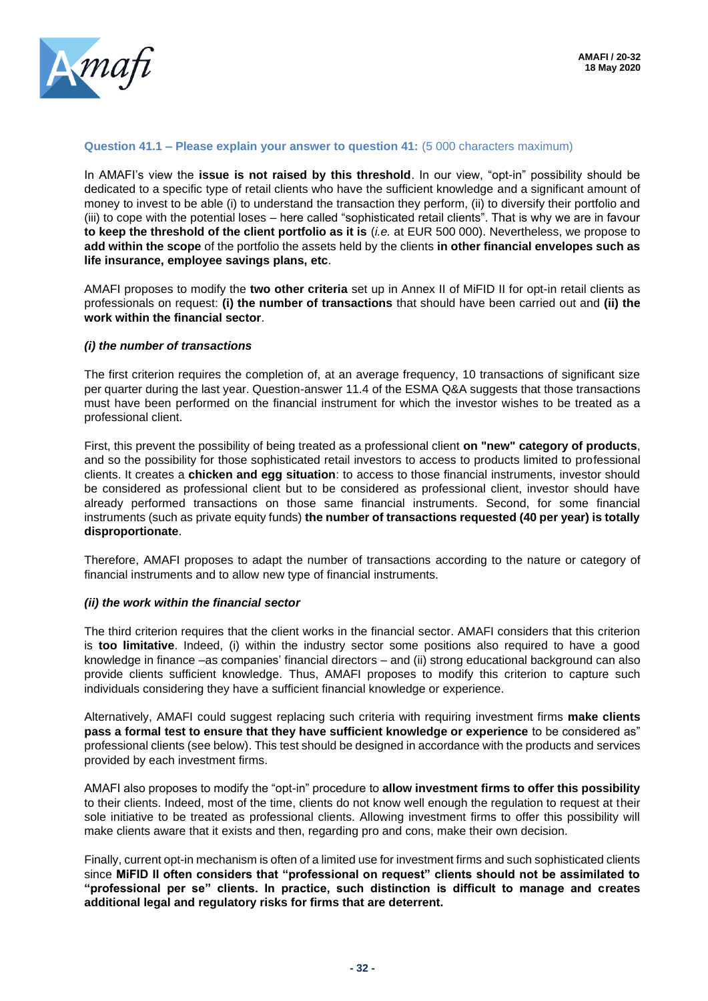

#### **Question 41.1 – Please explain your answer to question 41:** (5 000 characters maximum)

In AMAFI's view the **issue is not raised by this threshold**. In our view, "opt-in" possibility should be dedicated to a specific type of retail clients who have the sufficient knowledge and a significant amount of money to invest to be able (i) to understand the transaction they perform, (ii) to diversify their portfolio and (iii) to cope with the potential loses – here called "sophisticated retail clients". That is why we are in favour **to keep the threshold of the client portfolio as it is** (*i.e.* at EUR 500 000). Nevertheless, we propose to **add within the scope** of the portfolio the assets held by the clients **in other financial envelopes such as life insurance, employee savings plans, etc**.

AMAFI proposes to modify the **two other criteria** set up in Annex II of MiFID II for opt-in retail clients as professionals on request: **(i) the number of transactions** that should have been carried out and **(ii) the work within the financial sector**.

#### *(i) the number of transactions*

The first criterion requires the completion of, at an average frequency, 10 transactions of significant size per quarter during the last year. Question-answer 11.4 of the ESMA Q&A suggests that those transactions must have been performed on the financial instrument for which the investor wishes to be treated as a professional client.

First, this prevent the possibility of being treated as a professional client **on "new" category of products**, and so the possibility for those sophisticated retail investors to access to products limited to professional clients. It creates a **chicken and egg situation**: to access to those financial instruments, investor should be considered as professional client but to be considered as professional client, investor should have already performed transactions on those same financial instruments. Second, for some financial instruments (such as private equity funds) **the number of transactions requested (40 per year) is totally disproportionate**.

Therefore, AMAFI proposes to adapt the number of transactions according to the nature or category of financial instruments and to allow new type of financial instruments.

#### *(ii) the work within the financial sector*

The third criterion requires that the client works in the financial sector. AMAFI considers that this criterion is **too limitative**. Indeed, (i) within the industry sector some positions also required to have a good knowledge in finance –as companies' financial directors – and (ii) strong educational background can also provide clients sufficient knowledge. Thus, AMAFI proposes to modify this criterion to capture such individuals considering they have a sufficient financial knowledge or experience.

Alternatively, AMAFI could suggest replacing such criteria with requiring investment firms **make clients pass a formal test to ensure that they have sufficient knowledge or experience** to be considered as" professional clients (see below). This test should be designed in accordance with the products and services provided by each investment firms.

AMAFI also proposes to modify the "opt-in" procedure to **allow investment firms to offer this possibility** to their clients. Indeed, most of the time, clients do not know well enough the regulation to request at their sole initiative to be treated as professional clients. Allowing investment firms to offer this possibility will make clients aware that it exists and then, regarding pro and cons, make their own decision.

Finally, current opt-in mechanism is often of a limited use for investment firms and such sophisticated clients since **MiFID II often considers that "professional on request" clients should not be assimilated to "professional per se" clients. In practice, such distinction is difficult to manage and creates additional legal and regulatory risks for firms that are deterrent.**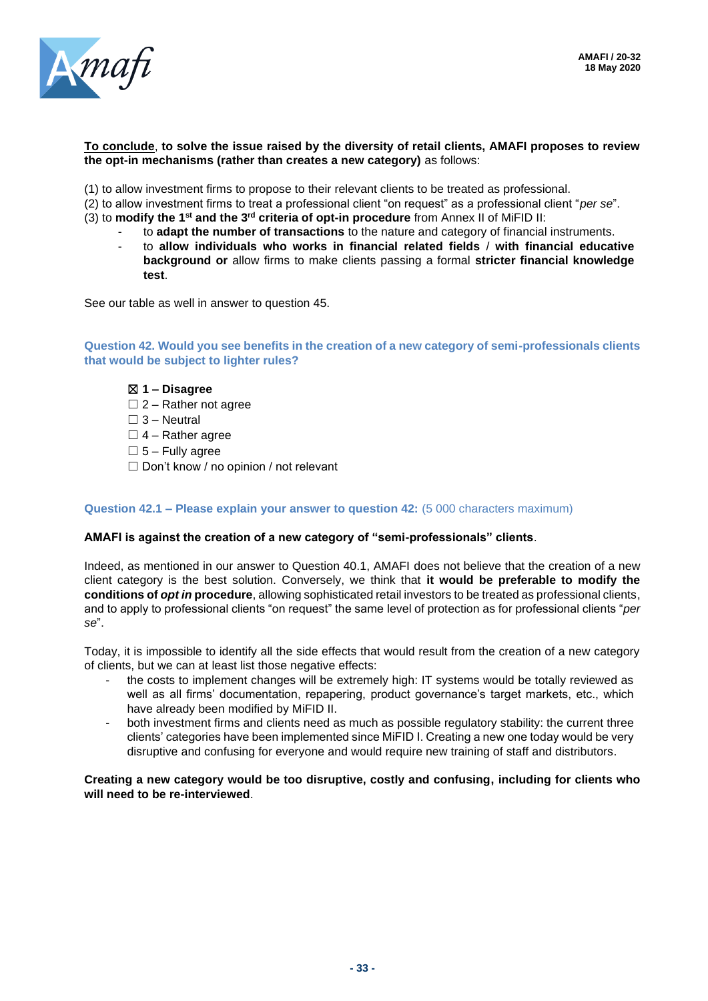

#### **To conclude**, **to solve the issue raised by the diversity of retail clients, AMAFI proposes to review the opt-in mechanisms (rather than creates a new category)** as follows:

- (1) to allow investment firms to propose to their relevant clients to be treated as professional.
- (2) to allow investment firms to treat a professional client "on request" as a professional client "*per se*".
- (3) to modify the 1<sup>st</sup> and the 3<sup>rd</sup> criteria of opt-in procedure from Annex II of MiFID II:
	- to **adapt the number of transactions** to the nature and category of financial instruments.
	- to **allow individuals who works in financial related fields** / **with financial educative background or** allow firms to make clients passing a formal **stricter financial knowledge test**.

See our table as well in answer to question 45.

**Question 42. Would you see benefits in the creation of a new category of semi-professionals clients that would be subject to lighter rules?**

#### ☒ **1 – Disagree**

 $\Box$  2 – Rather not agree

 $\Box$  3 – Neutral

 $\Box$  4 – Rather agree

 $\square$  5 – Fully agree

 $\Box$  Don't know / no opinion / not relevant

#### **Question 42.1 – Please explain your answer to question 42:** (5 000 characters maximum)

#### **AMAFI is against the creation of a new category of "semi-professionals" clients**.

Indeed, as mentioned in our answer to Question 40.1, AMAFI does not believe that the creation of a new client category is the best solution. Conversely, we think that **it would be preferable to modify the conditions of** *opt in* **procedure**, allowing sophisticated retail investors to be treated as professional clients, and to apply to professional clients "on request" the same level of protection as for professional clients "*per se*".

Today, it is impossible to identify all the side effects that would result from the creation of a new category of clients, but we can at least list those negative effects:

- the costs to implement changes will be extremely high: IT systems would be totally reviewed as well as all firms' documentation, repapering, product governance's target markets, etc., which have already been modified by MiFID II.
- both investment firms and clients need as much as possible regulatory stability: the current three clients' categories have been implemented since MiFID I. Creating a new one today would be very disruptive and confusing for everyone and would require new training of staff and distributors.

**Creating a new category would be too disruptive, costly and confusing, including for clients who will need to be re-interviewed**.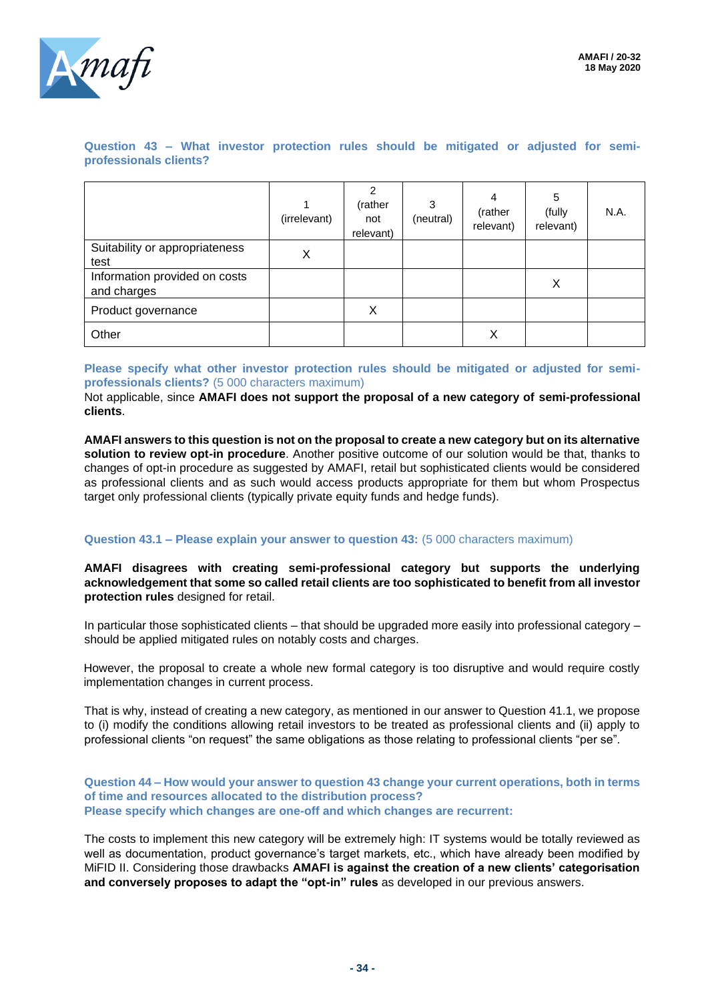

**Question 43 – What investor protection rules should be mitigated or adjusted for semiprofessionals clients?**

|                                              | (irrelevant) | $\overline{2}$<br>(rather<br>not<br>relevant) | 3<br>(neutral) | 4<br>(rather<br>relevant) | 5<br>(fully<br>relevant) | N.A. |
|----------------------------------------------|--------------|-----------------------------------------------|----------------|---------------------------|--------------------------|------|
| Suitability or appropriateness<br>test       | X            |                                               |                |                           |                          |      |
| Information provided on costs<br>and charges |              |                                               |                |                           | X                        |      |
| Product governance                           |              | X                                             |                |                           |                          |      |
| Other                                        |              |                                               |                | Χ                         |                          |      |

**Please specify what other investor protection rules should be mitigated or adjusted for semiprofessionals clients?** (5 000 characters maximum)

Not applicable, since **AMAFI does not support the proposal of a new category of semi-professional clients**.

**AMAFI answers to this question is not on the proposal to create a new category but on its alternative solution to review opt-in procedure**. Another positive outcome of our solution would be that, thanks to changes of opt-in procedure as suggested by AMAFI, retail but sophisticated clients would be considered as professional clients and as such would access products appropriate for them but whom Prospectus target only professional clients (typically private equity funds and hedge funds).

#### **Question 43.1 – Please explain your answer to question 43:** (5 000 characters maximum)

**AMAFI disagrees with creating semi-professional category but supports the underlying acknowledgement that some so called retail clients are too sophisticated to benefit from all investor protection rules** designed for retail.

In particular those sophisticated clients – that should be upgraded more easily into professional category – should be applied mitigated rules on notably costs and charges.

However, the proposal to create a whole new formal category is too disruptive and would require costly implementation changes in current process.

That is why, instead of creating a new category, as mentioned in our answer to Question 41.1, we propose to (i) modify the conditions allowing retail investors to be treated as professional clients and (ii) apply to professional clients "on request" the same obligations as those relating to professional clients "per se".

#### **Question 44 – How would your answer to question 43 change your current operations, both in terms of time and resources allocated to the distribution process? Please specify which changes are one-off and which changes are recurrent:**

The costs to implement this new category will be extremely high: IT systems would be totally reviewed as well as documentation, product governance's target markets, etc., which have already been modified by MiFID II. Considering those drawbacks **AMAFI is against the creation of a new clients' categorisation and conversely proposes to adapt the "opt-in" rules** as developed in our previous answers.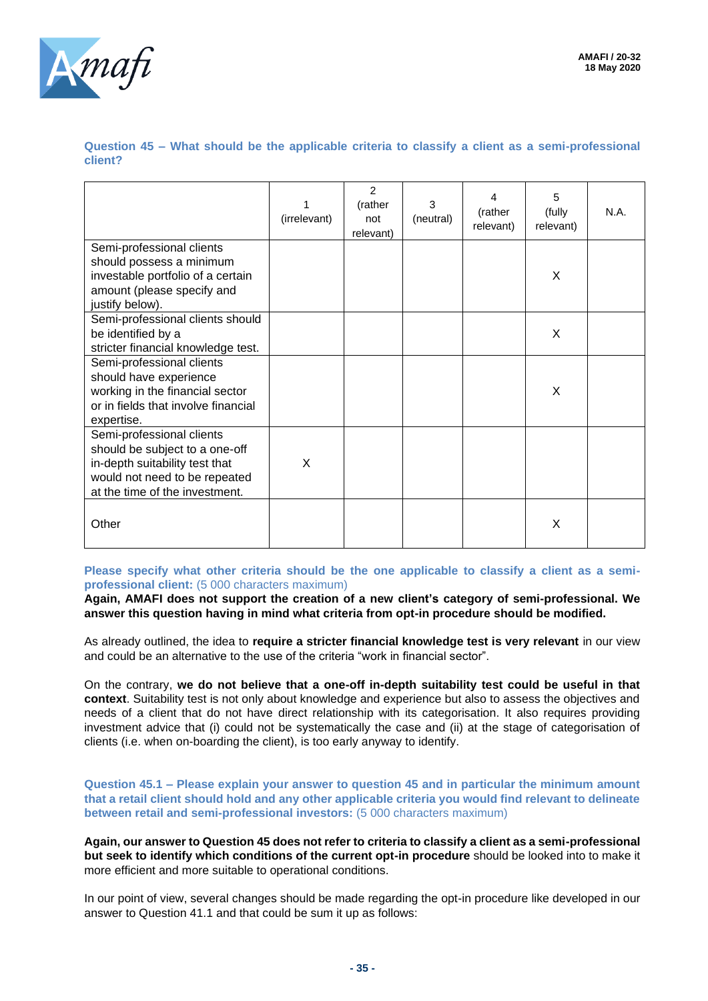

**Question 45 – What should be the applicable criteria to classify a client as a semi-professional client?**

|                                                                                                                                                                  | 1<br>(irrelevant) | $\overline{2}$<br>(rather<br>not<br>relevant) | 3<br>(neutral) | 4<br>(rather<br>relevant) | 5<br>(fully<br>relevant) | N.A. |
|------------------------------------------------------------------------------------------------------------------------------------------------------------------|-------------------|-----------------------------------------------|----------------|---------------------------|--------------------------|------|
| Semi-professional clients<br>should possess a minimum<br>investable portfolio of a certain<br>amount (please specify and<br>justify below).                      |                   |                                               |                |                           | X                        |      |
| Semi-professional clients should<br>be identified by a<br>stricter financial knowledge test.                                                                     |                   |                                               |                |                           | X                        |      |
| Semi-professional clients<br>should have experience<br>working in the financial sector<br>or in fields that involve financial<br>expertise.                      |                   |                                               |                |                           | X                        |      |
| Semi-professional clients<br>should be subject to a one-off<br>in-depth suitability test that<br>would not need to be repeated<br>at the time of the investment. | X                 |                                               |                |                           |                          |      |
| Other                                                                                                                                                            |                   |                                               |                |                           | Χ                        |      |

**Please specify what other criteria should be the one applicable to classify a client as a semiprofessional client:** (5 000 characters maximum)

**Again, AMAFI does not support the creation of a new client's category of semi-professional. We answer this question having in mind what criteria from opt-in procedure should be modified.**

As already outlined, the idea to **require a stricter financial knowledge test is very relevant** in our view and could be an alternative to the use of the criteria "work in financial sector".

On the contrary, **we do not believe that a one-off in-depth suitability test could be useful in that context**. Suitability test is not only about knowledge and experience but also to assess the objectives and needs of a client that do not have direct relationship with its categorisation. It also requires providing investment advice that (i) could not be systematically the case and (ii) at the stage of categorisation of clients (i.e. when on-boarding the client), is too early anyway to identify.

**Question 45.1 – Please explain your answer to question 45 and in particular the minimum amount that a retail client should hold and any other applicable criteria you would find relevant to delineate between retail and semi-professional investors:** (5 000 characters maximum)

**Again, our answer to Question 45 does not refer to criteria to classify a client as a semi-professional but seek to identify which conditions of the current opt-in procedure** should be looked into to make it more efficient and more suitable to operational conditions.

In our point of view, several changes should be made regarding the opt-in procedure like developed in our answer to Question 41.1 and that could be sum it up as follows: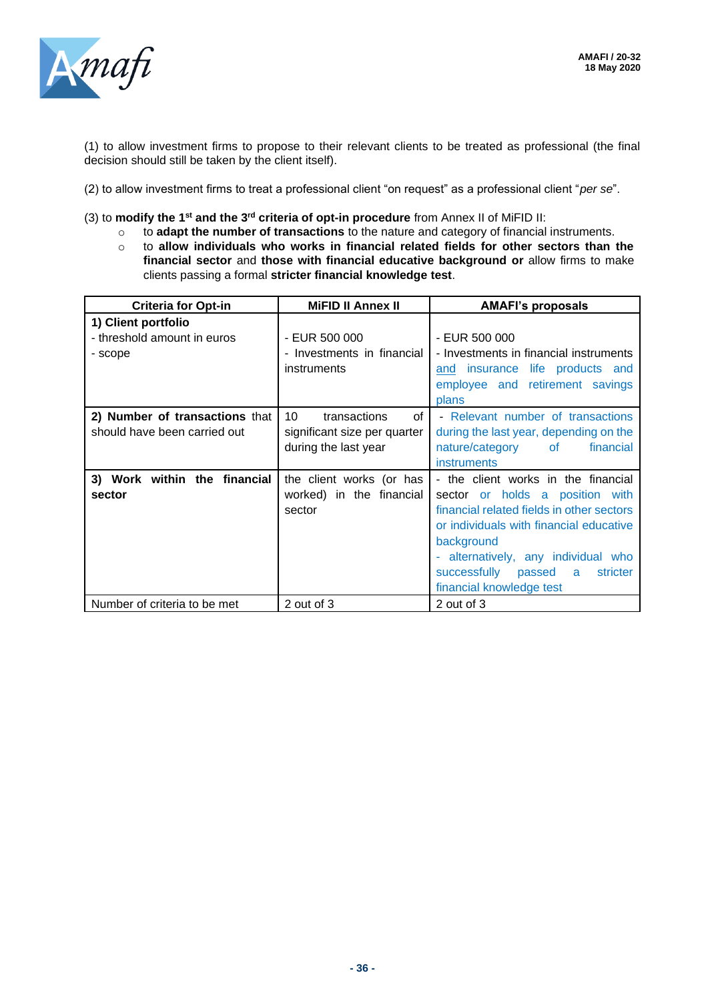

(1) to allow investment firms to propose to their relevant clients to be treated as professional (the final decision should still be taken by the client itself).

- (2) to allow investment firms to treat a professional client "on request" as a professional client "*per se*".
- (3) to **modify the 1st and the 3rd criteria of opt-in procedure** from Annex II of MiFID II:
	- o to **adapt the number of transactions** to the nature and category of financial instruments.
	- o to **allow individuals who works in financial related fields for other sectors than the financial sector** and **those with financial educative background or** allow firms to make clients passing a formal **stricter financial knowledge test**.

| <b>Criteria for Opt-in</b>                                     | <b>MiFID II Annex II</b>                                                         | <b>AMAFI's proposals</b>                                                                                                                                                                                                                                                             |
|----------------------------------------------------------------|----------------------------------------------------------------------------------|--------------------------------------------------------------------------------------------------------------------------------------------------------------------------------------------------------------------------------------------------------------------------------------|
| 1) Client portfolio<br>- threshold amount in euros<br>- scope  | - EUR 500 000<br>- Investments in financial<br>instruments                       | - EUR 500 000<br>- Investments in financial instruments<br>and insurance life products and                                                                                                                                                                                           |
|                                                                |                                                                                  | employee and retirement savings<br>plans                                                                                                                                                                                                                                             |
| 2) Number of transactions that<br>should have been carried out | 10<br>of<br>transactions<br>significant size per quarter<br>during the last year | - Relevant number of transactions<br>during the last year, depending on the<br>nature/category of<br>financial<br><b>instruments</b>                                                                                                                                                 |
| 3) Work within the financial<br>sector                         | the client works (or has<br>worked) in the financial<br>sector                   | - the client works in the financial<br>sector or holds a position with<br>financial related fields in other sectors<br>or individuals with financial educative<br>background<br>- alternatively, any individual who<br>successfully passed a<br>stricter<br>financial knowledge test |
| Number of criteria to be met                                   | 2 out of 3                                                                       | 2 out of 3                                                                                                                                                                                                                                                                           |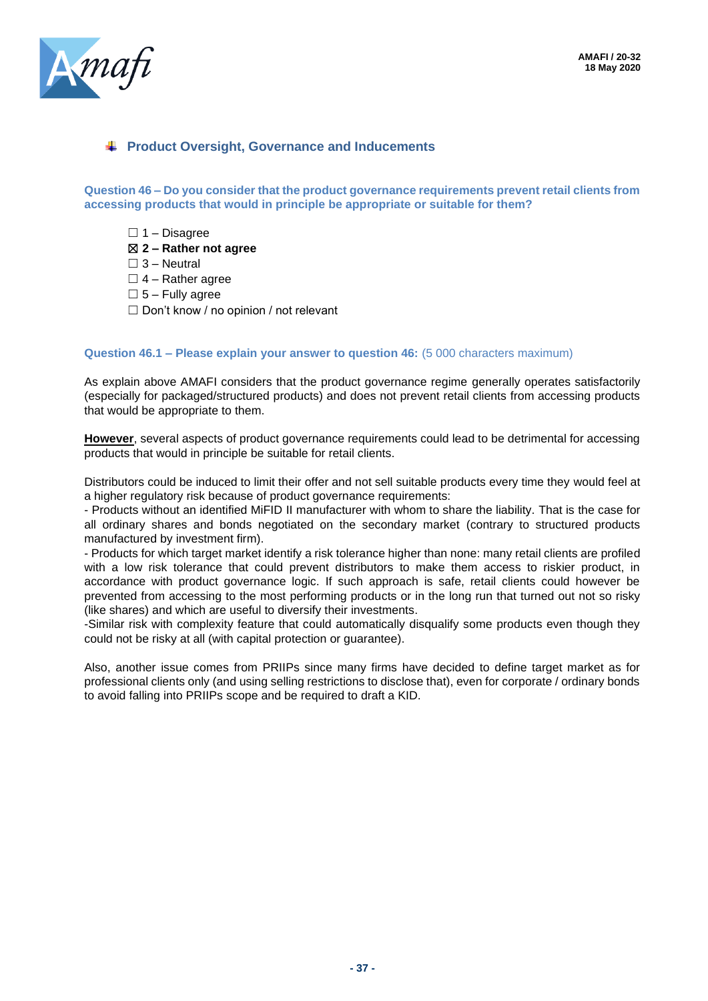

### **Product Oversight, Governance and Inducements**

**Question 46 – Do you consider that the product governance requirements prevent retail clients from accessing products that would in principle be appropriate or suitable for them?**

 $\Box$  1 – Disagree

☒ **2 – Rather not agree**

 $\square$  3 – Neutral

 $\Box$  4 – Rather agree

- $\square$  5 Fully agree
- $\Box$  Don't know / no opinion / not relevant

#### **Question 46.1 – Please explain your answer to question 46:** (5 000 characters maximum)

As explain above AMAFI considers that the product governance regime generally operates satisfactorily (especially for packaged/structured products) and does not prevent retail clients from accessing products that would be appropriate to them.

**However**, several aspects of product governance requirements could lead to be detrimental for accessing products that would in principle be suitable for retail clients.

Distributors could be induced to limit their offer and not sell suitable products every time they would feel at a higher regulatory risk because of product governance requirements:

- Products without an identified MiFID II manufacturer with whom to share the liability. That is the case for all ordinary shares and bonds negotiated on the secondary market (contrary to structured products manufactured by investment firm).

- Products for which target market identify a risk tolerance higher than none: many retail clients are profiled with a low risk tolerance that could prevent distributors to make them access to riskier product, in accordance with product governance logic. If such approach is safe, retail clients could however be prevented from accessing to the most performing products or in the long run that turned out not so risky (like shares) and which are useful to diversify their investments.

-Similar risk with complexity feature that could automatically disqualify some products even though they could not be risky at all (with capital protection or guarantee).

Also, another issue comes from PRIIPs since many firms have decided to define target market as for professional clients only (and using selling restrictions to disclose that), even for corporate / ordinary bonds to avoid falling into PRIIPs scope and be required to draft a KID.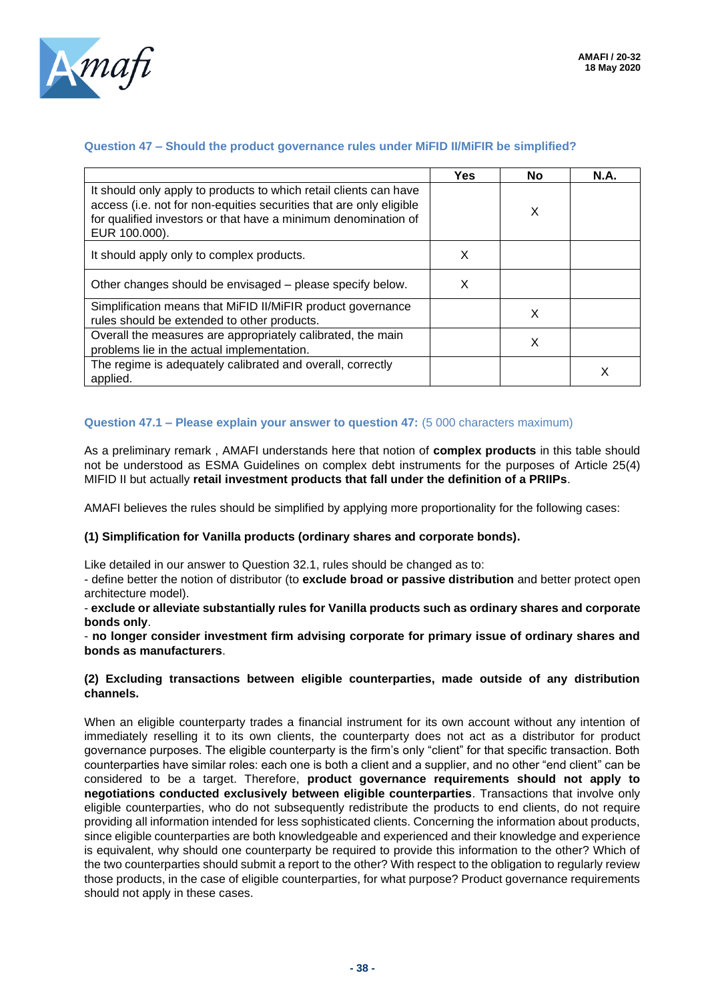

#### **Question 47 – Should the product governance rules under MiFID II/MiFIR be simplified?**

|                                                                                                                                                                                                                             | <b>Yes</b> | No | <b>N.A.</b> |
|-----------------------------------------------------------------------------------------------------------------------------------------------------------------------------------------------------------------------------|------------|----|-------------|
| It should only apply to products to which retail clients can have<br>access (i.e. not for non-equities securities that are only eligible<br>for qualified investors or that have a minimum denomination of<br>EUR 100.000). |            | X  |             |
| It should apply only to complex products.                                                                                                                                                                                   | X          |    |             |
| Other changes should be envisaged – please specify below.                                                                                                                                                                   | X          |    |             |
| Simplification means that MiFID II/MiFIR product governance<br>rules should be extended to other products.                                                                                                                  |            | X  |             |
| Overall the measures are appropriately calibrated, the main<br>problems lie in the actual implementation.                                                                                                                   |            | х  |             |
| The regime is adequately calibrated and overall, correctly<br>applied.                                                                                                                                                      |            |    |             |

### **Question 47.1 – Please explain your answer to question 47:** (5 000 characters maximum)

As a preliminary remark , AMAFI understands here that notion of **complex products** in this table should not be understood as ESMA Guidelines on complex debt instruments for the purposes of Article 25(4) MIFID II but actually **retail investment products that fall under the definition of a PRIIPs**.

AMAFI believes the rules should be simplified by applying more proportionality for the following cases:

#### **(1) Simplification for Vanilla products (ordinary shares and corporate bonds).**

Like detailed in our answer to Question 32.1, rules should be changed as to:

- define better the notion of distributor (to **exclude broad or passive distribution** and better protect open architecture model).

- **exclude or alleviate substantially rules for Vanilla products such as ordinary shares and corporate bonds only**.

- **no longer consider investment firm advising corporate for primary issue of ordinary shares and bonds as manufacturers**.

#### **(2) Excluding transactions between eligible counterparties, made outside of any distribution channels.**

When an eligible counterparty trades a financial instrument for its own account without any intention of immediately reselling it to its own clients, the counterparty does not act as a distributor for product governance purposes. The eligible counterparty is the firm's only "client" for that specific transaction. Both counterparties have similar roles: each one is both a client and a supplier, and no other "end client" can be considered to be a target. Therefore, **product governance requirements should not apply to negotiations conducted exclusively between eligible counterparties**. Transactions that involve only eligible counterparties, who do not subsequently redistribute the products to end clients, do not require providing all information intended for less sophisticated clients. Concerning the information about products, since eligible counterparties are both knowledgeable and experienced and their knowledge and experience is equivalent, why should one counterparty be required to provide this information to the other? Which of the two counterparties should submit a report to the other? With respect to the obligation to regularly review those products, in the case of eligible counterparties, for what purpose? Product governance requirements should not apply in these cases.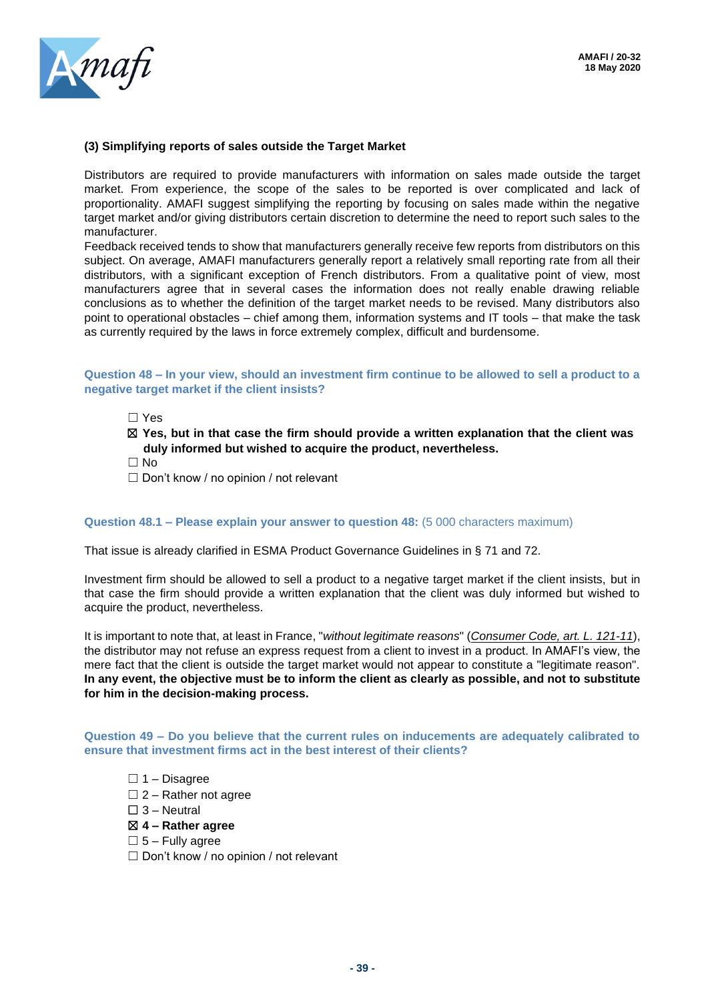

#### **(3) Simplifying reports of sales outside the Target Market**

Distributors are required to provide manufacturers with information on sales made outside the target market. From experience, the scope of the sales to be reported is over complicated and lack of proportionality. AMAFI suggest simplifying the reporting by focusing on sales made within the negative target market and/or giving distributors certain discretion to determine the need to report such sales to the manufacturer.

Feedback received tends to show that manufacturers generally receive few reports from distributors on this subject. On average, AMAFI manufacturers generally report a relatively small reporting rate from all their distributors, with a significant exception of French distributors. From a qualitative point of view, most manufacturers agree that in several cases the information does not really enable drawing reliable conclusions as to whether the definition of the target market needs to be revised. Many distributors also point to operational obstacles – chief among them, information systems and IT tools – that make the task as currently required by the laws in force extremely complex, difficult and burdensome.

#### **Question 48 – In your view, should an investment firm continue to be allowed to sell a product to a negative target market if the client insists?**

☐ Yes

- ☒ **Yes, but in that case the firm should provide a written explanation that the client was duly informed but wished to acquire the product, nevertheless.**
- ☐ No
- $\Box$  Don't know / no opinion / not relevant

#### **Question 48.1 – Please explain your answer to question 48:** (5 000 characters maximum)

That issue is already clarified in ESMA Product Governance Guidelines in § 71 and 72.

Investment firm should be allowed to sell a product to a negative target market if the client insists, but in that case the firm should provide a written explanation that the client was duly informed but wished to acquire the product, nevertheless.

It is important to note that, at least in France, "*without legitimate reasons*" (*Consumer Code, art. L. 121-11*), the distributor may not refuse an express request from a client to invest in a product. In AMAFI's view, the mere fact that the client is outside the target market would not appear to constitute a "legitimate reason". **In any event, the objective must be to inform the client as clearly as possible, and not to substitute for him in the decision-making process.**

**Question 49 – Do you believe that the current rules on inducements are adequately calibrated to ensure that investment firms act in the best interest of their clients?**

- $\Box$  1 Disagree
- $\Box$  2 Rather not agree
- $\square$  3 Neutral
- ☒ **4 – Rather agree**
- $\square$  5 Fully agree
- ☐ Don't know / no opinion / not relevant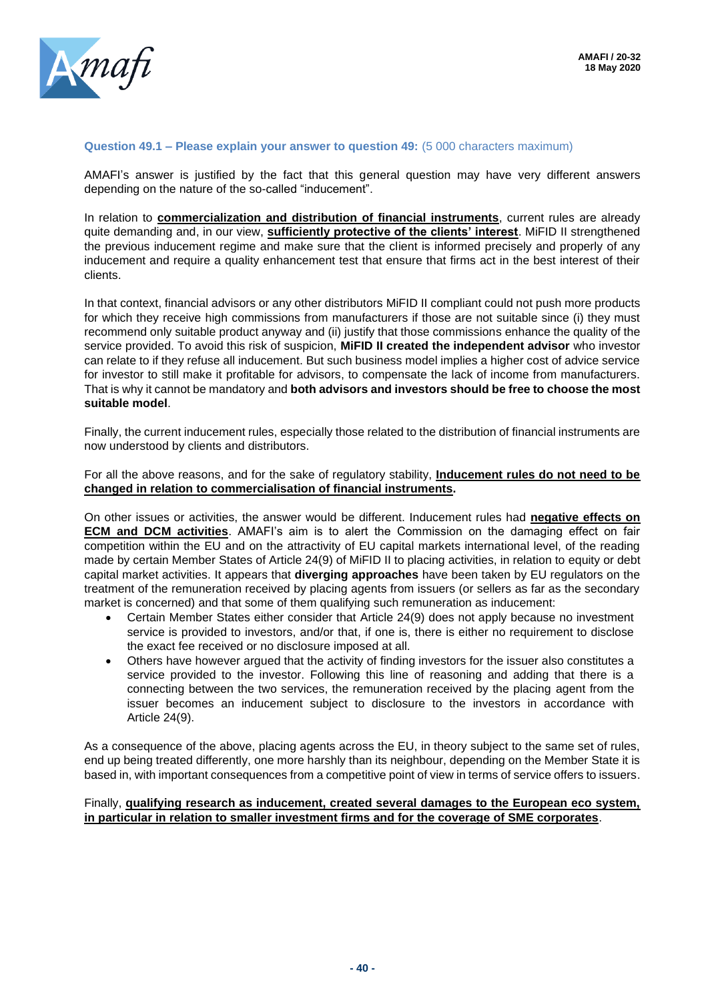

#### **Question 49.1 – Please explain your answer to question 49:** (5 000 characters maximum)

AMAFI's answer is justified by the fact that this general question may have very different answers depending on the nature of the so-called "inducement".

In relation to **commercialization and distribution of financial instruments**, current rules are already quite demanding and, in our view, **sufficiently protective of the clients' interest**. MiFID II strengthened the previous inducement regime and make sure that the client is informed precisely and properly of any inducement and require a quality enhancement test that ensure that firms act in the best interest of their clients.

In that context, financial advisors or any other distributors MiFID II compliant could not push more products for which they receive high commissions from manufacturers if those are not suitable since (i) they must recommend only suitable product anyway and (ii) justify that those commissions enhance the quality of the service provided. To avoid this risk of suspicion, **MiFID II created the independent advisor** who investor can relate to if they refuse all inducement. But such business model implies a higher cost of advice service for investor to still make it profitable for advisors, to compensate the lack of income from manufacturers. That is why it cannot be mandatory and **both advisors and investors should be free to choose the most suitable model**.

Finally, the current inducement rules, especially those related to the distribution of financial instruments are now understood by clients and distributors.

#### For all the above reasons, and for the sake of regulatory stability, **Inducement rules do not need to be changed in relation to commercialisation of financial instruments.**

On other issues or activities, the answer would be different. Inducement rules had **negative effects on ECM and DCM activities**. AMAFI's aim is to alert the Commission on the damaging effect on fair competition within the EU and on the attractivity of EU capital markets international level, of the reading made by certain Member States of Article 24(9) of MiFID II to placing activities, in relation to equity or debt capital market activities. It appears that **diverging approaches** have been taken by EU regulators on the treatment of the remuneration received by placing agents from issuers (or sellers as far as the secondary market is concerned) and that some of them qualifying such remuneration as inducement:

- Certain Member States either consider that Article 24(9) does not apply because no investment service is provided to investors, and/or that, if one is, there is either no requirement to disclose the exact fee received or no disclosure imposed at all.
- Others have however argued that the activity of finding investors for the issuer also constitutes a service provided to the investor. Following this line of reasoning and adding that there is a connecting between the two services, the remuneration received by the placing agent from the issuer becomes an inducement subject to disclosure to the investors in accordance with Article 24(9).

As a consequence of the above, placing agents across the EU, in theory subject to the same set of rules, end up being treated differently, one more harshly than its neighbour, depending on the Member State it is based in, with important consequences from a competitive point of view in terms of service offers to issuers.

#### Finally, **qualifying research as inducement, created several damages to the European eco system, in particular in relation to smaller investment firms and for the coverage of SME corporates**.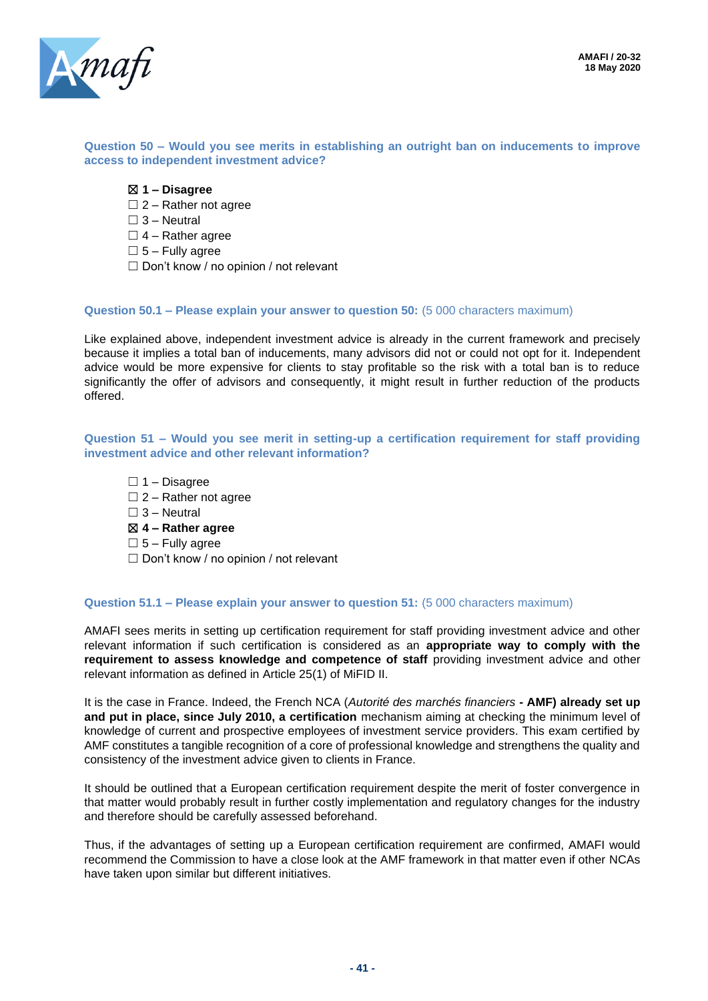

#### **Question 50 – Would you see merits in establishing an outright ban on inducements to improve access to independent investment advice?**

- ☒ **1 – Disagree**
- $\Box$  2 Rather not agree
- $\Box$  3 Neutral
- $\Box$  4 Rather agree
- $\square$  5 Fully agree
- ☐ Don't know / no opinion / not relevant

#### **Question 50.1 – Please explain your answer to question 50:** (5 000 characters maximum)

Like explained above, independent investment advice is already in the current framework and precisely because it implies a total ban of inducements, many advisors did not or could not opt for it. Independent advice would be more expensive for clients to stay profitable so the risk with a total ban is to reduce significantly the offer of advisors and consequently, it might result in further reduction of the products offered.

#### **Question 51 – Would you see merit in setting-up a certification requirement for staff providing investment advice and other relevant information?**

 $\Box$  1 – Disagree  $\Box$  2 – Rather not agree  $\Box$  3 – Neutral ☒ **4 – Rather agree**  $\square$  5 – Fully agree  $\Box$  Don't know / no opinion / not relevant

#### **Question 51.1 – Please explain your answer to question 51:** (5 000 characters maximum)

AMAFI sees merits in setting up certification requirement for staff providing investment advice and other relevant information if such certification is considered as an **appropriate way to comply with the requirement to assess knowledge and competence of staff** providing investment advice and other relevant information as defined in Article 25(1) of MiFID II.

It is the case in France. Indeed, the French NCA (*Autorité des marchés financiers* **- AMF) already set up and put in place, since July 2010, a certification** mechanism aiming at checking the minimum level of knowledge of current and prospective employees of investment service providers. This exam certified by AMF constitutes a tangible recognition of a core of professional knowledge and strengthens the quality and consistency of the investment advice given to clients in France.

It should be outlined that a European certification requirement despite the merit of foster convergence in that matter would probably result in further costly implementation and regulatory changes for the industry and therefore should be carefully assessed beforehand.

Thus, if the advantages of setting up a European certification requirement are confirmed, AMAFI would recommend the Commission to have a close look at the AMF framework in that matter even if other NCAs have taken upon similar but different initiatives.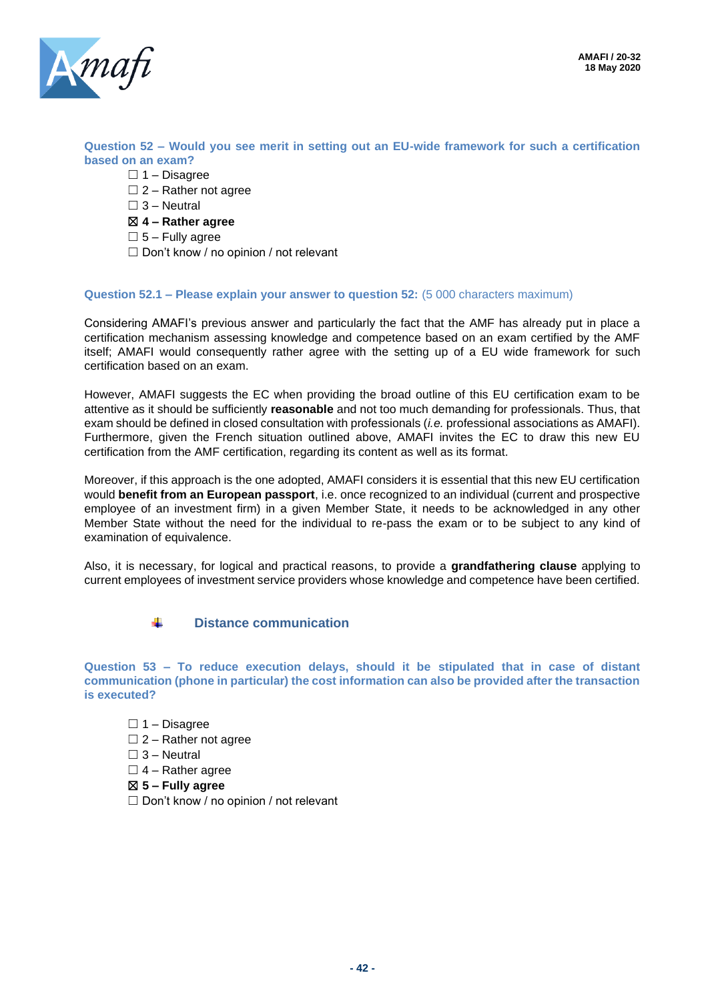

**Question 52 – Would you see merit in setting out an EU-wide framework for such a certification based on an exam?**

- $\Box$  1 Disagree
- $\square$  2 Rather not agree
- $\Box$  3 Neutral
- ☒ **4 – Rather agree**
- $\square$  5 Fully agree
- ☐ Don't know / no opinion / not relevant

#### **Question 52.1 – Please explain your answer to question 52:** (5 000 characters maximum)

Considering AMAFI's previous answer and particularly the fact that the AMF has already put in place a certification mechanism assessing knowledge and competence based on an exam certified by the AMF itself; AMAFI would consequently rather agree with the setting up of a EU wide framework for such certification based on an exam.

However, AMAFI suggests the EC when providing the broad outline of this EU certification exam to be attentive as it should be sufficiently **reasonable** and not too much demanding for professionals. Thus, that exam should be defined in closed consultation with professionals (*i.e.* professional associations as AMAFI). Furthermore, given the French situation outlined above, AMAFI invites the EC to draw this new EU certification from the AMF certification, regarding its content as well as its format.

Moreover, if this approach is the one adopted, AMAFI considers it is essential that this new EU certification would **benefit from an European passport**, i.e. once recognized to an individual (current and prospective employee of an investment firm) in a given Member State, it needs to be acknowledged in any other Member State without the need for the individual to re-pass the exam or to be subject to any kind of examination of equivalence.

Also, it is necessary, for logical and practical reasons, to provide a **grandfathering clause** applying to current employees of investment service providers whose knowledge and competence have been certified.

> ÷. **Distance communication**

**Question 53 – To reduce execution delays, should it be stipulated that in case of distant communication (phone in particular) the cost information can also be provided after the transaction is executed?**

 $\Box$  1 – Disagree

- $\Box$  2 Rather not agree
- $\square$  3 Neutral
- $\Box$  4 Rather agree
- ☒ **5 – Fully agree**
- ☐ Don't know / no opinion / not relevant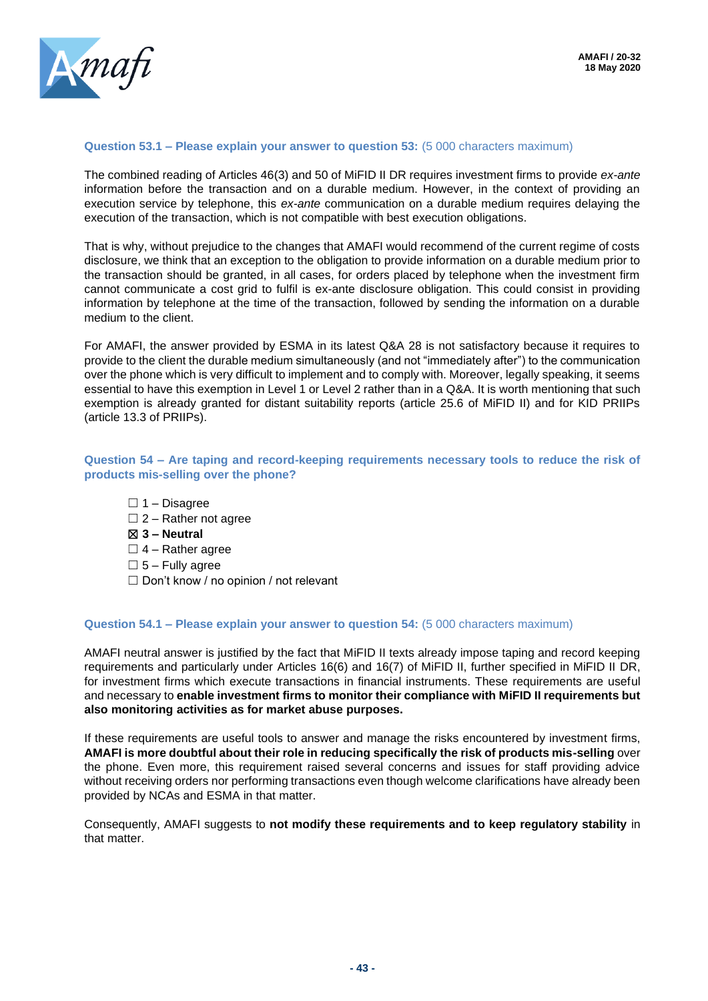

#### **Question 53.1 – Please explain your answer to question 53:** (5 000 characters maximum)

The combined reading of Articles 46(3) and 50 of MiFID II DR requires investment firms to provide *ex-ante*  information before the transaction and on a durable medium. However, in the context of providing an execution service by telephone, this *ex-ante* communication on a durable medium requires delaying the execution of the transaction, which is not compatible with best execution obligations.

That is why, without prejudice to the changes that AMAFI would recommend of the current regime of costs disclosure, we think that an exception to the obligation to provide information on a durable medium prior to the transaction should be granted, in all cases, for orders placed by telephone when the investment firm cannot communicate a cost grid to fulfil is ex-ante disclosure obligation. This could consist in providing information by telephone at the time of the transaction, followed by sending the information on a durable medium to the client.

For AMAFI, the answer provided by ESMA in its latest Q&A 28 is not satisfactory because it requires to provide to the client the durable medium simultaneously (and not "immediately after") to the communication over the phone which is very difficult to implement and to comply with. Moreover, legally speaking, it seems essential to have this exemption in Level 1 or Level 2 rather than in a Q&A. It is worth mentioning that such exemption is already granted for distant suitability reports (article 25.6 of MiFID II) and for KID PRIIPs (article 13.3 of PRIIPs).

#### **Question 54 – Are taping and record-keeping requirements necessary tools to reduce the risk of products mis-selling over the phone?**

- $\Box$  1 Disagree
- $\Box$  2 Rather not agree
- ☒ **3 – Neutral**
- $\Box$  4 Rather agree
- $\square$  5 Fully agree
- $\Box$  Don't know / no opinion / not relevant

#### **Question 54.1 – Please explain your answer to question 54:** (5 000 characters maximum)

AMAFI neutral answer is justified by the fact that MiFID II texts already impose taping and record keeping requirements and particularly under Articles 16(6) and 16(7) of MiFID II, further specified in MiFID II DR, for investment firms which execute transactions in financial instruments. These requirements are useful and necessary to **enable investment firms to monitor their compliance with MiFID II requirements but also monitoring activities as for market abuse purposes.**

If these requirements are useful tools to answer and manage the risks encountered by investment firms, **AMAFI is more doubtful about their role in reducing specifically the risk of products mis-selling** over the phone. Even more, this requirement raised several concerns and issues for staff providing advice without receiving orders nor performing transactions even though welcome clarifications have already been provided by NCAs and ESMA in that matter.

Consequently, AMAFI suggests to **not modify these requirements and to keep regulatory stability** in that matter.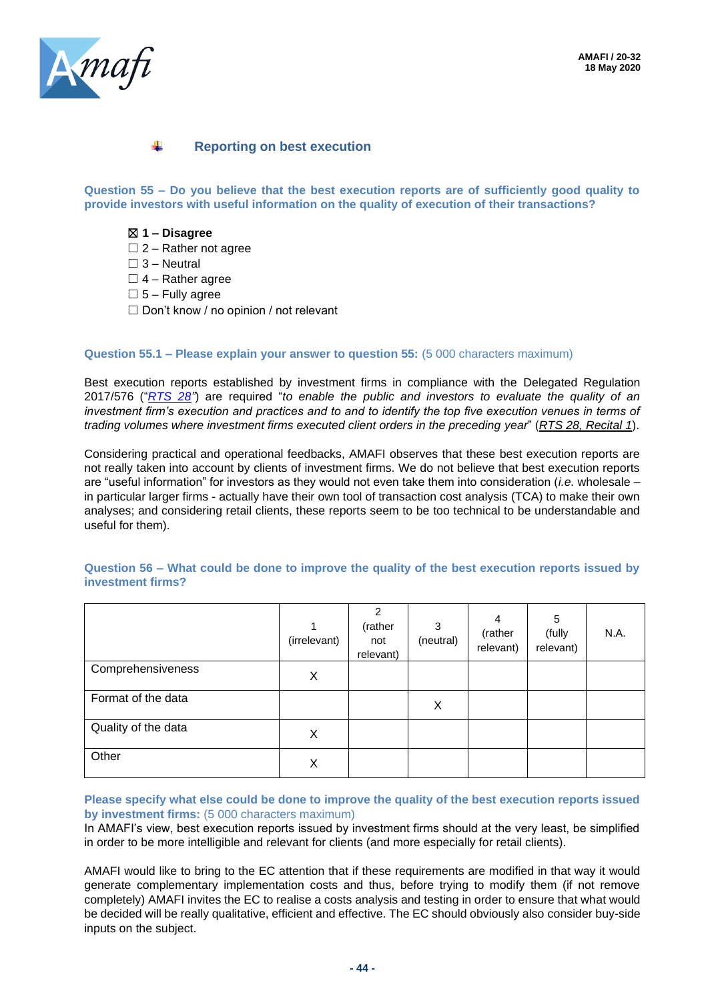

### **Reporting on best execution**

**Question 55 – Do you believe that the best execution reports are of sufficiently good quality to provide investors with useful information on the quality of execution of their transactions?**

#### ☒ **1 – Disagree**

- $\Box$  2 Rather not agree
- $\square$  3 Neutral
- $\Box$  4 Rather agree
- $\square$  5 Fully agree
- $\Box$  Don't know / no opinion / not relevant

#### **Question 55.1 – Please explain your answer to question 55:** (5 000 characters maximum)

Best execution reports established by investment firms in compliance with the Delegated Regulation 2017/576 ("*[RTS 28"](https://eur-lex.europa.eu/legal-content/EN/TXT/?uri=uriserv:OJ.L_.2017.087.01.0166.01.ENG&toc=OJ:L:2017:087:TOC)*) are required "*to enable the public and investors to evaluate the quality of an investment firm's execution and practices and to and to identify the top five execution venues in terms of trading volumes where investment firms executed client orders in the preceding year*" (*RTS 28, Recital 1*).

Considering practical and operational feedbacks, AMAFI observes that these best execution reports are not really taken into account by clients of investment firms. We do not believe that best execution reports are "useful information" for investors as they would not even take them into consideration (*i.e.* wholesale – in particular larger firms - actually have their own tool of transaction cost analysis (TCA) to make their own analyses; and considering retail clients, these reports seem to be too technical to be understandable and useful for them).

|                     | 1<br>(irrelevant) | $\overline{2}$<br>(rather<br>not<br>relevant) | 3<br>(neutral) | 4<br>(rather<br>relevant) | 5<br>(fully<br>relevant) | N.A. |
|---------------------|-------------------|-----------------------------------------------|----------------|---------------------------|--------------------------|------|
| Comprehensiveness   | X                 |                                               |                |                           |                          |      |
| Format of the data  |                   |                                               | X              |                           |                          |      |
| Quality of the data | Χ                 |                                               |                |                           |                          |      |
| Other               | X                 |                                               |                |                           |                          |      |

**Question 56 – What could be done to improve the quality of the best execution reports issued by investment firms?**

#### **Please specify what else could be done to improve the quality of the best execution reports issued by investment firms:** (5 000 characters maximum)

In AMAFI's view, best execution reports issued by investment firms should at the very least, be simplified in order to be more intelligible and relevant for clients (and more especially for retail clients).

AMAFI would like to bring to the EC attention that if these requirements are modified in that way it would generate complementary implementation costs and thus, before trying to modify them (if not remove completely) AMAFI invites the EC to realise a costs analysis and testing in order to ensure that what would be decided will be really qualitative, efficient and effective. The EC should obviously also consider buy-side inputs on the subject.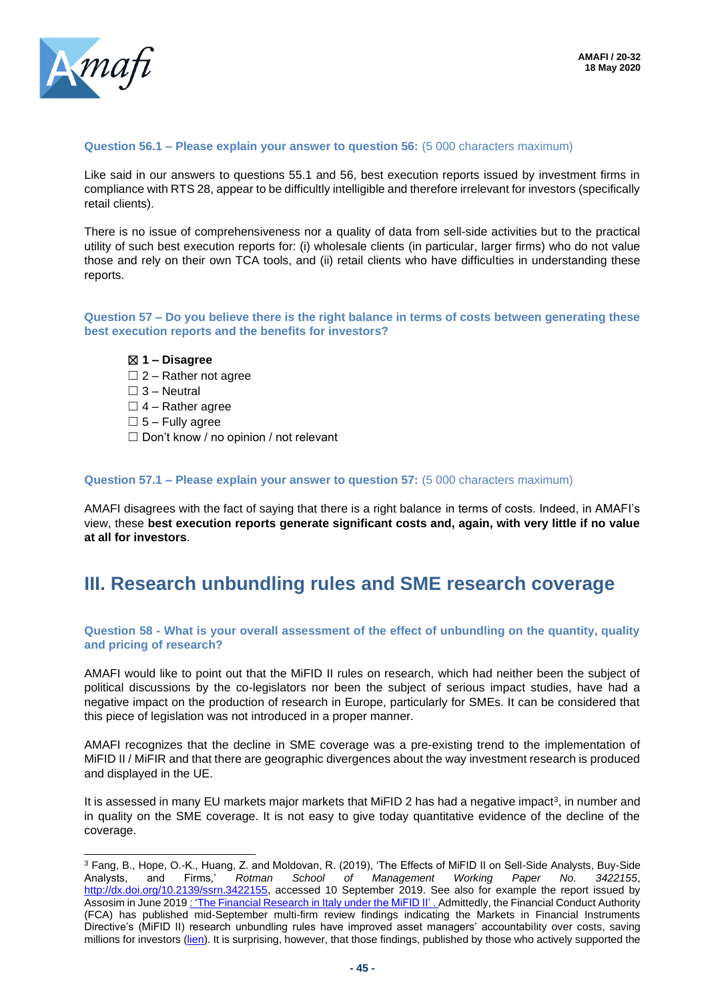

#### **Question 56.1 – Please explain your answer to question 56:** (5 000 characters maximum)

Like said in our answers to questions 55.1 and 56, best execution reports issued by investment firms in compliance with RTS 28, appear to be difficultly intelligible and therefore irrelevant for investors (specifically retail clients).

There is no issue of comprehensiveness nor a quality of data from sell-side activities but to the practical utility of such best execution reports for: (i) wholesale clients (in particular, larger firms) who do not value those and rely on their own TCA tools, and (ii) retail clients who have difficulties in understanding these reports.

**Question 57 – Do you believe there is the right balance in terms of costs between generating these best execution reports and the benefits for investors?**

☒ **1 – Disagree**

- $\Box$  2 Rather not agree
- $\Box$  3 Neutral
- $\Box$  4 Rather agree
- $\square$  5 Fully agree
- ☐ Don't know / no opinion / not relevant

#### **Question 57.1 – Please explain your answer to question 57:** (5 000 characters maximum)

AMAFI disagrees with the fact of saying that there is a right balance in terms of costs. Indeed, in AMAFI's view, these **best execution reports generate significant costs and, again, with very little if no value at all for investors**.

## **III. Research unbundling rules and SME research coverage**

#### **Question 58 - What is your overall assessment of the effect of unbundling on the quantity, quality and pricing of research?**

AMAFI would like to point out that the MiFID II rules on research, which had neither been the subject of political discussions by the co-legislators nor been the subject of serious impact studies, have had a negative impact on the production of research in Europe, particularly for SMEs. It can be considered that this piece of legislation was not introduced in a proper manner.

AMAFI recognizes that the decline in SME coverage was a pre-existing trend to the implementation of MiFID II / MiFIR and that there are geographic divergences about the way investment research is produced and displayed in the UE.

It is assessed in many EU markets major markets that MiFID 2 has had a negative impact<sup>3</sup>, in number and in quality on the SME coverage. It is not easy to give today quantitative evidence of the decline of the coverage.

 $3$  Fang, B., Hope, O.-K., Huang, Z. and Moldovan, R. (2019), 'The Effects of MiFID II on Sell-Side Analysts, Buy-Side<br>Analysts, and Firms,' Rotman School of Management Working Paper No. 3422155. Analysts, and Firms,' *Rotman School of Management Working Paper No. 3422155*, [http://dx.doi.org/10.2139/ssrn.3422155,](http://dx.doi.org/10.2139/ssrn.3422155) accessed 10 September 2019. See also for example the report issued by Assosim in June 2019 : 'The Financial Research in Italy under the MiFID II'. Admittedly, the Financial Conduct Authority (FCA) has published mid-September multi-firm review findings indicating the Markets in Financial Instruments Directive's (MiFID II) research unbundling rules have improved asset managers' accountability over costs, saving millions for investors [\(lien\)](https://www.fca.org.uk/news/press-releases/fca-finds-mifid-ii-research-unbundling-rules-working-well-investors). It is surprising, however, that those findings, published by those who actively supported the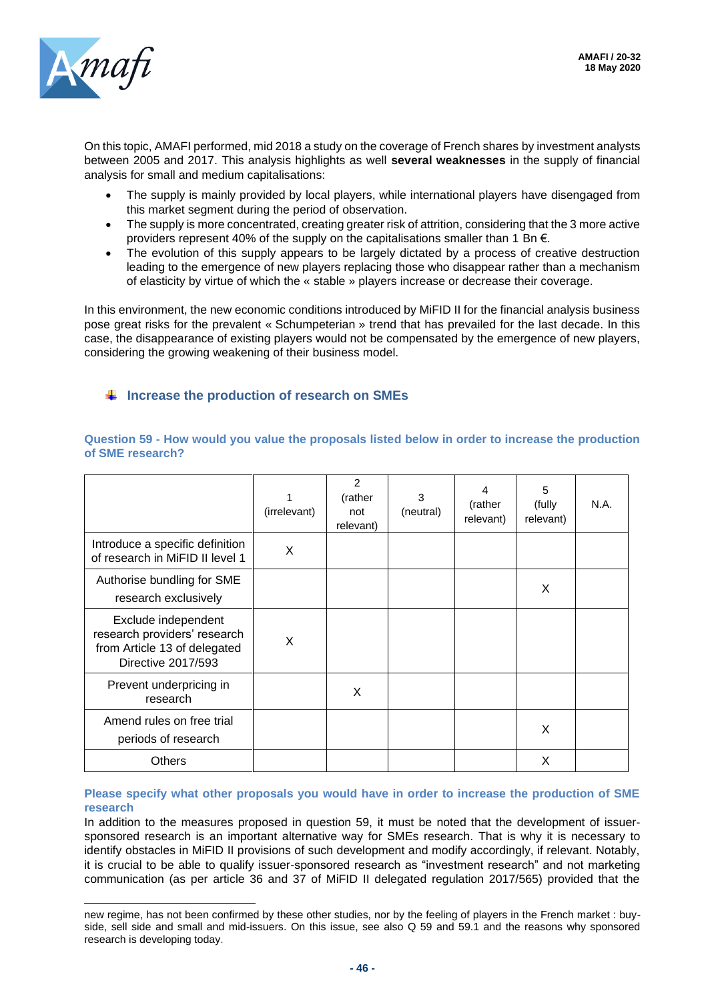

On this topic, AMAFI performed, mid 2018 a study on the coverage of French shares by investment analysts between 2005 and 2017. This analysis highlights as well **several weaknesses** in the supply of financial analysis for small and medium capitalisations:

- The supply is mainly provided by local players, while international players have disengaged from this market segment during the period of observation.
- The supply is more concentrated, creating greater risk of attrition, considering that the 3 more active providers represent 40% of the supply on the capitalisations smaller than 1 Bn  $\epsilon$ .
- The evolution of this supply appears to be largely dictated by a process of creative destruction leading to the emergence of new players replacing those who disappear rather than a mechanism of elasticity by virtue of which the « stable » players increase or decrease their coverage.

In this environment, the new economic conditions introduced by MiFID II for the financial analysis business pose great risks for the prevalent « Schumpeterian » trend that has prevailed for the last decade. In this case, the disappearance of existing players would not be compensated by the emergence of new players, considering the growing weakening of their business model.

### **Increase the production of research on SMEs**

|                                                                                                           | (irrelevant) | 2<br>(rather<br>not<br>relevant) | 3<br>(neutral) | 4<br>(rather<br>relevant) | 5<br>(fully<br>relevant) | N.A. |
|-----------------------------------------------------------------------------------------------------------|--------------|----------------------------------|----------------|---------------------------|--------------------------|------|
| Introduce a specific definition<br>of research in MiFID II level 1                                        | X            |                                  |                |                           |                          |      |
| Authorise bundling for SME<br>research exclusively                                                        |              |                                  |                |                           | X                        |      |
| Exclude independent<br>research providers' research<br>from Article 13 of delegated<br>Directive 2017/593 | X            |                                  |                |                           |                          |      |
| Prevent underpricing in<br>research                                                                       |              | X                                |                |                           |                          |      |
| Amend rules on free trial<br>periods of research                                                          |              |                                  |                |                           | X                        |      |
| <b>Others</b>                                                                                             |              |                                  |                |                           | X                        |      |

#### **Question 59 - How would you value the proposals listed below in order to increase the production of SME research?**

#### **Please specify what other proposals you would have in order to increase the production of SME research**

In addition to the measures proposed in question 59, it must be noted that the development of issuersponsored research is an important alternative way for SMEs research. That is why it is necessary to identify obstacles in MiFID II provisions of such development and modify accordingly, if relevant. Notably, it is crucial to be able to qualify issuer-sponsored research as "investment research" and not marketing communication (as per article 36 and 37 of MiFID II delegated regulation 2017/565) provided that the

new regime, has not been confirmed by these other studies, nor by the feeling of players in the French market : buyside, sell side and small and mid-issuers. On this issue, see also Q 59 and 59.1 and the reasons why sponsored research is developing today.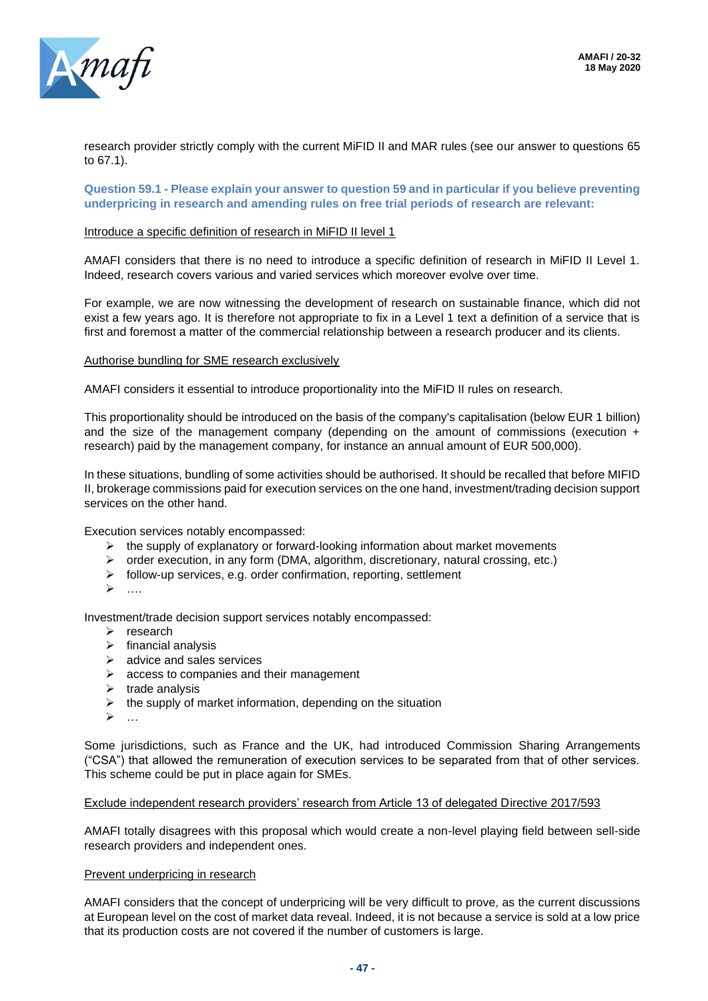

research provider strictly comply with the current MiFID II and MAR rules (see our answer to questions 65 to 67.1).

**Question 59.1 - Please explain your answer to question 59 and in particular if you believe preventing underpricing in research and amending rules on free trial periods of research are relevant:**

#### Introduce a specific definition of research in MiFID II level 1

AMAFI considers that there is no need to introduce a specific definition of research in MiFID II Level 1. Indeed, research covers various and varied services which moreover evolve over time.

For example, we are now witnessing the development of research on sustainable finance, which did not exist a few years ago. It is therefore not appropriate to fix in a Level 1 text a definition of a service that is first and foremost a matter of the commercial relationship between a research producer and its clients.

#### Authorise bundling for SME research exclusively

AMAFI considers it essential to introduce proportionality into the MiFID II rules on research.

This proportionality should be introduced on the basis of the company's capitalisation (below EUR 1 billion) and the size of the management company (depending on the amount of commissions (execution + research) paid by the management company, for instance an annual amount of EUR 500,000).

In these situations, bundling of some activities should be authorised. It should be recalled that before MIFID II, brokerage commissions paid for execution services on the one hand, investment/trading decision support services on the other hand.

Execution services notably encompassed:

- $\triangleright$  the supply of explanatory or forward-looking information about market movements
- ➢ order execution, in any form (DMA, algorithm, discretionary, natural crossing, etc.)
- ➢ follow-up services, e.g. order confirmation, reporting, settlement
- ➢ ….

Investment/trade decision support services notably encompassed:

- ➢ research
- $\triangleright$  financial analysis
- ➢ advice and sales services
- ➢ access to companies and their management
- $\triangleright$  trade analysis
- $\triangleright$  the supply of market information, depending on the situation
- ➢ …

Some jurisdictions, such as France and the UK, had introduced Commission Sharing Arrangements ("CSA") that allowed the remuneration of execution services to be separated from that of other services. This scheme could be put in place again for SMEs.

#### Exclude independent research providers' research from Article 13 of delegated Directive 2017/593

AMAFI totally disagrees with this proposal which would create a non-level playing field between sell-side research providers and independent ones.

#### Prevent underpricing in research

AMAFI considers that the concept of underpricing will be very difficult to prove, as the current discussions at European level on the cost of market data reveal. Indeed, it is not because a service is sold at a low price that its production costs are not covered if the number of customers is large.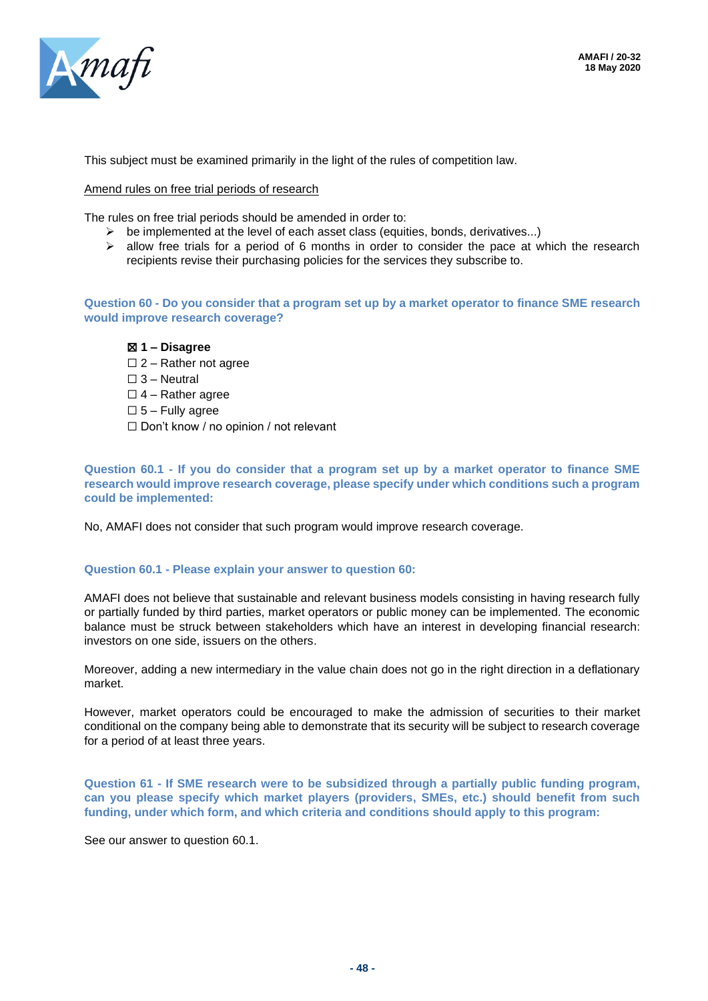

This subject must be examined primarily in the light of the rules of competition law.

#### Amend rules on free trial periods of research

The rules on free trial periods should be amended in order to:

- $\triangleright$  be implemented at the level of each asset class (equities, bonds, derivatives...)
- $\triangleright$  allow free trials for a period of 6 months in order to consider the pace at which the research recipients revise their purchasing policies for the services they subscribe to.

**Question 60 - Do you consider that a program set up by a market operator to finance SME research would improve research coverage?**

#### ☒ **1 – Disagree**

- $\square$  2 Rather not agree
- $\square$  3 Neutral
- $\Box$  4 Rather agree
- $\square$  5 Fully agree
- ☐ Don't know / no opinion / not relevant

**Question 60.1 - If you do consider that a program set up by a market operator to finance SME research would improve research coverage, please specify under which conditions such a program could be implemented:**

No, AMAFI does not consider that such program would improve research coverage.

#### **Question 60.1 - Please explain your answer to question 60:**

AMAFI does not believe that sustainable and relevant business models consisting in having research fully or partially funded by third parties, market operators or public money can be implemented. The economic balance must be struck between stakeholders which have an interest in developing financial research: investors on one side, issuers on the others.

Moreover, adding a new intermediary in the value chain does not go in the right direction in a deflationary market.

However, market operators could be encouraged to make the admission of securities to their market conditional on the company being able to demonstrate that its security will be subject to research coverage for a period of at least three years.

**Question 61 - If SME research were to be subsidized through a partially public funding program, can you please specify which market players (providers, SMEs, etc.) should benefit from such funding, under which form, and which criteria and conditions should apply to this program:**

See our answer to question 60.1.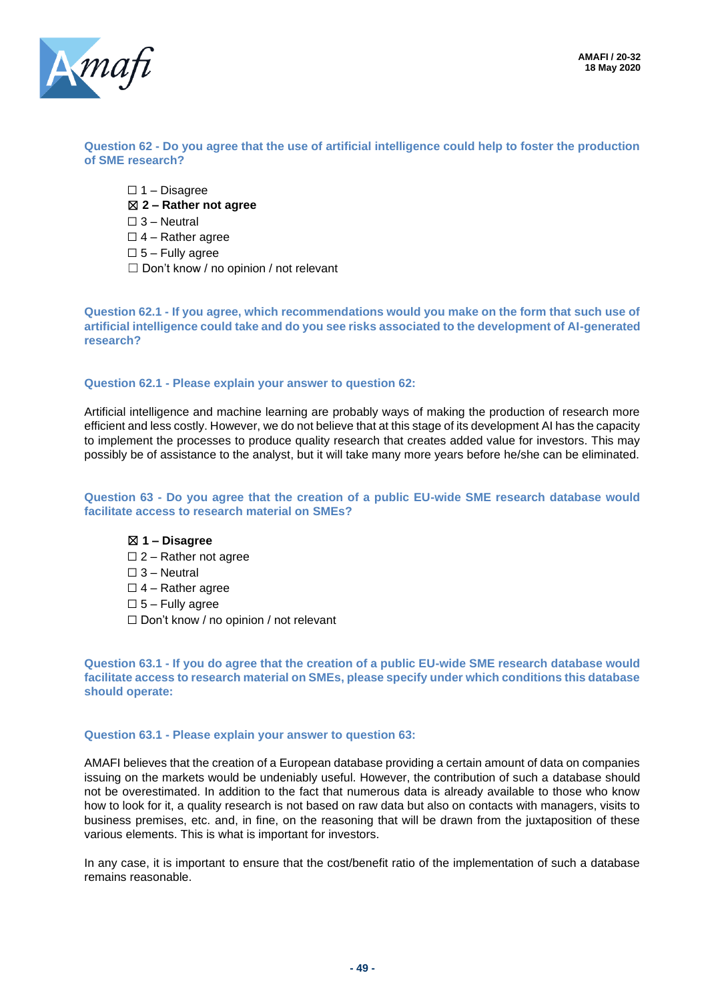

**Question 62 - Do you agree that the use of artificial intelligence could help to foster the production of SME research?**

 $\Box$  1 – Disagree ☒ **2 – Rather not agree** ☐ 3 – Neutral  $\Box$  4 – Rather agree  $\square$  5 – Fully agree ☐ Don't know / no opinion / not relevant

**Question 62.1 - If you agree, which recommendations would you make on the form that such use of artificial intelligence could take and do you see risks associated to the development of AI-generated research?**

#### **Question 62.1 - Please explain your answer to question 62:**

Artificial intelligence and machine learning are probably ways of making the production of research more efficient and less costly. However, we do not believe that at this stage of its development AI has the capacity to implement the processes to produce quality research that creates added value for investors. This may possibly be of assistance to the analyst, but it will take many more years before he/she can be eliminated.

#### **Question 63 - Do you agree that the creation of a public EU-wide SME research database would facilitate access to research material on SMEs?**

#### ☒ **1 – Disagree**

- $\square$  2 Rather not agree  $\square$  3 – Neutral
- $\Box$  4 Rather agree
- $\square$  5 Fully agree
- ☐ Don't know / no opinion / not relevant

**Question 63.1 - If you do agree that the creation of a public EU-wide SME research database would facilitate access to research material on SMEs, please specify under which conditions this database should operate:**

#### **Question 63.1 - Please explain your answer to question 63:**

AMAFI believes that the creation of a European database providing a certain amount of data on companies issuing on the markets would be undeniably useful. However, the contribution of such a database should not be overestimated. In addition to the fact that numerous data is already available to those who know how to look for it, a quality research is not based on raw data but also on contacts with managers, visits to business premises, etc. and, in fine, on the reasoning that will be drawn from the juxtaposition of these various elements. This is what is important for investors.

In any case, it is important to ensure that the cost/benefit ratio of the implementation of such a database remains reasonable.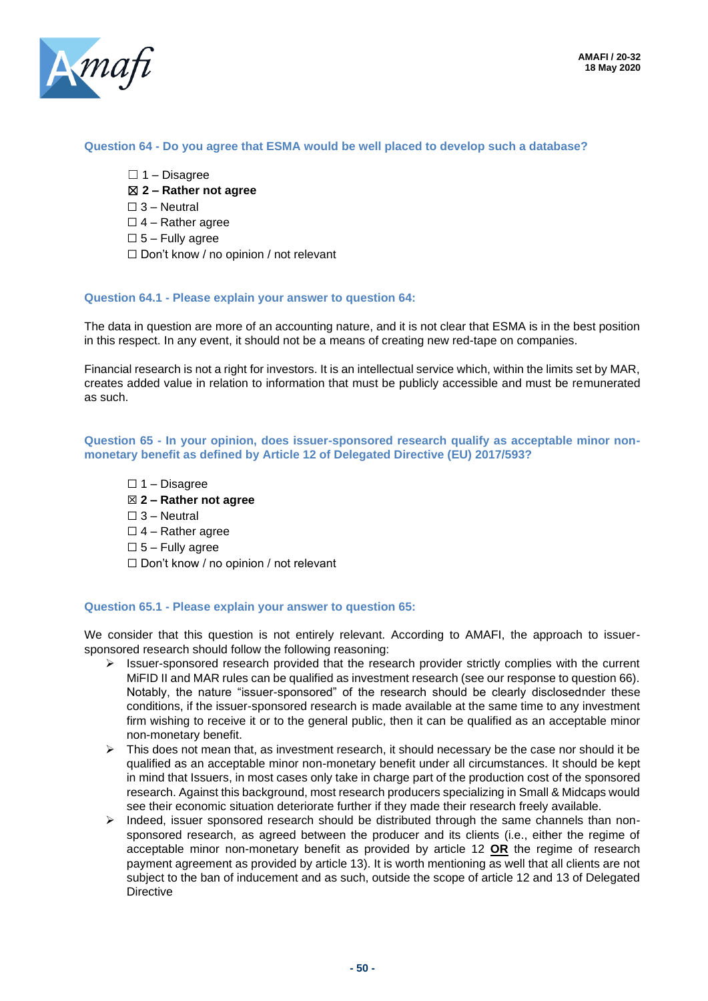

#### **Question 64 - Do you agree that ESMA would be well placed to develop such a database?**

- $\Box$  1 Disagree
- ☒ **2 – Rather not agree**
- $\square$  3 Neutral
- $\Box$  4 Rather agree
- $\square$  5 Fully agree
- ☐ Don't know / no opinion / not relevant

#### **Question 64.1 - Please explain your answer to question 64:**

The data in question are more of an accounting nature, and it is not clear that ESMA is in the best position in this respect. In any event, it should not be a means of creating new red-tape on companies.

Financial research is not a right for investors. It is an intellectual service which, within the limits set by MAR, creates added value in relation to information that must be publicly accessible and must be remunerated as such.

**Question 65 - In your opinion, does issuer-sponsored research qualify as acceptable minor nonmonetary benefit as defined by Article 12 of Delegated Directive (EU) 2017/593?**

 $\Box$  1 – Disagree ☒ **2 – Rather not agree**  $\Box$  3 – Neutral  $\Box$  4 – Rather agree  $\square$  5 – Fully agree  $\Box$  Don't know / no opinion / not relevant

#### **Question 65.1 - Please explain your answer to question 65:**

We consider that this question is not entirely relevant. According to AMAFI, the approach to issuersponsored research should follow the following reasoning:

- $\triangleright$  Issuer-sponsored research provided that the research provider strictly complies with the current MiFID II and MAR rules can be qualified as investment research (see our response to question 66). Notably, the nature "issuer-sponsored" of the research should be clearly disclosednder these conditions, if the issuer-sponsored research is made available at the same time to any investment firm wishing to receive it or to the general public, then it can be qualified as an acceptable minor non-monetary benefit.
- $\triangleright$  This does not mean that, as investment research, it should necessary be the case nor should it be qualified as an acceptable minor non-monetary benefit under all circumstances. It should be kept in mind that Issuers, in most cases only take in charge part of the production cost of the sponsored research. Against this background, most research producers specializing in Small & Midcaps would see their economic situation deteriorate further if they made their research freely available.
- ➢ Indeed, issuer sponsored research should be distributed through the same channels than nonsponsored research, as agreed between the producer and its clients (i.e., either the regime of acceptable minor non-monetary benefit as provided by article 12 **OR** the regime of research payment agreement as provided by article 13). It is worth mentioning as well that all clients are not subject to the ban of inducement and as such, outside the scope of article 12 and 13 of Delegated **Directive**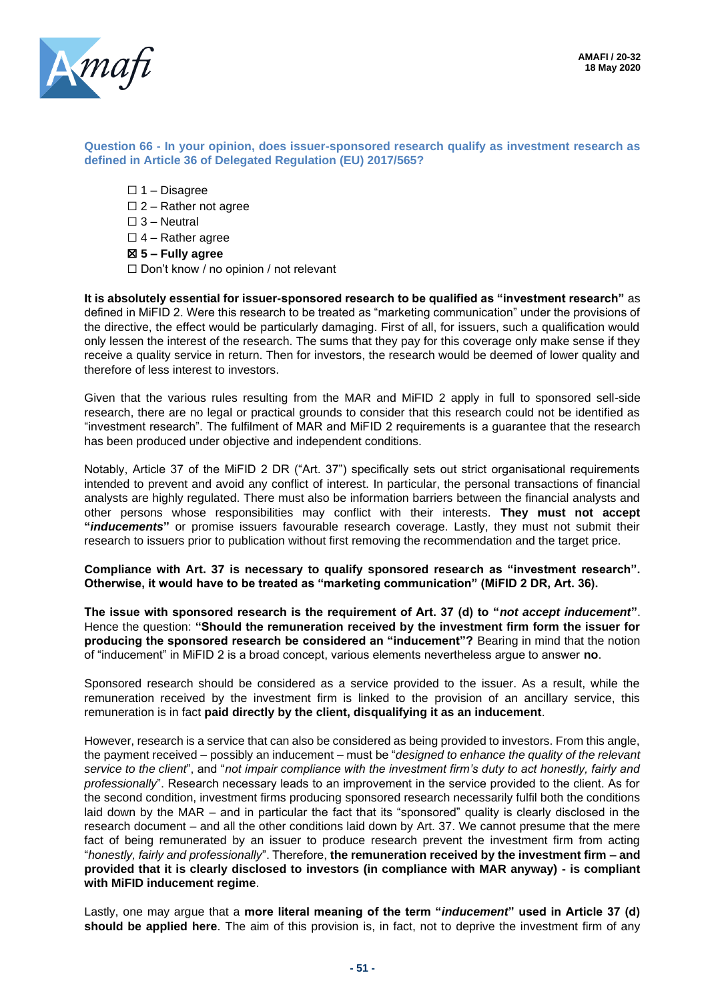

#### **Question 66 - In your opinion, does issuer-sponsored research qualify as investment research as defined in Article 36 of Delegated Regulation (EU) 2017/565?**

- ☐ 1 Disagree
- □ 2 Rather not agree
- $\square$  3 Neutral
- $\Box$  4 Rather agree
- ☒ **5 – Fully agree**
- ☐ Don't know / no opinion / not relevant

**It is absolutely essential for issuer-sponsored research to be qualified as "investment research"** as defined in MiFID 2. Were this research to be treated as "marketing communication" under the provisions of the directive, the effect would be particularly damaging. First of all, for issuers, such a qualification would only lessen the interest of the research. The sums that they pay for this coverage only make sense if they receive a quality service in return. Then for investors, the research would be deemed of lower quality and therefore of less interest to investors.

Given that the various rules resulting from the MAR and MiFID 2 apply in full to sponsored sell-side research, there are no legal or practical grounds to consider that this research could not be identified as "investment research". The fulfilment of MAR and MiFID 2 requirements is a guarantee that the research has been produced under objective and independent conditions.

Notably, Article 37 of the MiFID 2 DR ("Art. 37") specifically sets out strict organisational requirements intended to prevent and avoid any conflict of interest. In particular, the personal transactions of financial analysts are highly regulated. There must also be information barriers between the financial analysts and other persons whose responsibilities may conflict with their interests. **They must not accept "***inducements***"** or promise issuers favourable research coverage. Lastly, they must not submit their research to issuers prior to publication without first removing the recommendation and the target price.

**Compliance with Art. 37 is necessary to qualify sponsored research as "investment research". Otherwise, it would have to be treated as "marketing communication" (MiFID 2 DR, Art. 36).**

**The issue with sponsored research is the requirement of Art. 37 (d) to "***not accept inducement***"**. Hence the question: **"Should the remuneration received by the investment firm form the issuer for producing the sponsored research be considered an "inducement"?** Bearing in mind that the notion of "inducement" in MiFID 2 is a broad concept, various elements nevertheless argue to answer **no**.

Sponsored research should be considered as a service provided to the issuer. As a result, while the remuneration received by the investment firm is linked to the provision of an ancillary service, this remuneration is in fact **paid directly by the client, disqualifying it as an inducement**.

However, research is a service that can also be considered as being provided to investors. From this angle, the payment received – possibly an inducement – must be "*designed to enhance the quality of the relevant service to the client*", and "*not impair compliance with the investment firm's duty to act honestly, fairly and professionally*". Research necessary leads to an improvement in the service provided to the client. As for the second condition, investment firms producing sponsored research necessarily fulfil both the conditions laid down by the MAR – and in particular the fact that its "sponsored" quality is clearly disclosed in the research document – and all the other conditions laid down by Art. 37. We cannot presume that the mere fact of being remunerated by an issuer to produce research prevent the investment firm from acting "*honestly, fairly and professionally*". Therefore, **the remuneration received by the investment firm – and provided that it is clearly disclosed to investors (in compliance with MAR anyway) - is compliant with MiFID inducement regime**.

Lastly, one may argue that a **more literal meaning of the term "***inducement***" used in Article 37 (d) should be applied here**. The aim of this provision is, in fact, not to deprive the investment firm of any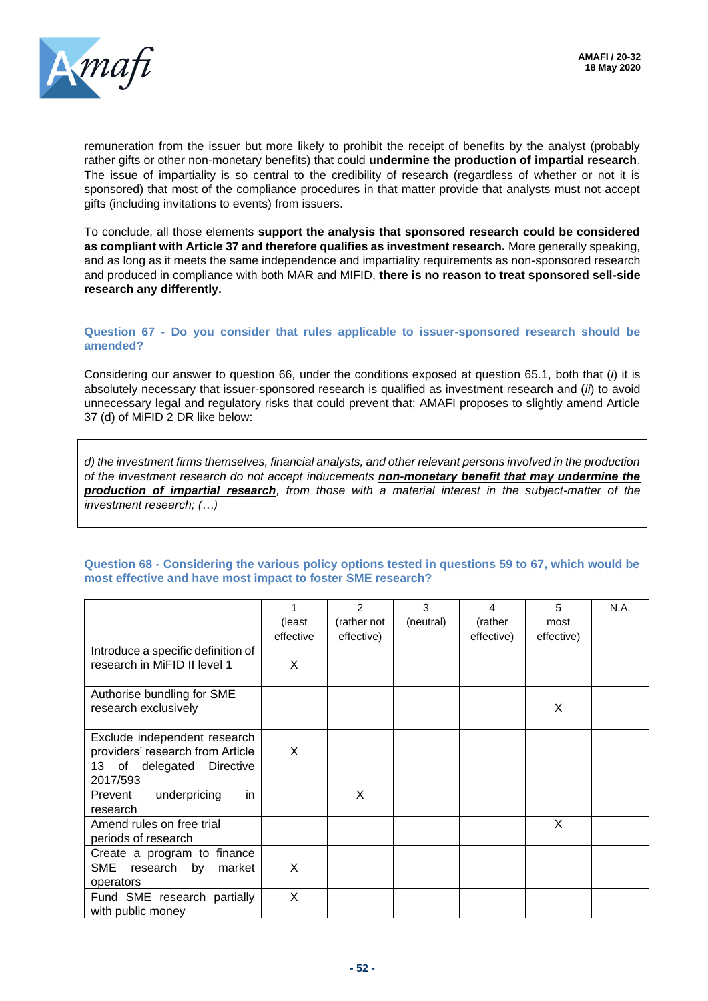

remuneration from the issuer but more likely to prohibit the receipt of benefits by the analyst (probably rather gifts or other non-monetary benefits) that could **undermine the production of impartial research**. The issue of impartiality is so central to the credibility of research (regardless of whether or not it is sponsored) that most of the compliance procedures in that matter provide that analysts must not accept gifts (including invitations to events) from issuers.

To conclude, all those elements **support the analysis that sponsored research could be considered as compliant with Article 37 and therefore qualifies as investment research.** More generally speaking, and as long as it meets the same independence and impartiality requirements as non-sponsored research and produced in compliance with both MAR and MIFID, **there is no reason to treat sponsored sell-side research any differently.** 

#### **Question 67 - Do you consider that rules applicable to issuer-sponsored research should be amended?**

Considering our answer to question 66, under the conditions exposed at question 65.1, both that (*i*) it is absolutely necessary that issuer-sponsored research is qualified as investment research and (*ii*) to avoid unnecessary legal and regulatory risks that could prevent that; AMAFI proposes to slightly amend Article 37 (d) of MiFID 2 DR like below:

*d) the investment firms themselves, financial analysts, and other relevant persons involved in the production of the investment research do not accept inducements non-monetary benefit that may undermine the production of impartial research, from those with a material interest in the subject-matter of the investment research; (…)*

#### 1 (least effective  $\overline{2}$ (rather not effective) 3 (neutral) 4 (rather effective) 5 most effective) N.A. Introduce a specific definition of research in MiFID II level 1 X Authorise bundling for SME research exclusively and the set of the second section of the set of the set of the set of the set of the set o Exclude independent research providers' research from Article 13 of delegated Directive 2017/593 X Prevent underpricing in research X Amend rules on free trial periods of research X Create a program to finance SME research by market operators X Fund SME research partially with public money X

#### **Question 68 - Considering the various policy options tested in questions 59 to 67, which would be most effective and have most impact to foster SME research?**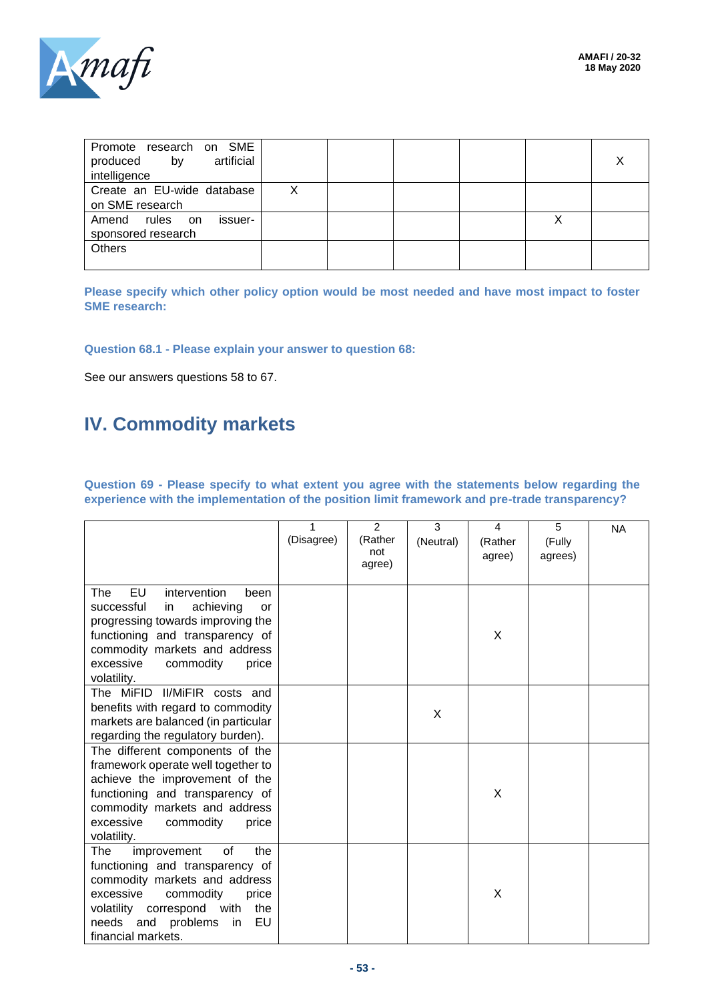

| Promote research on SME<br>artificial<br>produced<br>by<br>intelligence |  |  |  |
|-------------------------------------------------------------------------|--|--|--|
| Create an EU-wide database<br>on SME research                           |  |  |  |
| Amend<br>rules on<br>issuer-<br>sponsored research                      |  |  |  |
| <b>Others</b>                                                           |  |  |  |

**Please specify which other policy option would be most needed and have most impact to foster SME research:**

#### **Question 68.1 - Please explain your answer to question 68:**

See our answers questions 58 to 67.

# **IV. Commodity markets**

**Question 69 - Please specify to what extent you agree with the statements below regarding the experience with the implementation of the position limit framework and pre-trade transparency?**

|                                                                                                                                                                                                                                             | 1<br>(Disagree) | $\mathcal{P}$<br>(Rather<br>not<br>agree) | 3<br>(Neutral) | 4<br>(Rather<br>agree) | 5<br>(Fully<br>agrees) | <b>NA</b> |
|---------------------------------------------------------------------------------------------------------------------------------------------------------------------------------------------------------------------------------------------|-----------------|-------------------------------------------|----------------|------------------------|------------------------|-----------|
| <b>EU</b><br>intervention<br>The<br>been<br>achieving<br>successful<br>in.<br>or<br>progressing towards improving the<br>functioning and transparency of<br>commodity markets and address<br>excessive<br>commodity<br>price<br>volatility. |                 |                                           |                | X                      |                        |           |
| The MiFID II/MiFIR costs and<br>benefits with regard to commodity<br>markets are balanced (in particular<br>regarding the regulatory burden).                                                                                               |                 |                                           | X              |                        |                        |           |
| The different components of the<br>framework operate well together to<br>achieve the improvement of the<br>functioning and transparency of<br>commodity markets and address<br>excessive<br>commodity<br>price<br>volatility.               |                 |                                           |                | X                      |                        |           |
| improvement<br>the<br>The<br>0f<br>functioning and transparency of<br>commodity markets and address<br>excessive<br>commodity<br>price<br>volatility correspond with<br>the<br>needs and<br>problems<br>EU<br>in<br>financial markets.      |                 |                                           |                | X                      |                        |           |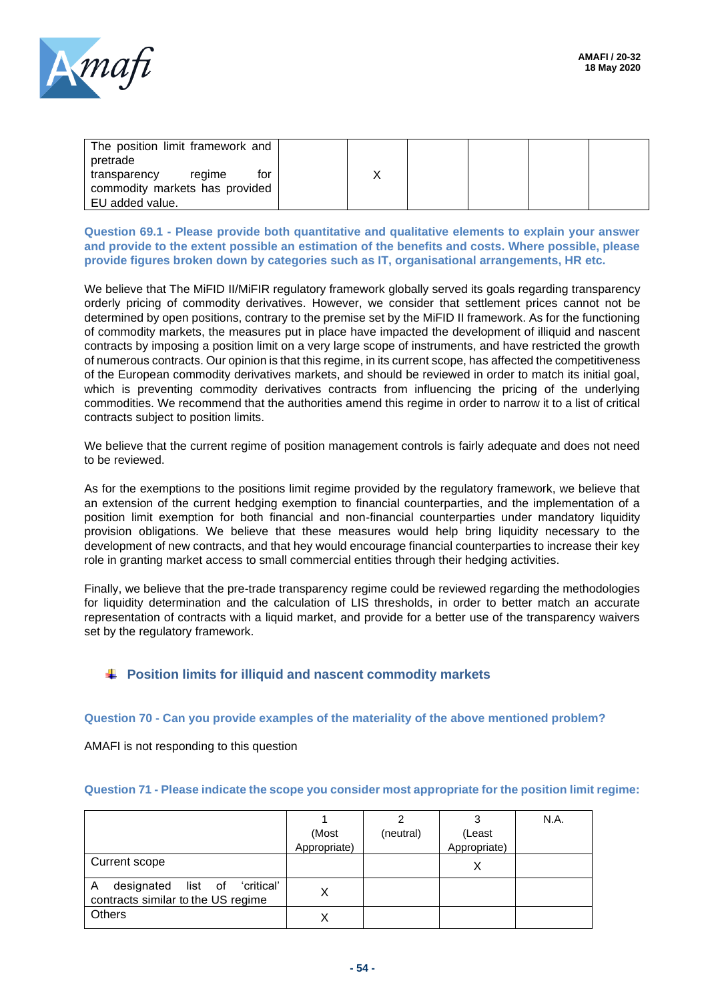

| The position limit framework and<br>pretrade |  |  |  |
|----------------------------------------------|--|--|--|
| for<br>regime<br>transparency                |  |  |  |
| commodity markets has provided               |  |  |  |
| EU added value.                              |  |  |  |

**Question 69.1 - Please provide both quantitative and qualitative elements to explain your answer and provide to the extent possible an estimation of the benefits and costs. Where possible, please provide figures broken down by categories such as IT, organisational arrangements, HR etc.**

We believe that The MiFID II/MiFIR regulatory framework globally served its goals regarding transparency orderly pricing of commodity derivatives. However, we consider that settlement prices cannot not be determined by open positions, contrary to the premise set by the MiFID II framework. As for the functioning of commodity markets, the measures put in place have impacted the development of illiquid and nascent contracts by imposing a position limit on a very large scope of instruments, and have restricted the growth of numerous contracts. Our opinion is that this regime, in its current scope, has affected the competitiveness of the European commodity derivatives markets, and should be reviewed in order to match its initial goal, which is preventing commodity derivatives contracts from influencing the pricing of the underlying commodities. We recommend that the authorities amend this regime in order to narrow it to a list of critical contracts subject to position limits.

We believe that the current regime of position management controls is fairly adequate and does not need to be reviewed.

As for the exemptions to the positions limit regime provided by the regulatory framework, we believe that an extension of the current hedging exemption to financial counterparties, and the implementation of a position limit exemption for both financial and non-financial counterparties under mandatory liquidity provision obligations. We believe that these measures would help bring liquidity necessary to the development of new contracts, and that hey would encourage financial counterparties to increase their key role in granting market access to small commercial entities through their hedging activities.

Finally, we believe that the pre-trade transparency regime could be reviewed regarding the methodologies for liquidity determination and the calculation of LIS thresholds, in order to better match an accurate representation of contracts with a liquid market, and provide for a better use of the transparency waivers set by the regulatory framework.

### **Position limits for illiquid and nascent commodity markets**

#### **Question 70 - Can you provide examples of the materiality of the above mentioned problem?**

AMAFI is not responding to this question

| Question 71 - Please indicate the scope you consider most appropriate for the position limit regime: |  |  |
|------------------------------------------------------------------------------------------------------|--|--|
|                                                                                                      |  |  |

|                                                                          |              |           |              | N.A. |
|--------------------------------------------------------------------------|--------------|-----------|--------------|------|
|                                                                          | (Most        | (neutral) | (Least       |      |
|                                                                          | Appropriate) |           | Appropriate) |      |
| Current scope                                                            |              |           | ⌒            |      |
| designated list of 'critical'<br>A<br>contracts similar to the US regime |              |           |              |      |
| <b>Others</b>                                                            |              |           |              |      |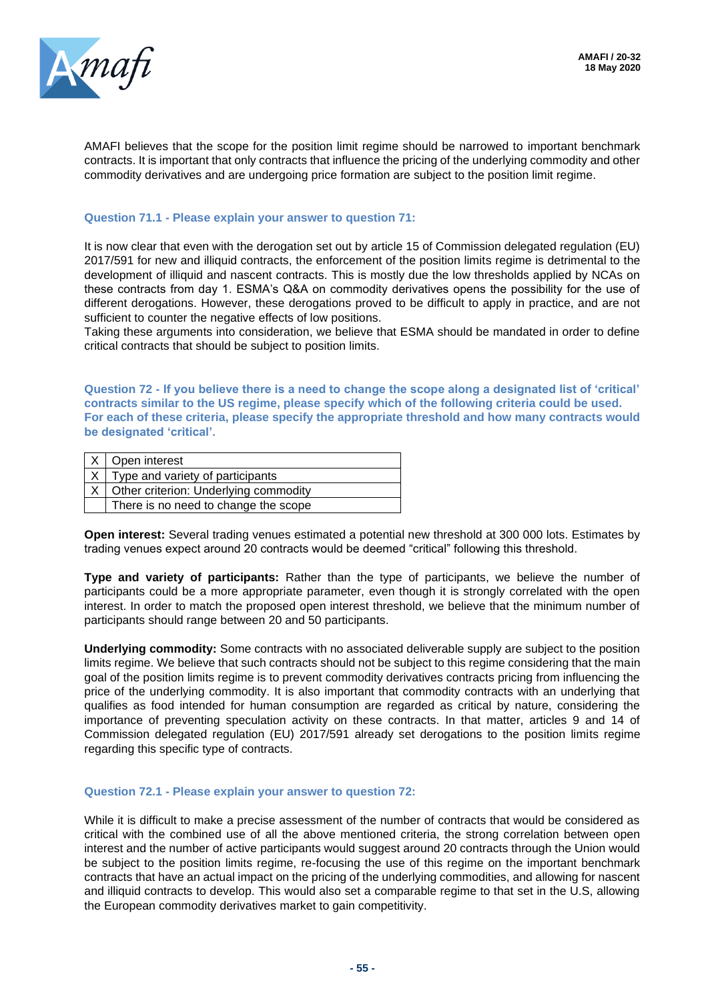

AMAFI believes that the scope for the position limit regime should be narrowed to important benchmark contracts. It is important that only contracts that influence the pricing of the underlying commodity and other commodity derivatives and are undergoing price formation are subject to the position limit regime.

#### **Question 71.1 - Please explain your answer to question 71:**

It is now clear that even with the derogation set out by article 15 of Commission delegated regulation (EU) 2017/591 for new and illiquid contracts, the enforcement of the position limits regime is detrimental to the development of illiquid and nascent contracts. This is mostly due the low thresholds applied by NCAs on these contracts from day 1. ESMA's Q&A on commodity derivatives opens the possibility for the use of different derogations. However, these derogations proved to be difficult to apply in practice, and are not sufficient to counter the negative effects of low positions.

Taking these arguments into consideration, we believe that ESMA should be mandated in order to define critical contracts that should be subject to position limits.

**Question 72 - If you believe there is a need to change the scope along a designated list of 'critical' contracts similar to the US regime, please specify which of the following criteria could be used. For each of these criteria, please specify the appropriate threshold and how many contracts would be designated 'critical'.**

| Open interest                         |
|---------------------------------------|
| Type and variety of participants      |
| Other criterion: Underlying commodity |
| There is no need to change the scope  |

**Open interest:** Several trading venues estimated a potential new threshold at 300 000 lots. Estimates by trading venues expect around 20 contracts would be deemed "critical" following this threshold.

**Type and variety of participants:** Rather than the type of participants, we believe the number of participants could be a more appropriate parameter, even though it is strongly correlated with the open interest. In order to match the proposed open interest threshold, we believe that the minimum number of participants should range between 20 and 50 participants.

**Underlying commodity:** Some contracts with no associated deliverable supply are subject to the position limits regime. We believe that such contracts should not be subject to this regime considering that the main goal of the position limits regime is to prevent commodity derivatives contracts pricing from influencing the price of the underlying commodity. It is also important that commodity contracts with an underlying that qualifies as food intended for human consumption are regarded as critical by nature, considering the importance of preventing speculation activity on these contracts. In that matter, articles 9 and 14 of Commission delegated regulation (EU) 2017/591 already set derogations to the position limits regime regarding this specific type of contracts.

#### **Question 72.1 - Please explain your answer to question 72:**

While it is difficult to make a precise assessment of the number of contracts that would be considered as critical with the combined use of all the above mentioned criteria, the strong correlation between open interest and the number of active participants would suggest around 20 contracts through the Union would be subject to the position limits regime, re-focusing the use of this regime on the important benchmark contracts that have an actual impact on the pricing of the underlying commodities, and allowing for nascent and illiquid contracts to develop. This would also set a comparable regime to that set in the U.S, allowing the European commodity derivatives market to gain competitivity.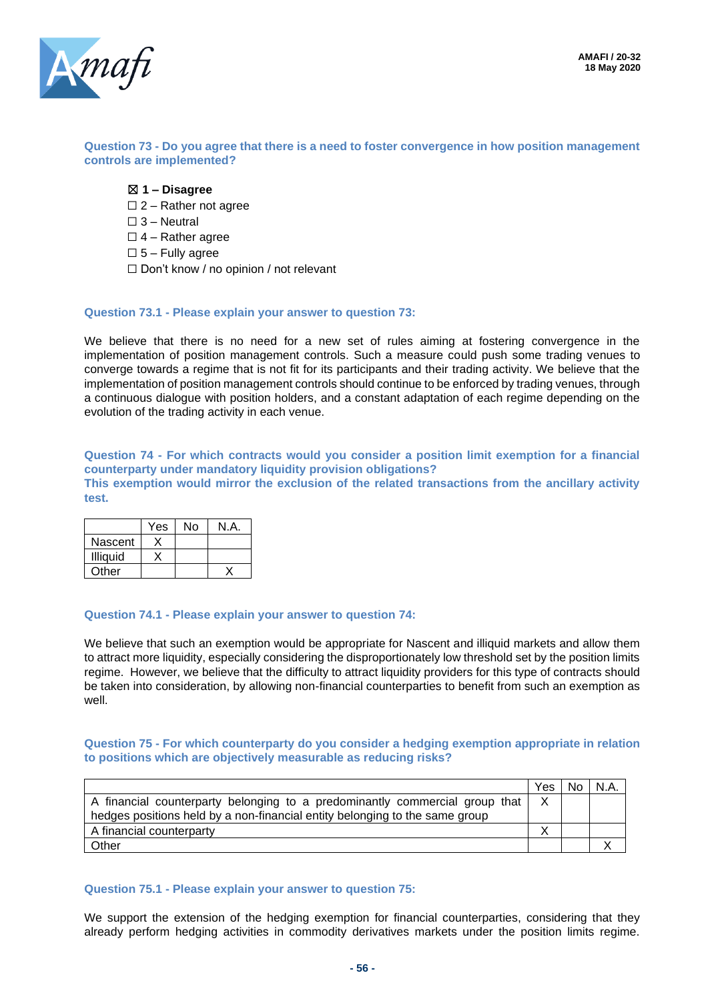

#### **Question 73 - Do you agree that there is a need to foster convergence in how position management controls are implemented?**

- ☒ **1 – Disagree**
- $\square$  2 Rather not agree
- ☐ 3 Neutral
- $\Box$  4 Rather agree
- $\square$  5 Fully agree
- ☐ Don't know / no opinion / not relevant

#### **Question 73.1 - Please explain your answer to question 73:**

We believe that there is no need for a new set of rules aiming at fostering convergence in the implementation of position management controls. Such a measure could push some trading venues to converge towards a regime that is not fit for its participants and their trading activity. We believe that the implementation of position management controls should continue to be enforced by trading venues, through a continuous dialogue with position holders, and a constant adaptation of each regime depending on the evolution of the trading activity in each venue.

**Question 74 - For which contracts would you consider a position limit exemption for a financial counterparty under mandatory liquidity provision obligations? This exemption would mirror the exclusion of the related transactions from the ancillary activity test.**

|                 | Yes | No | N.A. |
|-----------------|-----|----|------|
| Nascent         |     |    |      |
| <b>Illiquid</b> |     |    |      |
| Other           |     |    |      |

#### **Question 74.1 - Please explain your answer to question 74:**

We believe that such an exemption would be appropriate for Nascent and illiquid markets and allow them to attract more liquidity, especially considering the disproportionately low threshold set by the position limits regime. However, we believe that the difficulty to attract liquidity providers for this type of contracts should be taken into consideration, by allowing non-financial counterparties to benefit from such an exemption as well.

#### **Question 75 - For which counterparty do you consider a hedging exemption appropriate in relation to positions which are objectively measurable as reducing risks?**

|                                                                             | Yes | No. | N.A |
|-----------------------------------------------------------------------------|-----|-----|-----|
| A financial counterparty belonging to a predominantly commercial group that | X   |     |     |
| hedges positions held by a non-financial entity belonging to the same group |     |     |     |
| A financial counterparty                                                    |     |     |     |
| Other                                                                       |     |     |     |

#### **Question 75.1 - Please explain your answer to question 75:**

We support the extension of the hedging exemption for financial counterparties, considering that they already perform hedging activities in commodity derivatives markets under the position limits regime.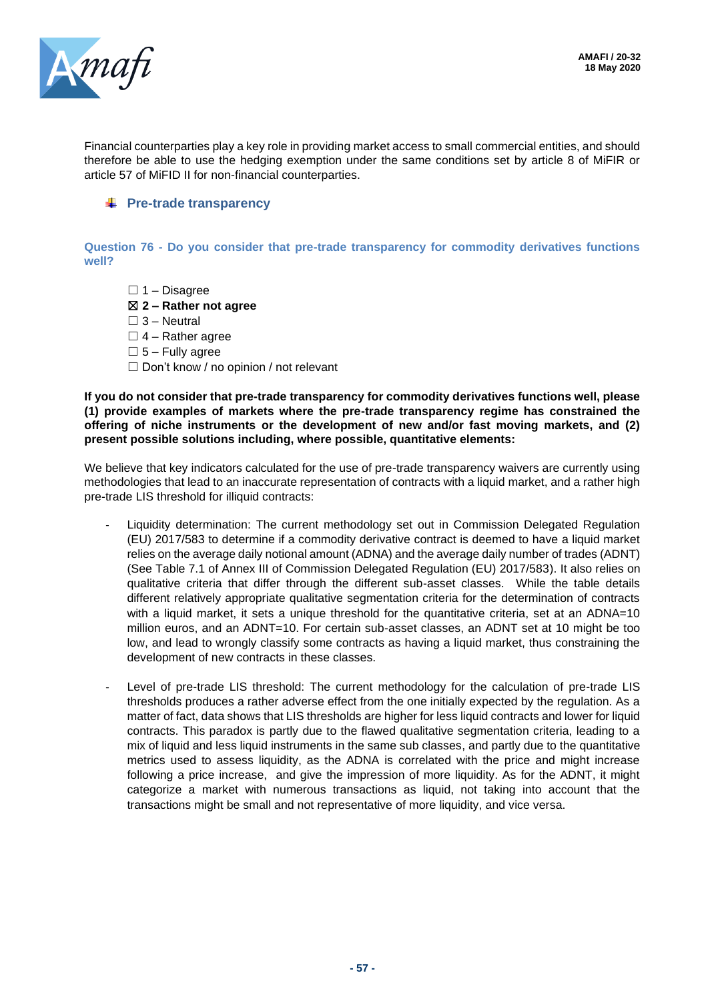

Financial counterparties play a key role in providing market access to small commercial entities, and should therefore be able to use the hedging exemption under the same conditions set by article 8 of MiFIR or article 57 of MiFID II for non-financial counterparties.

#### **FRE-trade transparency**

**Question 76 - Do you consider that pre-trade transparency for commodity derivatives functions well?**

- $\Box$  1 Disagree
- ☒ **2 – Rather not agree**
- $\Box$  3 Neutral
- $\Box$  4 Rather agree
- $\square$  5 Fully agree
- ☐ Don't know / no opinion / not relevant

**If you do not consider that pre-trade transparency for commodity derivatives functions well, please (1) provide examples of markets where the pre-trade transparency regime has constrained the offering of niche instruments or the development of new and/or fast moving markets, and (2) present possible solutions including, where possible, quantitative elements:**

We believe that key indicators calculated for the use of pre-trade transparency waivers are currently using methodologies that lead to an inaccurate representation of contracts with a liquid market, and a rather high pre-trade LIS threshold for illiquid contracts:

- Liquidity determination: The current methodology set out in Commission Delegated Regulation (EU) 2017/583 to determine if a commodity derivative contract is deemed to have a liquid market relies on the average daily notional amount (ADNA) and the average daily number of trades (ADNT) (See Table 7.1 of Annex III of Commission Delegated Regulation (EU) 2017/583). It also relies on qualitative criteria that differ through the different sub-asset classes. While the table details different relatively appropriate qualitative segmentation criteria for the determination of contracts with a liquid market, it sets a unique threshold for the quantitative criteria, set at an ADNA=10 million euros, and an ADNT=10. For certain sub-asset classes, an ADNT set at 10 might be too low, and lead to wrongly classify some contracts as having a liquid market, thus constraining the development of new contracts in these classes.
- Level of pre-trade LIS threshold: The current methodology for the calculation of pre-trade LIS thresholds produces a rather adverse effect from the one initially expected by the regulation. As a matter of fact, data shows that LIS thresholds are higher for less liquid contracts and lower for liquid contracts. This paradox is partly due to the flawed qualitative segmentation criteria, leading to a mix of liquid and less liquid instruments in the same sub classes, and partly due to the quantitative metrics used to assess liquidity, as the ADNA is correlated with the price and might increase following a price increase, and give the impression of more liquidity. As for the ADNT, it might categorize a market with numerous transactions as liquid, not taking into account that the transactions might be small and not representative of more liquidity, and vice versa.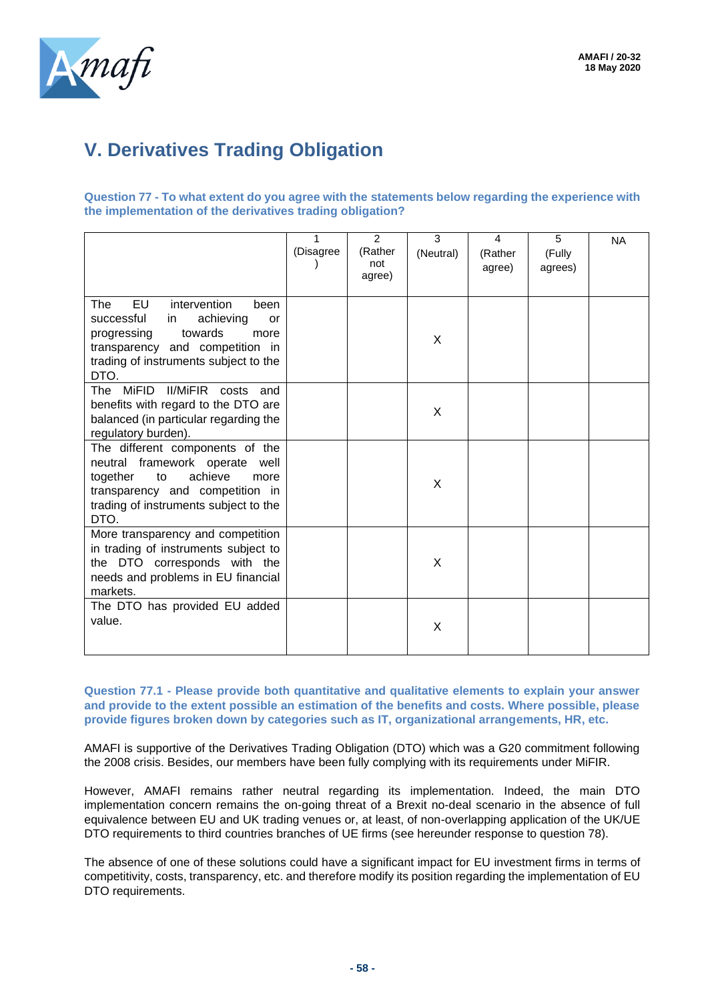

# **V. Derivatives Trading Obligation**

**Question 77 - To what extent do you agree with the statements below regarding the experience with the implementation of the derivatives trading obligation?**

|                                                                                                                                                                                                               | (Disagree | 2<br>(Rather<br>not<br>agree) | 3<br>(Neutral) | 4<br>(Rather<br>agree) | 5<br>(Fully<br>agrees) | <b>NA</b> |
|---------------------------------------------------------------------------------------------------------------------------------------------------------------------------------------------------------------|-----------|-------------------------------|----------------|------------------------|------------------------|-----------|
| <b>EU</b><br><b>The</b><br>intervention<br>been<br>successful<br>achieving<br>in.<br>or<br>towards<br>progressing<br>more<br>transparency and competition in<br>trading of instruments subject to the<br>DTO. |           |                               | X              |                        |                        |           |
| <b>II/MiFIR</b><br>The MiFID<br>costs<br>and<br>benefits with regard to the DTO are<br>balanced (in particular regarding the<br>regulatory burden).                                                           |           |                               | X              |                        |                        |           |
| The different components of the<br>neutral framework operate well<br>together<br>achieve<br>to<br>more<br>transparency and competition in<br>trading of instruments subject to the<br>DTO.                    |           |                               | X              |                        |                        |           |
| More transparency and competition<br>in trading of instruments subject to<br>the DTO corresponds with the<br>needs and problems in EU financial<br>markets.                                                   |           |                               | X              |                        |                        |           |
| The DTO has provided EU added<br>value.                                                                                                                                                                       |           |                               | X              |                        |                        |           |

**Question 77.1 - Please provide both quantitative and qualitative elements to explain your answer and provide to the extent possible an estimation of the benefits and costs. Where possible, please provide figures broken down by categories such as IT, organizational arrangements, HR, etc.**

AMAFI is supportive of the Derivatives Trading Obligation (DTO) which was a G20 commitment following the 2008 crisis. Besides, our members have been fully complying with its requirements under MiFIR.

However, AMAFI remains rather neutral regarding its implementation. Indeed, the main DTO implementation concern remains the on-going threat of a Brexit no-deal scenario in the absence of full equivalence between EU and UK trading venues or, at least, of non-overlapping application of the UK/UE DTO requirements to third countries branches of UE firms (see hereunder response to question 78).

The absence of one of these solutions could have a significant impact for EU investment firms in terms of competitivity, costs, transparency, etc. and therefore modify its position regarding the implementation of EU DTO requirements.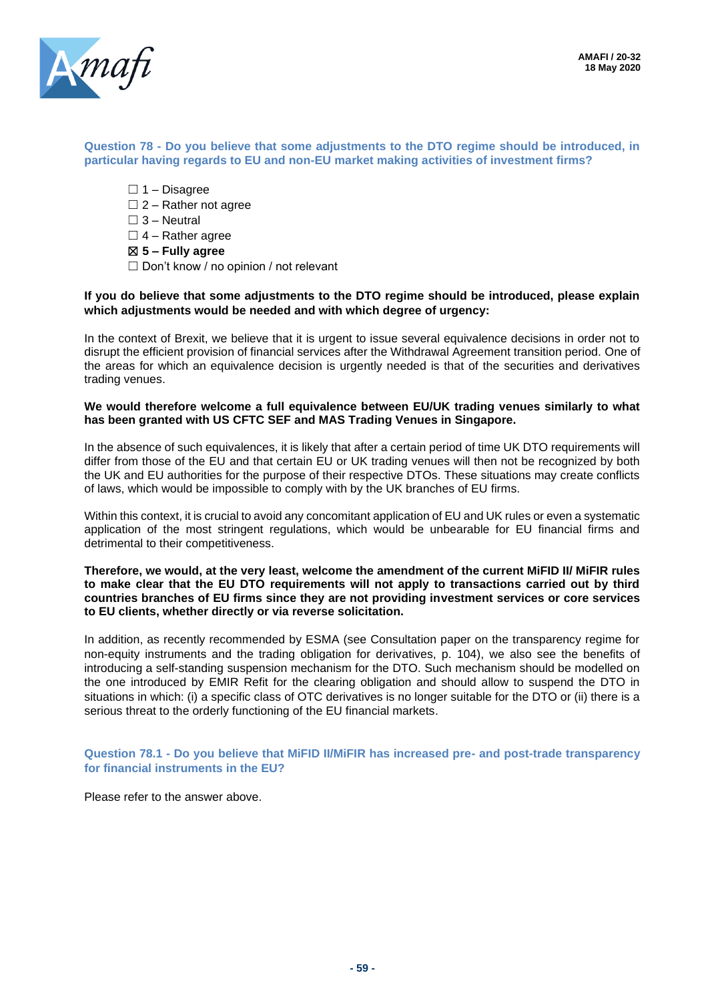

#### **Question 78 - Do you believe that some adjustments to the DTO regime should be introduced, in particular having regards to EU and non-EU market making activities of investment firms?**

- $\Box$  1 Disagree
- $\Box$  2 Rather not agree
- $\Box$  3 Neutral
- $\Box$  4 Rather agree
- ☒ **5 – Fully agree**
- $\Box$  Don't know / no opinion / not relevant

#### **If you do believe that some adjustments to the DTO regime should be introduced, please explain which adjustments would be needed and with which degree of urgency:**

In the context of Brexit, we believe that it is urgent to issue several equivalence decisions in order not to disrupt the efficient provision of financial services after the Withdrawal Agreement transition period. One of the areas for which an equivalence decision is urgently needed is that of the securities and derivatives trading venues.

#### **We would therefore welcome a full equivalence between EU/UK trading venues similarly to what has been granted with US CFTC SEF and MAS Trading Venues in Singapore.**

In the absence of such equivalences, it is likely that after a certain period of time UK DTO requirements will differ from those of the EU and that certain EU or UK trading venues will then not be recognized by both the UK and EU authorities for the purpose of their respective DTOs. These situations may create conflicts of laws, which would be impossible to comply with by the UK branches of EU firms.

Within this context, it is crucial to avoid any concomitant application of EU and UK rules or even a systematic application of the most stringent regulations, which would be unbearable for EU financial firms and detrimental to their competitiveness.

#### **Therefore, we would, at the very least, welcome the amendment of the current MiFID II/ MiFIR rules to make clear that the EU DTO requirements will not apply to transactions carried out by third countries branches of EU firms since they are not providing investment services or core services to EU clients, whether directly or via reverse solicitation.**

In addition, as recently recommended by ESMA (see Consultation paper on the transparency regime for non-equity instruments and the trading obligation for derivatives, p. 104), we also see the benefits of introducing a self-standing suspension mechanism for the DTO. Such mechanism should be modelled on the one introduced by EMIR Refit for the clearing obligation and should allow to suspend the DTO in situations in which: (i) a specific class of OTC derivatives is no longer suitable for the DTO or (ii) there is a serious threat to the orderly functioning of the EU financial markets.

#### **Question 78.1 - Do you believe that MiFID II/MiFIR has increased pre- and post-trade transparency for financial instruments in the EU?**

Please refer to the answer above.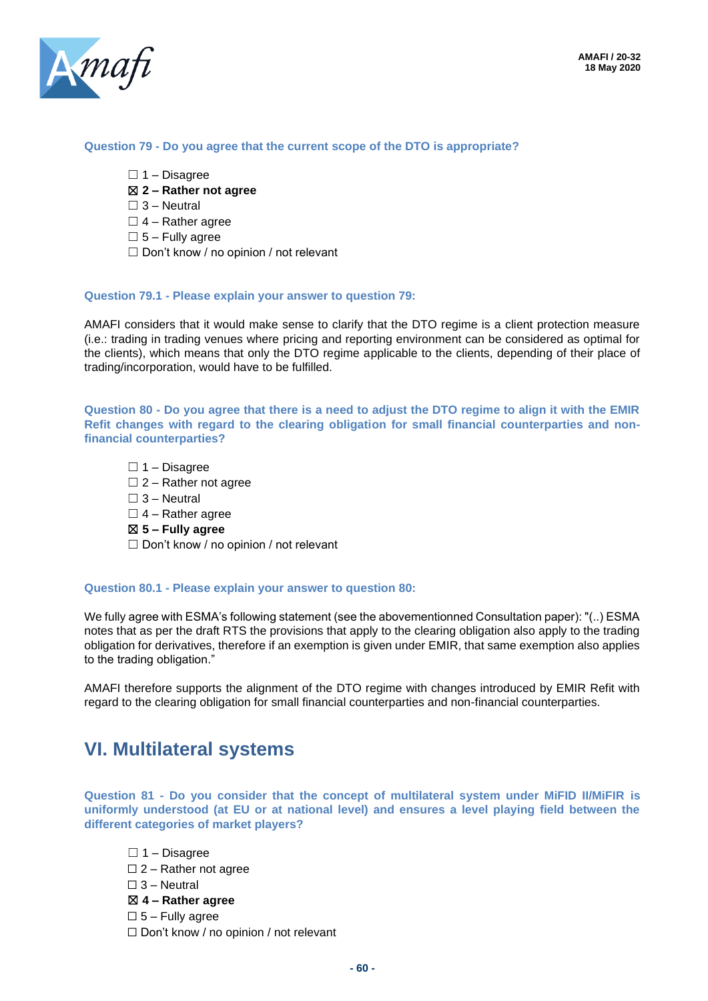

#### **Question 79 - Do you agree that the current scope of the DTO is appropriate?**

- $\Box$  1 Disagree
- ☒ **2 – Rather not agree**
- $\Box$  3 Neutral
- $\Box$  4 Rather agree
- $\square$  5 Fully agree
- □ Don't know / no opinion / not relevant

#### **Question 79.1 - Please explain your answer to question 79:**

AMAFI considers that it would make sense to clarify that the DTO regime is a client protection measure (i.e.: trading in trading venues where pricing and reporting environment can be considered as optimal for the clients), which means that only the DTO regime applicable to the clients, depending of their place of trading/incorporation, would have to be fulfilled.

**Question 80 - Do you agree that there is a need to adjust the DTO regime to align it with the EMIR Refit changes with regard to the clearing obligation for small financial counterparties and nonfinancial counterparties?**

 $\Box$  1 – Disagree

- $\Box$  2 Rather not agree
- $\Box$  3 Neutral
- $\Box$  4 Rather agree
- ☒ **5 – Fully agree**

 $\Box$  Don't know / no opinion / not relevant

#### **Question 80.1 - Please explain your answer to question 80:**

We fully agree with ESMA's following statement (see the abovementionned Consultation paper): "(..) ESMA notes that as per the draft RTS the provisions that apply to the clearing obligation also apply to the trading obligation for derivatives, therefore if an exemption is given under EMIR, that same exemption also applies to the trading obligation."

AMAFI therefore supports the alignment of the DTO regime with changes introduced by EMIR Refit with regard to the clearing obligation for small financial counterparties and non-financial counterparties.

### **VI. Multilateral systems**

**Question 81 - Do you consider that the concept of multilateral system under MiFID II/MiFIR is uniformly understood (at EU or at national level) and ensures a level playing field between the different categories of market players?**

 $\Box$  1 – Disagree  $\square$  2 – Rather not agree  $\square$  3 – Neutral ☒ **4 – Rather agree**  $\square$  5 – Fully agree ☐ Don't know / no opinion / not relevant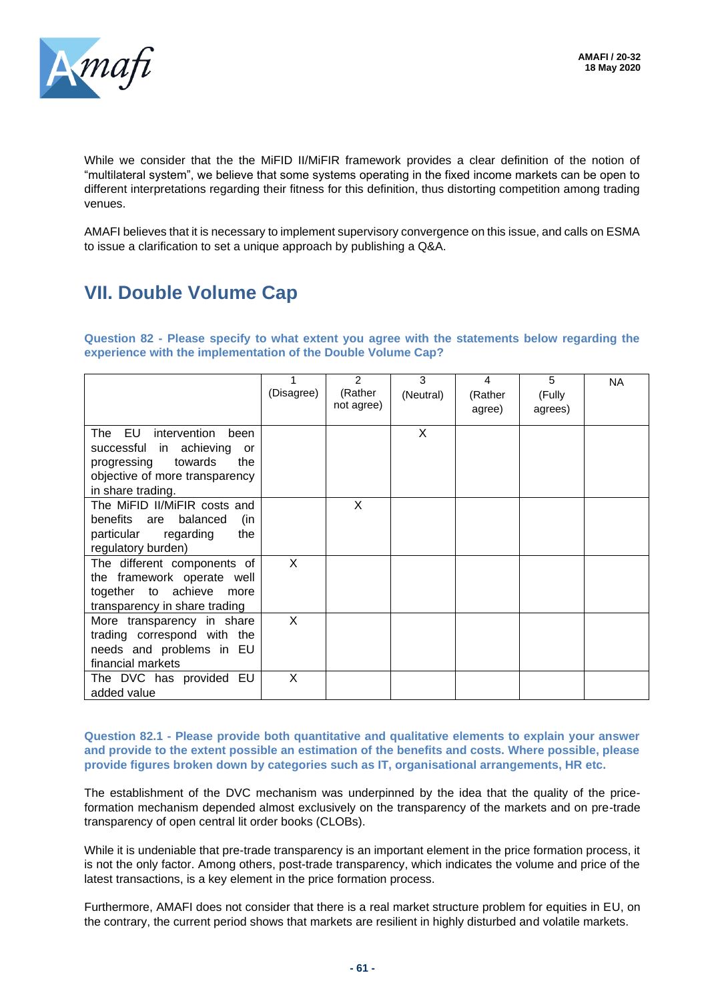

While we consider that the the MiFID II/MiFIR framework provides a clear definition of the notion of "multilateral system", we believe that some systems operating in the fixed income markets can be open to different interpretations regarding their fitness for this definition, thus distorting competition among trading venues.

AMAFI believes that it is necessary to implement supervisory convergence on this issue, and calls on ESMA to issue a clarification to set a unique approach by publishing a Q&A.

# **VII. Double Volume Cap**

**Question 82 - Please specify to what extent you agree with the statements below regarding the experience with the implementation of the Double Volume Cap?**

|                                                                                                                                                         | (Disagree) | $\mathfrak{p}$<br>(Rather<br>not agree) | 3<br>(Neutral) | 4<br>(Rather<br>agree) | 5<br>(Fully<br>agrees) | <b>NA</b> |
|---------------------------------------------------------------------------------------------------------------------------------------------------------|------------|-----------------------------------------|----------------|------------------------|------------------------|-----------|
| The EU<br>intervention<br>been<br>successful in achieving<br>or<br>towards<br>progressing<br>the<br>objective of more transparency<br>in share trading. |            |                                         | X              |                        |                        |           |
| The MiFID II/MiFIR costs and<br>benefits are balanced<br>(in<br>regarding<br>particular<br>the<br>regulatory burden)                                    |            | X                                       |                |                        |                        |           |
| The different components of<br>the framework operate well<br>together to achieve<br>more<br>transparency in share trading                               | X          |                                         |                |                        |                        |           |
| More transparency in share<br>trading correspond with the<br>needs and problems in EU<br>financial markets                                              | X          |                                         |                |                        |                        |           |
| The DVC has provided EU<br>added value                                                                                                                  | X          |                                         |                |                        |                        |           |

**Question 82.1 - Please provide both quantitative and qualitative elements to explain your answer and provide to the extent possible an estimation of the benefits and costs. Where possible, please provide figures broken down by categories such as IT, organisational arrangements, HR etc.**

The establishment of the DVC mechanism was underpinned by the idea that the quality of the priceformation mechanism depended almost exclusively on the transparency of the markets and on pre-trade transparency of open central lit order books (CLOBs).

While it is undeniable that pre-trade transparency is an important element in the price formation process, it is not the only factor. Among others, post-trade transparency, which indicates the volume and price of the latest transactions, is a key element in the price formation process.

Furthermore, AMAFI does not consider that there is a real market structure problem for equities in EU, on the contrary, the current period shows that markets are resilient in highly disturbed and volatile markets.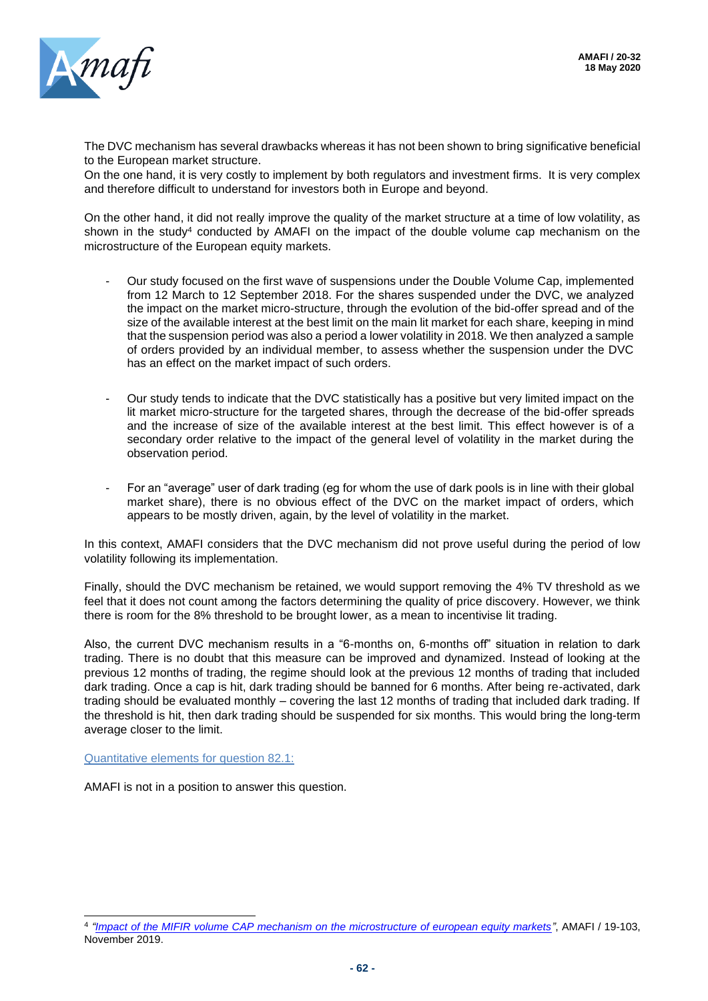

The DVC mechanism has several drawbacks whereas it has not been shown to bring significative beneficial to the European market structure.

On the one hand, it is very costly to implement by both regulators and investment firms. It is very complex and therefore difficult to understand for investors both in Europe and beyond.

On the other hand, it did not really improve the quality of the market structure at a time of low volatility, as shown in the study<sup>4</sup> conducted by AMAFI on the impact of the double volume cap mechanism on the microstructure of the European equity markets.

- Our study focused on the first wave of suspensions under the Double Volume Cap, implemented from 12 March to 12 September 2018. For the shares suspended under the DVC, we analyzed the impact on the market micro-structure, through the evolution of the bid-offer spread and of the size of the available interest at the best limit on the main lit market for each share, keeping in mind that the suspension period was also a period a lower volatility in 2018. We then analyzed a sample of orders provided by an individual member, to assess whether the suspension under the DVC has an effect on the market impact of such orders.
- Our study tends to indicate that the DVC statistically has a positive but very limited impact on the lit market micro-structure for the targeted shares, through the decrease of the bid-offer spreads and the increase of size of the available interest at the best limit. This effect however is of a secondary order relative to the impact of the general level of volatility in the market during the observation period.
- For an "average" user of dark trading (eg for whom the use of dark pools is in line with their global market share), there is no obvious effect of the DVC on the market impact of orders, which appears to be mostly driven, again, by the level of volatility in the market.

In this context, AMAFI considers that the DVC mechanism did not prove useful during the period of low volatility following its implementation.

Finally, should the DVC mechanism be retained, we would support removing the 4% TV threshold as we feel that it does not count among the factors determining the quality of price discovery. However, we think there is room for the 8% threshold to be brought lower, as a mean to incentivise lit trading.

Also, the current DVC mechanism results in a "6-months on, 6-months off" situation in relation to dark trading. There is no doubt that this measure can be improved and dynamized. Instead of looking at the previous 12 months of trading, the regime should look at the previous 12 months of trading that included dark trading. Once a cap is hit, dark trading should be banned for 6 months. After being re-activated, dark trading should be evaluated monthly – covering the last 12 months of trading that included dark trading. If the threshold is hit, then dark trading should be suspended for six months. This would bring the long-term average closer to the limit.

Quantitative elements for question 82.1:

AMAFI is not in a position to answer this question.

<sup>4</sup> *["Impact of the MIFIR volume CAP mechanism on the microstructure of european equity markets"](http://www.amafi.fr/download/pages/d1UWBwfYFt17f4sypgw1Nu11BP82vhbbgaPWbHOV.pdf)*, AMAFI / 19-103, November 2019.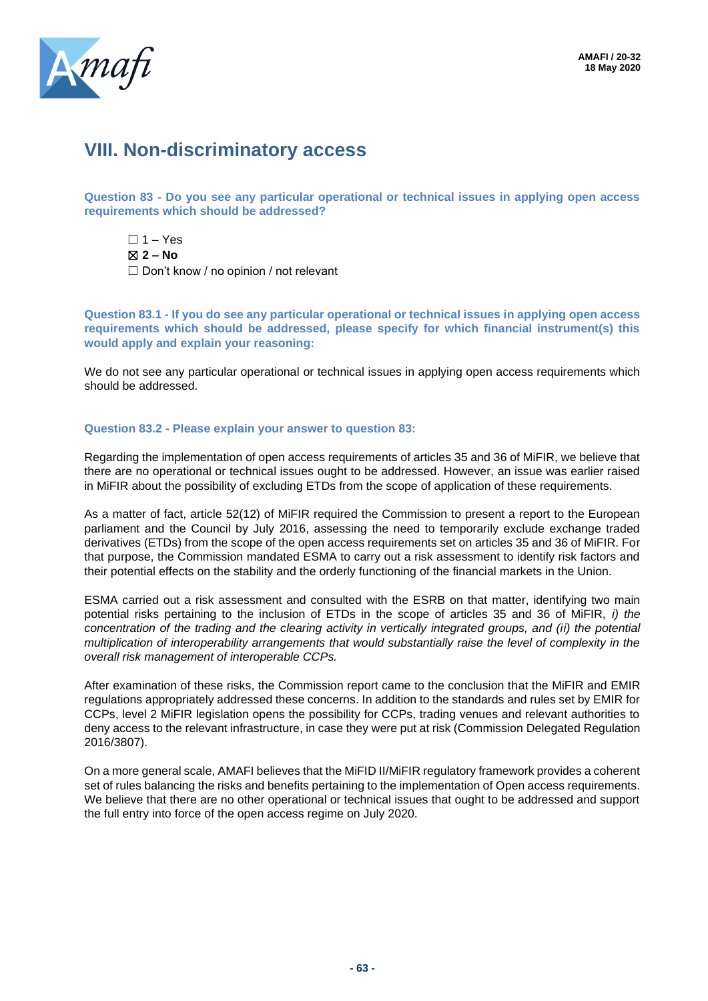

## **VIII. Non-discriminatory access**

**Question 83 - Do you see any particular operational or technical issues in applying open access requirements which should be addressed?**

 $\Box$  1 – Yes ☒ **2 – No** ☐ Don't know / no opinion / not relevant

**Question 83.1 - If you do see any particular operational or technical issues in applying open access requirements which should be addressed, please specify for which financial instrument(s) this would apply and explain your reasoning:**

We do not see any particular operational or technical issues in applying open access requirements which should be addressed.

#### **Question 83.2 - Please explain your answer to question 83:**

Regarding the implementation of open access requirements of articles 35 and 36 of MiFIR, we believe that there are no operational or technical issues ought to be addressed. However, an issue was earlier raised in MiFIR about the possibility of excluding ETDs from the scope of application of these requirements.

As a matter of fact, article 52(12) of MiFIR required the Commission to present a report to the European parliament and the Council by July 2016, assessing the need to temporarily exclude exchange traded derivatives (ETDs) from the scope of the open access requirements set on articles 35 and 36 of MiFIR. For that purpose, the Commission mandated ESMA to carry out a risk assessment to identify risk factors and their potential effects on the stability and the orderly functioning of the financial markets in the Union.

ESMA carried out a risk assessment and consulted with the ESRB on that matter, identifying two main potential risks pertaining to the inclusion of ETDs in the scope of articles 35 and 36 of MiFIR, *i) the concentration of the trading and the clearing activity in vertically integrated groups, and (ii) the potential multiplication of interoperability arrangements that would substantially raise the level of complexity in the overall risk management of interoperable CCPs.*

After examination of these risks, the Commission report came to the conclusion that the MiFIR and EMIR regulations appropriately addressed these concerns. In addition to the standards and rules set by EMIR for CCPs, level 2 MiFIR legislation opens the possibility for CCPs, trading venues and relevant authorities to deny access to the relevant infrastructure, in case they were put at risk (Commission Delegated Regulation 2016/3807).

On a more general scale, AMAFI believes that the MiFID II/MiFIR regulatory framework provides a coherent set of rules balancing the risks and benefits pertaining to the implementation of Open access requirements. We believe that there are no other operational or technical issues that ought to be addressed and support the full entry into force of the open access regime on July 2020.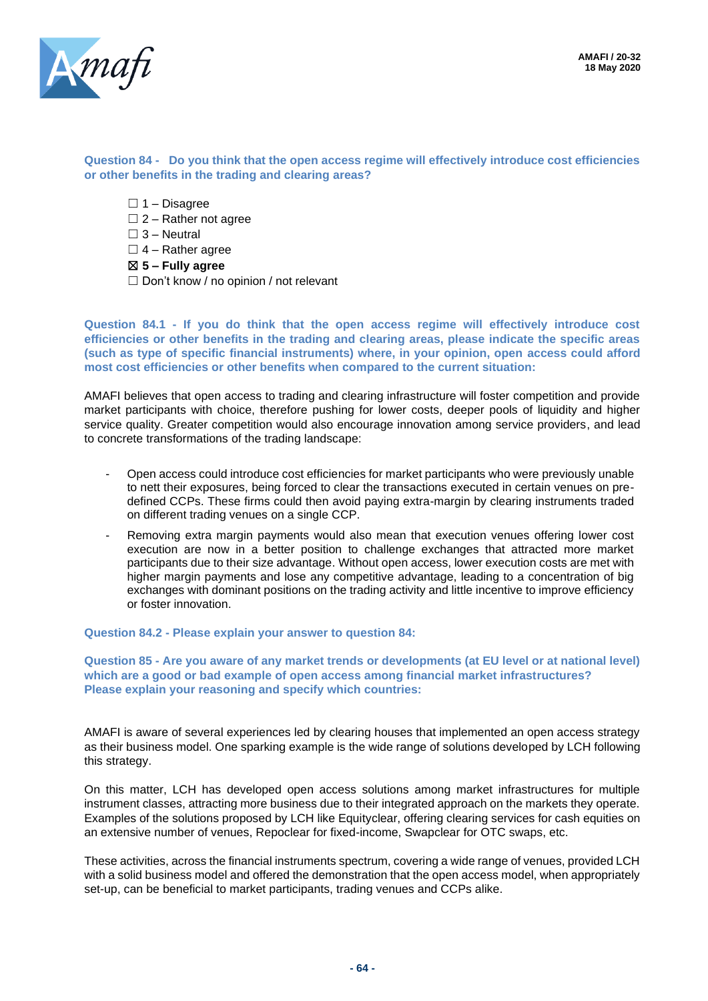

#### **Question 84 - Do you think that the open access regime will effectively introduce cost efficiencies or other benefits in the trading and clearing areas?**

- $\Box$  1 Disagree
- $\square$  2 Rather not agree
- $\Box$  3 Neutral
- $\Box$  4 Rather agree
- ☒ **5 – Fully agree**
- ☐ Don't know / no opinion / not relevant

**Question 84.1 - If you do think that the open access regime will effectively introduce cost efficiencies or other benefits in the trading and clearing areas, please indicate the specific areas (such as type of specific financial instruments) where, in your opinion, open access could afford most cost efficiencies or other benefits when compared to the current situation:**

AMAFI believes that open access to trading and clearing infrastructure will foster competition and provide market participants with choice, therefore pushing for lower costs, deeper pools of liquidity and higher service quality. Greater competition would also encourage innovation among service providers, and lead to concrete transformations of the trading landscape:

- Open access could introduce cost efficiencies for market participants who were previously unable to nett their exposures, being forced to clear the transactions executed in certain venues on predefined CCPs. These firms could then avoid paying extra-margin by clearing instruments traded on different trading venues on a single CCP.
- Removing extra margin payments would also mean that execution venues offering lower cost execution are now in a better position to challenge exchanges that attracted more market participants due to their size advantage. Without open access, lower execution costs are met with higher margin payments and lose any competitive advantage, leading to a concentration of big exchanges with dominant positions on the trading activity and little incentive to improve efficiency or foster innovation.

**Question 84.2 - Please explain your answer to question 84:**

**Question 85 - Are you aware of any market trends or developments (at EU level or at national level) which are a good or bad example of open access among financial market infrastructures? Please explain your reasoning and specify which countries:**

AMAFI is aware of several experiences led by clearing houses that implemented an open access strategy as their business model. One sparking example is the wide range of solutions developed by LCH following this strategy.

On this matter, LCH has developed open access solutions among market infrastructures for multiple instrument classes, attracting more business due to their integrated approach on the markets they operate. Examples of the solutions proposed by LCH like Equityclear, offering clearing services for cash equities on an extensive number of venues, Repoclear for fixed-income, Swapclear for OTC swaps, etc.

These activities, across the financial instruments spectrum, covering a wide range of venues, provided LCH with a solid business model and offered the demonstration that the open access model, when appropriately set-up, can be beneficial to market participants, trading venues and CCPs alike.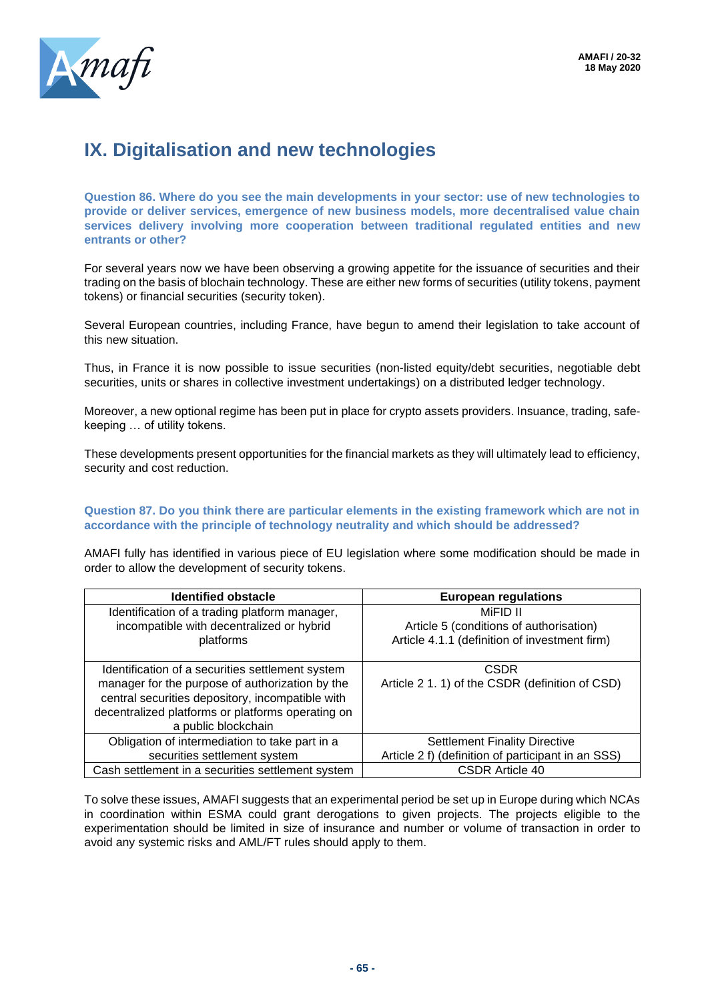

# **IX. Digitalisation and new technologies**

**Question 86. Where do you see the main developments in your sector: use of new technologies to provide or deliver services, emergence of new business models, more decentralised value chain services delivery involving more cooperation between traditional regulated entities and new entrants or other?**

For several years now we have been observing a growing appetite for the issuance of securities and their trading on the basis of blochain technology. These are either new forms of securities (utility tokens, payment tokens) or financial securities (security token).

Several European countries, including France, have begun to amend their legislation to take account of this new situation.

Thus, in France it is now possible to issue securities (non-listed equity/debt securities, negotiable debt securities, units or shares in collective investment undertakings) on a distributed ledger technology.

Moreover, a new optional regime has been put in place for crypto assets providers. Insuance, trading, safekeeping … of utility tokens.

These developments present opportunities for the financial markets as they will ultimately lead to efficiency, security and cost reduction.

#### **Question 87. Do you think there are particular elements in the existing framework which are not in accordance with the principle of technology neutrality and which should be addressed?**

AMAFI fully has identified in various piece of EU legislation where some modification should be made in order to allow the development of security tokens.

| <b>Identified obstacle</b>                        | <b>European regulations</b>                        |
|---------------------------------------------------|----------------------------------------------------|
| Identification of a trading platform manager,     | MiFID II                                           |
| incompatible with decentralized or hybrid         | Article 5 (conditions of authorisation)            |
| platforms                                         | Article 4.1.1 (definition of investment firm)      |
|                                                   |                                                    |
| Identification of a securities settlement system  | <b>CSDR</b>                                        |
| manager for the purpose of authorization by the   | Article 2 1. 1) of the CSDR (definition of CSD)    |
| central securities depository, incompatible with  |                                                    |
| decentralized platforms or platforms operating on |                                                    |
| a public blockchain                               |                                                    |
| Obligation of intermediation to take part in a    | <b>Settlement Finality Directive</b>               |
| securities settlement system                      | Article 2 f) (definition of participant in an SSS) |
| Cash settlement in a securities settlement system | <b>CSDR Article 40</b>                             |

To solve these issues, AMAFI suggests that an experimental period be set up in Europe during which NCAs in coordination within ESMA could grant derogations to given projects. The projects eligible to the experimentation should be limited in size of insurance and number or volume of transaction in order to avoid any systemic risks and AML/FT rules should apply to them.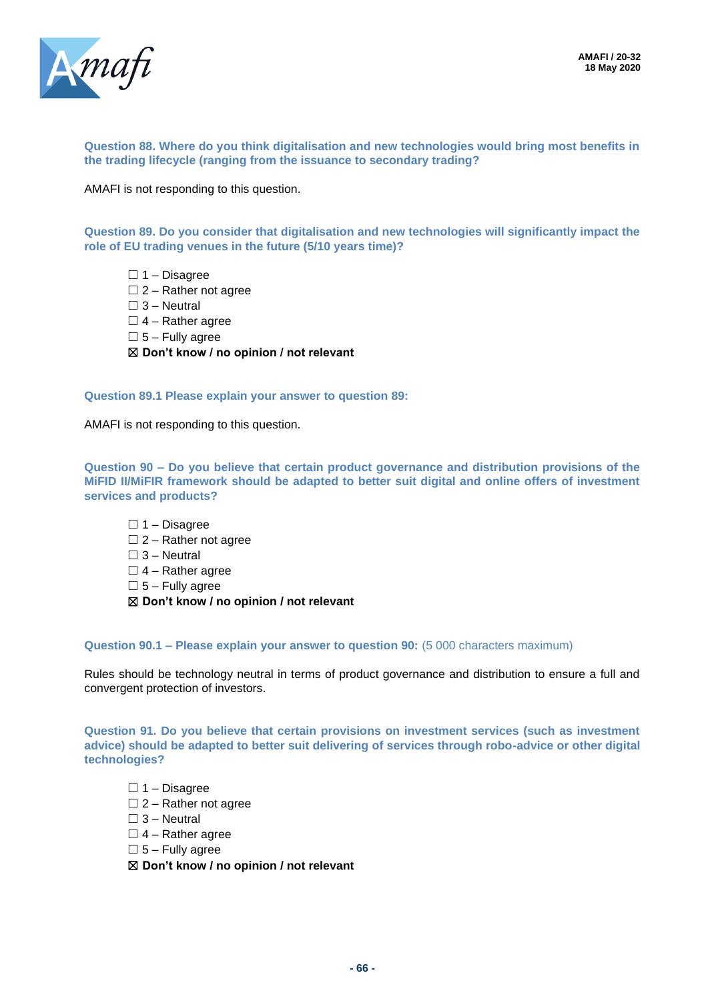

**Question 88. Where do you think digitalisation and new technologies would bring most benefits in the trading lifecycle (ranging from the issuance to secondary trading?**

AMAFI is not responding to this question.

**Question 89. Do you consider that digitalisation and new technologies will significantly impact the role of EU trading venues in the future (5/10 years time)?**

 $\Box$  1 – Disagree

- $\Box$  2 Rather not agree
- $\Box$  3 Neutral
- $\Box$  4 Rather agree
- $\square$  5 Fully agree

☒ **Don't know / no opinion / not relevant**

**Question 89.1 Please explain your answer to question 89:**

AMAFI is not responding to this question.

**Question 90 – Do you believe that certain product governance and distribution provisions of the MiFID II/MiFIR framework should be adapted to better suit digital and online offers of investment services and products?**

☐ 1 – Disagree

- $\Box$  2 Rather not agree
- $\Box$  3 Neutral
- $\Box$  4 Rather agree
- $\square$  5 Fully agree

☒ **Don't know / no opinion / not relevant**

**Question 90.1 – Please explain your answer to question 90:** (5 000 characters maximum)

Rules should be technology neutral in terms of product governance and distribution to ensure a full and convergent protection of investors.

**Question 91. Do you believe that certain provisions on investment services (such as investment advice) should be adapted to better suit delivering of services through robo-advice or other digital technologies?**

- $\Box$  1 Disagree
- $\Box$  2 Rather not agree
- $\square$  3 Neutral
- $\Box$  4 Rather agree
- $\square$  5 Fully agree
- ☒ **Don't know / no opinion / not relevant**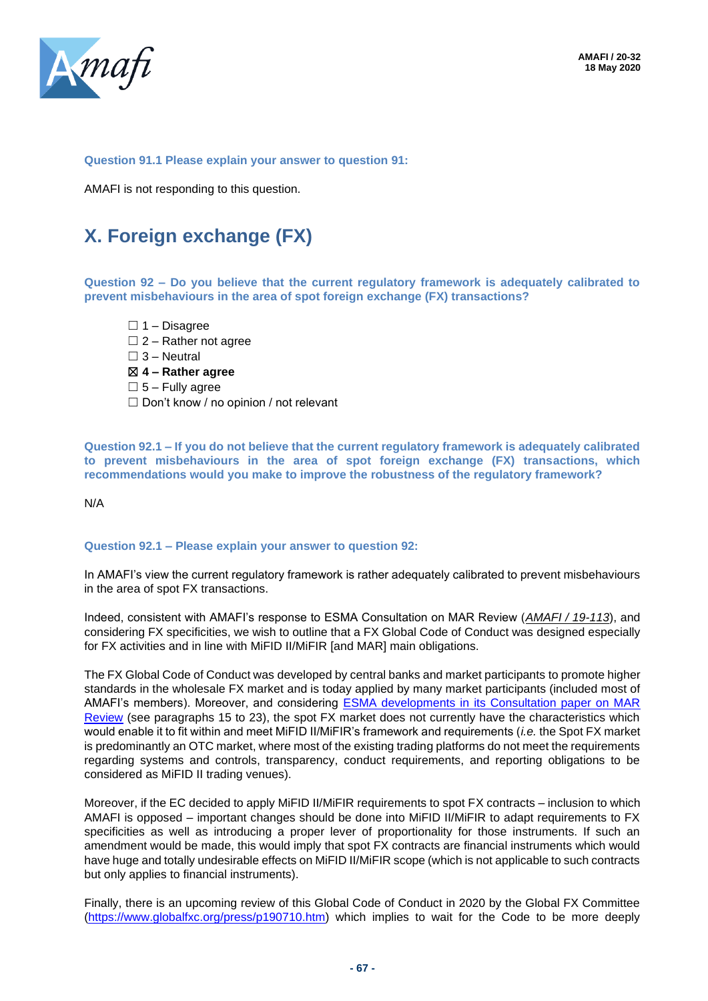

#### **Question 91.1 Please explain your answer to question 91:**

AMAFI is not responding to this question.

# **X. Foreign exchange (FX)**

**Question 92 – Do you believe that the current regulatory framework is adequately calibrated to prevent misbehaviours in the area of spot foreign exchange (FX) transactions?**

 $\Box$  1 – Disagree  $\Box$  2 – Rather not agree  $\square$  3 – Neutral ☒ **4 – Rather agree**  $\square$  5 – Fully agree ☐ Don't know / no opinion / not relevant

**Question 92.1 – If you do not believe that the current regulatory framework is adequately calibrated to prevent misbehaviours in the area of spot foreign exchange (FX) transactions, which recommendations would you make to improve the robustness of the regulatory framework?** 

N/A

#### **Question 92.1 – Please explain your answer to question 92:**

In AMAFI's view the current regulatory framework is rather adequately calibrated to prevent misbehaviours in the area of spot FX transactions.

Indeed, consistent with AMAFI's response to ESMA Consultation on MAR Review (*AMAFI / 19-113*), and considering FX specificities, we wish to outline that a FX Global Code of Conduct was designed especially for FX activities and in line with MiFID II/MiFIR [and MAR] main obligations.

The FX Global Code of Conduct was developed by central banks and market participants to promote higher standards in the wholesale FX market and is today applied by many market participants (included most of AMAFI's members). Moreover, and considering ESMA developments [in its Consultation paper on MAR](https://www.esma.europa.eu/sites/default/files/library/mar_review_-_cp.pdf)  [Review](https://www.esma.europa.eu/sites/default/files/library/mar_review_-_cp.pdf) (see paragraphs 15 to 23), the spot FX market does not currently have the characteristics which would enable it to fit within and meet MiFID II/MiFIR's framework and requirements (*i.e.* the Spot FX market is predominantly an OTC market, where most of the existing trading platforms do not meet the requirements regarding systems and controls, transparency, conduct requirements, and reporting obligations to be considered as MiFID II trading venues).

Moreover, if the EC decided to apply MiFID II/MiFIR requirements to spot FX contracts – inclusion to which AMAFI is opposed – important changes should be done into MiFID II/MiFIR to adapt requirements to FX specificities as well as introducing a proper lever of proportionality for those instruments. If such an amendment would be made, this would imply that spot FX contracts are financial instruments which would have huge and totally undesirable effects on MiFID II/MiFIR scope (which is not applicable to such contracts but only applies to financial instruments).

Finally, there is an upcoming review of this Global Code of Conduct in 2020 by the Global FX Committee [\(https://www.globalfxc.org/press/p190710.htm\)](https://www.globalfxc.org/press/p190710.htm) which implies to wait for the Code to be more deeply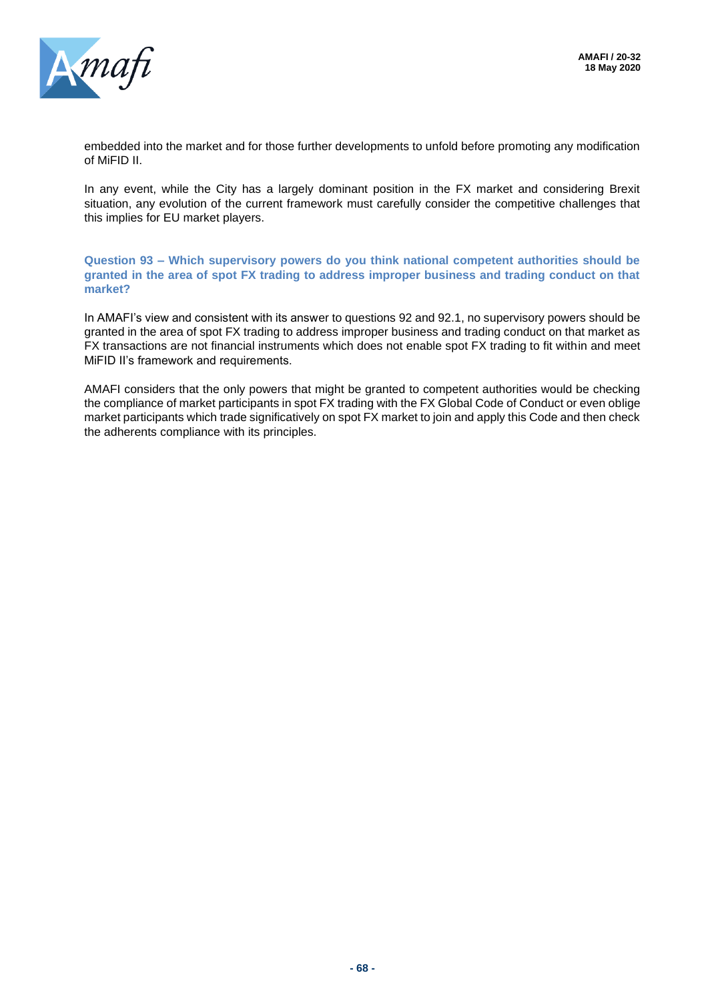

embedded into the market and for those further developments to unfold before promoting any modification of MiFID II.

In any event, while the City has a largely dominant position in the FX market and considering Brexit situation, any evolution of the current framework must carefully consider the competitive challenges that this implies for EU market players.

**Question 93 – Which supervisory powers do you think national competent authorities should be granted in the area of spot FX trading to address improper business and trading conduct on that market?**

In AMAFI's view and consistent with its answer to questions 92 and 92.1, no supervisory powers should be granted in the area of spot FX trading to address improper business and trading conduct on that market as FX transactions are not financial instruments which does not enable spot FX trading to fit within and meet MiFID II's framework and requirements.

AMAFI considers that the only powers that might be granted to competent authorities would be checking the compliance of market participants in spot FX trading with the FX Global Code of Conduct or even oblige market participants which trade significatively on spot FX market to join and apply this Code and then check the adherents compliance with its principles.